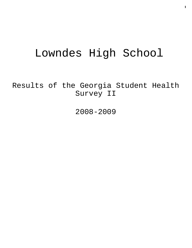# Lowndes High School

Results of the Georgia Student Health Survey II

2008-2009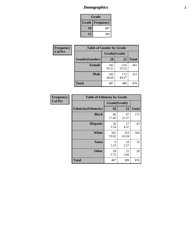# *Demographics* **2**

| Grade                    |     |  |  |
|--------------------------|-----|--|--|
| <b>Grade   Frequency</b> |     |  |  |
| 10                       | 487 |  |  |
| 12                       | 389 |  |  |

| Frequency      | <b>Table of Gender by Grade</b> |              |              |              |  |  |
|----------------|---------------------------------|--------------|--------------|--------------|--|--|
| <b>Col Pct</b> |                                 | Grade(Grade) |              |              |  |  |
|                | Gender(Gender)                  | 10           | 12           | <b>Total</b> |  |  |
|                | <b>Female</b>                   | 245<br>50.31 | 216<br>55.53 | 461          |  |  |
|                | <b>Male</b>                     | 242<br>49.69 | 173<br>44.47 | 415          |  |  |
|                | <b>Total</b>                    | 487          | 389          | 876          |  |  |

| <b>Frequency</b><br>Col Pct |
|-----------------------------|

| <b>Table of Ethnicity by Grade</b> |              |              |              |  |  |  |
|------------------------------------|--------------|--------------|--------------|--|--|--|
|                                    | Grade(Grade) |              |              |  |  |  |
| <b>Ethnicity</b> (Ethnicity)       | 10           | 12           | <b>Total</b> |  |  |  |
| <b>Black</b>                       | 86<br>17.66  | 87<br>22.37  | 173          |  |  |  |
| <b>Hispanic</b>                    | 26<br>5.34   | 17<br>4.37   | 43           |  |  |  |
| <b>White</b>                       | 341<br>70.02 | 253<br>65.04 | 594          |  |  |  |
| Asian                              | 6<br>1.23    | 10<br>2.57   | 16           |  |  |  |
| <b>Other</b>                       | 28<br>5.75   | 22<br>5.66   | 50           |  |  |  |
| <b>Total</b>                       | 487          | 389          | 876          |  |  |  |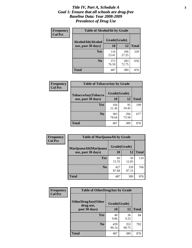#### *Title IV, Part A, Schedule A* **3** *Goal 1: Ensure that all schools are drug-free Baseline Data: Year 2008-2009 Prevalence of Drug Use*

| Frequency<br><b>Col Pct</b> | <b>Table of AlcoholAlt by Grade</b> |              |              |              |  |  |
|-----------------------------|-------------------------------------|--------------|--------------|--------------|--|--|
|                             | AlcoholAlt(Alcohol                  | Grade(Grade) |              |              |  |  |
|                             | use, past 30 days)                  | <b>10</b>    | 12           | <b>Total</b> |  |  |
|                             | Yes                                 | 114<br>23.41 | 106<br>27.25 | 220          |  |  |
|                             | N <sub>0</sub>                      | 373<br>76.59 | 283<br>72.75 | 656          |  |  |
|                             | Total                               | 487          | 389          | 876          |  |  |

| Frequency      | <b>Table of TobaccoAny by Grade</b> |              |              |              |  |
|----------------|-------------------------------------|--------------|--------------|--------------|--|
| <b>Col Pct</b> | TobaccoAny(Tobacco                  | Grade(Grade) |              |              |  |
|                | use, past 30 days)                  | 10           | 12           | <b>Total</b> |  |
|                | Yes                                 | 104<br>21.36 | 95<br>24.42  | 199          |  |
|                | N <sub>0</sub>                      | 383<br>78.64 | 294<br>75.58 | 677          |  |
|                | <b>Total</b>                        | 487          | 389          | 876          |  |

| Frequency<br><b>Col Pct</b> | <b>Table of MarijuanaAlt by Grade</b> |              |              |              |  |  |
|-----------------------------|---------------------------------------|--------------|--------------|--------------|--|--|
|                             | MarijuanaAlt(Marijuana                | Grade(Grade) |              |              |  |  |
|                             | use, past 30 days)                    | <b>10</b>    | 12           | <b>Total</b> |  |  |
|                             | <b>Yes</b>                            | 60<br>12.32  | 50<br>12.85  | 110          |  |  |
|                             | N <sub>0</sub>                        | 427<br>87.68 | 339<br>87.15 | 766          |  |  |
|                             | <b>Total</b>                          | 487          | 389          | 876          |  |  |

| <b>Frequency</b> | <b>Table of OtherDrugAny by Grade</b>                  |              |              |              |  |
|------------------|--------------------------------------------------------|--------------|--------------|--------------|--|
| <b>Col Pct</b>   | <b>OtherDrugAny(Other</b><br>Grade(Grade)<br>drug use, |              |              |              |  |
|                  | past 30 days)                                          | 10           | 12           | <b>Total</b> |  |
|                  | Yes                                                    | 48<br>9.86   | 36<br>9.25   | 84           |  |
|                  | N <sub>0</sub>                                         | 439<br>90.14 | 353<br>90.75 | 792          |  |
|                  | <b>Total</b>                                           | 487          | 389          | 876          |  |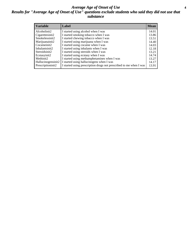### *Average Age of Onset of Use* **4** *Results for "Average Age of Onset of Use" questions exclude students who said they did not use that substance*

| <b>Variable</b>    | Label                                                              | <b>Mean</b> |
|--------------------|--------------------------------------------------------------------|-------------|
| Alcoholinit2       | I started using alcohol when I was                                 | 14.01       |
| Cigarettesinit2    | I started smoking tobacco when I was                               | 13.86       |
| Smokelessinit2     | I started chewing tobacco when I was                               | 13.51       |
| Marijuanainit2     | I started using marijuana when I was                               | 14.40       |
| Cocaineinit2       | I started using cocaine when I was                                 | 14.03       |
| Inhalantsinit2     | I started using inhalants when I was                               | 12.18       |
| Steroidsinit2      | I started using steroids when I was                                | 13.21       |
| Ecstasyinit2       | I started using ecstasy when I was                                 | 14.74       |
| Methinit2          | I started using methamphetamines when I was                        | 13.27       |
| Hallucinogensinit2 | I started using hallucinogens when I was                           | 14.17       |
| Prescriptioninit2  | I started using prescription drugs not prescribed to me when I was | 13.91       |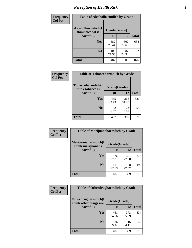# *Perception of Health Risk* **5**

| Frequency      | <b>Table of Alcoholharmdich by Grade</b> |              |              |              |  |
|----------------|------------------------------------------|--------------|--------------|--------------|--|
| <b>Col Pct</b> | Alcoholharmdich(I<br>think alcohol is    | Grade(Grade) |              |              |  |
|                | harmful)                                 | 10           | 12           | <b>Total</b> |  |
|                | Yes                                      | 382<br>78.44 | 302<br>77.63 | 684          |  |
|                | N <sub>0</sub>                           | 105<br>21.56 | 87<br>22.37  | 192          |  |
|                | <b>Total</b>                             | 487          | 389          | 876          |  |

| Frequency      | <b>Table of Tobaccoharmdich by Grade</b> |              |              |              |
|----------------|------------------------------------------|--------------|--------------|--------------|
| <b>Col Pct</b> | Tobaccoharmdich(I<br>think tobacco is    | Grade(Grade) |              |              |
|                | harmful)                                 | 10           | 12           | <b>Total</b> |
|                | Yes                                      | 455<br>93.43 | 366<br>94.09 | 821          |
|                | N <sub>0</sub>                           | 32<br>6.57   | 23<br>5.91   | 55           |
|                | <b>Total</b>                             | 487          | 389          | 876          |

| <b>Frequency</b> | <b>Table of Marijuanaharmdich by Grade</b> |              |              |              |  |  |
|------------------|--------------------------------------------|--------------|--------------|--------------|--|--|
| <b>Col Pct</b>   | Marijuanaharmdich(I<br>think marijuana is  | Grade(Grade) |              |              |  |  |
|                  | harmful)                                   | 10           | 12           | <b>Total</b> |  |  |
|                  | Yes                                        | 376<br>77.21 | 301<br>77.38 | 677          |  |  |
|                  | N <sub>0</sub>                             | 111<br>22.79 | 88<br>22.62  | 199          |  |  |
|                  | <b>Total</b>                               | 487          | 389          | 876          |  |  |

| Frequency      | <b>Table of Otherdrugharmdich by Grade</b>   |              |              |              |  |  |  |  |
|----------------|----------------------------------------------|--------------|--------------|--------------|--|--|--|--|
| <b>Col Pct</b> | Otherdrugharmdich(I<br>think other drugs are | Grade(Grade) |              |              |  |  |  |  |
|                | harmful)                                     | <b>10</b>    | 12           | <b>Total</b> |  |  |  |  |
|                | <b>Yes</b>                                   | 461<br>94.66 | 373<br>95.89 | 834          |  |  |  |  |
|                | N <sub>0</sub>                               | 26<br>5.34   | 16<br>4.11   | 42           |  |  |  |  |
|                | <b>Total</b>                                 | 487          | 389          | 876          |  |  |  |  |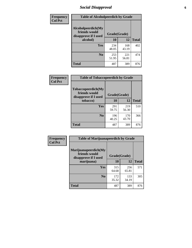# *Social Disapproval* **6**

| Frequency      | <b>Table of Alcoholpeerdich by Grade</b>                    |              |              |              |  |  |  |
|----------------|-------------------------------------------------------------|--------------|--------------|--------------|--|--|--|
| <b>Col Pct</b> | Alcoholpeerdich(My<br>friends would<br>disapprove if I used | Grade(Grade) |              |              |  |  |  |
|                | alcohol)                                                    | 10           | 12           | <b>Total</b> |  |  |  |
|                | <b>Yes</b>                                                  | 234<br>48.05 | 168<br>43.19 | 402          |  |  |  |
|                | N <sub>0</sub>                                              | 253<br>51.95 | 221<br>56.81 | 474          |  |  |  |
|                | <b>Total</b>                                                | 487          | 389          | 876          |  |  |  |

| <b>Frequency</b> |
|------------------|
| <b>Col Pct</b>   |

| <b>Table of Tobaccopeerdich by Grade</b>                            |              |              |              |  |  |  |  |
|---------------------------------------------------------------------|--------------|--------------|--------------|--|--|--|--|
| <b>Tobaccopeerdich</b> (My<br>friends would<br>disapprove if I used | Grade(Grade) |              |              |  |  |  |  |
| tobacco)                                                            | 10           | 12           | <b>Total</b> |  |  |  |  |
| Yes                                                                 | 291<br>59.75 | 219<br>56.30 | 510          |  |  |  |  |
| N <sub>0</sub>                                                      | 196<br>40.25 | 170<br>43.70 | 366          |  |  |  |  |
| <b>Total</b>                                                        | 487          | 389          | 876          |  |  |  |  |

| Frequency      | <b>Table of Marijuanapeerdich by Grade</b>                    |              |              |              |  |  |  |  |
|----------------|---------------------------------------------------------------|--------------|--------------|--------------|--|--|--|--|
| <b>Col Pct</b> | Marijuanapeerdich(My<br>friends would<br>disapprove if I used |              | Grade(Grade) |              |  |  |  |  |
|                | marijuana)                                                    | 10           | 12           | <b>Total</b> |  |  |  |  |
|                | <b>Yes</b>                                                    | 315<br>64.68 | 256<br>65.81 | 571          |  |  |  |  |
|                | N <sub>0</sub>                                                | 172<br>35.32 | 133<br>34.19 | 305          |  |  |  |  |
|                | <b>Total</b>                                                  | 487          | 389          | 876          |  |  |  |  |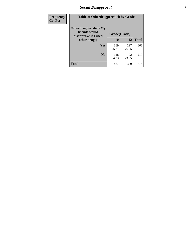# *Social Disapproval* **7**

| Frequency      | <b>Table of Otherdrugpeerdich by Grade</b>                    |              |              |              |  |  |  |  |
|----------------|---------------------------------------------------------------|--------------|--------------|--------------|--|--|--|--|
| <b>Col Pct</b> | Otherdrugpeerdich(My<br>friends would<br>disapprove if I used | Grade(Grade) |              |              |  |  |  |  |
|                | other drugs)                                                  | 10           | 12           | <b>Total</b> |  |  |  |  |
|                | <b>Yes</b>                                                    | 369<br>75.77 | 297<br>76.35 | 666          |  |  |  |  |
|                | N <sub>0</sub>                                                | 118<br>24.23 | 92<br>23.65  | 210          |  |  |  |  |
|                | <b>Total</b>                                                  | 487          | 389          | 876          |  |  |  |  |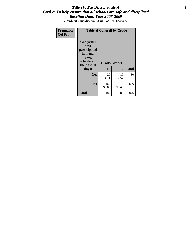### Title IV, Part A, Schedule A **8** *Goal 2: To help ensure that all schools are safe and disciplined Baseline Data: Year 2008-2009 Student Involvement in Gang Activity*

| Frequency      | <b>Table of Gangself by Grade</b>                                                                         |                    |              |              |
|----------------|-----------------------------------------------------------------------------------------------------------|--------------------|--------------|--------------|
| <b>Col Pct</b> | <b>Gangself</b> (I<br>have<br>participated<br>in illegal<br>gang<br>activities in<br>the past 30<br>days) | Grade(Grade)<br>10 | 12           | <b>Total</b> |
|                | Yes                                                                                                       | 20<br>4.11         | 10<br>2.57   | 30           |
|                | N <sub>0</sub>                                                                                            | 467<br>95.89       | 379<br>97.43 | 846          |
|                | <b>Total</b>                                                                                              | 487                | 389          | 876          |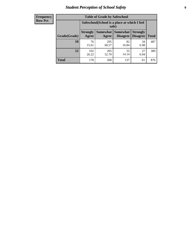# *Student Perception of School Safety* **9**

| <b>Frequency</b><br>Row Pct |
|-----------------------------|
|                             |

| <b>Table of Grade by Safeschool</b> |                                                                                                                                  |                                                        |             |            |     |  |  |
|-------------------------------------|----------------------------------------------------------------------------------------------------------------------------------|--------------------------------------------------------|-------------|------------|-----|--|--|
|                                     |                                                                                                                                  | Safeschool (School is a place at which I feel<br>safe) |             |            |     |  |  |
| Grade(Grade)                        | <b>Somewhat</b><br><b>Somewhat</b><br><b>Strongly</b><br><b>Strongly</b><br><b>Disagree</b><br>Agree<br><b>Disagree</b><br>Agree |                                                        |             |            |     |  |  |
| 10                                  | 76<br>15.61                                                                                                                      | 295<br>60.57                                           | 82<br>16.84 | 34<br>6.98 | 487 |  |  |
| 12                                  | 102<br>26.22                                                                                                                     | 205<br>52.70                                           | 55<br>14.14 | 27<br>6.94 | 389 |  |  |
| <b>Total</b>                        | 178                                                                                                                              | 500                                                    | 137         | 61         | 876 |  |  |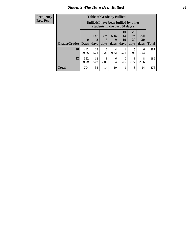### *Students Who Have Been Bullied* **10**

| <b>Frequency</b> |
|------------------|
| Row Pct          |

| <b>Table of Grade by Bullied</b> |                             |                                                                               |                              |                   |                        |                        |                                 |              |
|----------------------------------|-----------------------------|-------------------------------------------------------------------------------|------------------------------|-------------------|------------------------|------------------------|---------------------------------|--------------|
|                                  |                             | <b>Bullied</b> (I have been bullied by other<br>students in the past 30 days) |                              |                   |                        |                        |                                 |              |
| Grade(Grade)                     | $\mathbf{0}$<br><b>Days</b> | 1 or<br>2<br>days                                                             | 3 <sub>to</sub><br>5<br>days | 6 to<br>9<br>days | 10<br>to<br>19<br>days | 20<br>to<br>29<br>days | <b>All</b><br><b>30</b><br>days | <b>Total</b> |
| 10                               | 442<br>90.76                | 23<br>4.72                                                                    | 6<br>1.23                    | 4<br>0.82         | 0.21                   | 5<br>1.03              | 6<br>1.23                       | 487          |
| 12                               | 352<br>90.49                | 12<br>3.08                                                                    | 8<br>2.06                    | 6<br>1.54         | $\theta$<br>0.00       | 3<br>0.77              | 8<br>2.06                       | 389          |
| <b>Total</b>                     | 794                         | 35                                                                            | 14                           | 10                |                        | 8                      | 14                              | 876          |

 $\blacksquare$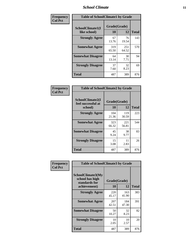### *School Climate* **11**

| Frequency      | <b>Table of SchoolClimate1 by Grade</b> |                    |              |              |  |  |  |
|----------------|-----------------------------------------|--------------------|--------------|--------------|--|--|--|
| <b>Col Pct</b> | SchoolClimate1(I<br>like school)        | Grade(Grade)<br>10 | 12           | <b>Total</b> |  |  |  |
|                | <b>Strongly Agree</b>                   | 67<br>13.76        | 76<br>19.54  | 143          |  |  |  |
|                | <b>Somewhat Agree</b>                   | 319<br>65.50       | 251<br>64.52 | 570          |  |  |  |
|                | <b>Somewhat Disagree</b>                | 64<br>13.14        | 30<br>7.71   | 94           |  |  |  |
|                | <b>Strongly Disagree</b>                | 37<br>7.60         | 32<br>8.23   | 69           |  |  |  |
|                | Total                                   | 487                | 389          | 876          |  |  |  |

| Frequency<br>Col Pct |
|----------------------|

| <b>Table of SchoolClimate2 by Grade</b>           |                    |              |              |  |  |
|---------------------------------------------------|--------------------|--------------|--------------|--|--|
| SchoolClimate2(I<br>feel successful at<br>school) | Grade(Grade)<br>10 | 12           | <b>Total</b> |  |  |
| <b>Strongly Agree</b>                             | 104<br>21.36       | 119<br>30.59 | 223          |  |  |
| <b>Somewhat Agree</b>                             | 323<br>66.32       | 221<br>56.81 | 544          |  |  |
| <b>Somewhat Disagree</b>                          | 45<br>9.24         | 38<br>9.77   | 83           |  |  |
| <b>Strongly Disagree</b>                          | 15<br>3.08         | 11<br>2.83   | 26           |  |  |
| <b>Total</b>                                      | 487                | 389          | 876          |  |  |

| Frequency      | <b>Table of SchoolClimate3 by Grade</b>               |              |              |              |  |  |
|----------------|-------------------------------------------------------|--------------|--------------|--------------|--|--|
| <b>Col Pct</b> | SchoolClimate3(My<br>school has high<br>standards for |              | Grade(Grade) |              |  |  |
|                | achievement)                                          | 10           | 12           | <b>Total</b> |  |  |
|                | <b>Strongly Agree</b>                                 | 220<br>45.17 | 163<br>41.90 | 383          |  |  |
|                | <b>Somewhat Agree</b>                                 | 207<br>42.51 | 184<br>47.30 | 391          |  |  |
|                | <b>Somewhat Disagree</b>                              | 50<br>10.27  | 32<br>8.23   | 82           |  |  |
|                | <b>Strongly Disagree</b>                              | 10<br>2.05   | 10<br>2.57   | 20           |  |  |
|                | <b>Total</b>                                          | 487          | 389          | 876          |  |  |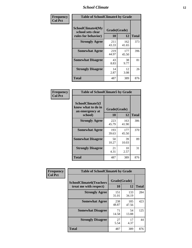### *School Climate* **12**

| Frequency      | <b>Table of SchoolClimate4 by Grade</b>                              |                    |              |              |
|----------------|----------------------------------------------------------------------|--------------------|--------------|--------------|
| <b>Col Pct</b> | <b>SchoolClimate4(My</b><br>school sets clear<br>rules for behavior) | Grade(Grade)<br>10 | 12           | <b>Total</b> |
|                | <b>Strongly Agree</b>                                                | 211<br>43.33       | 162<br>41.65 | 373          |
|                | <b>Somewhat Agree</b>                                                | 219<br>44.97       | 177<br>45.50 | 396          |
|                | <b>Somewhat Disagree</b>                                             | 43<br>8.83         | 38<br>9.77   | 81           |
|                | <b>Strongly Disagree</b>                                             | 14<br>2.87         | 12<br>3.08   | 26           |
|                | <b>Total</b>                                                         | 487                | 389          | 876          |

| <b>Table of SchoolClimate5 by Grade</b>                   |              |              |              |  |  |
|-----------------------------------------------------------|--------------|--------------|--------------|--|--|
| SchoolClimate5(I<br>know what to do in<br>an emergency at | Grade(Grade) |              |              |  |  |
| school)                                                   | 10           | 12           | <b>Total</b> |  |  |
| <b>Strongly Agree</b>                                     | 223<br>45.79 | 163<br>41.90 | 386          |  |  |
| <b>Somewhat Agree</b>                                     | 193<br>39.63 | 177<br>45.50 | 370          |  |  |
| <b>Somewhat Disagree</b>                                  | 50<br>10.27  | 39<br>10.03  | 89           |  |  |
| <b>Strongly Disagree</b>                                  | 21<br>4.31   | 10<br>2.57   | 31           |  |  |
| <b>Total</b>                                              | 487          | 389          | 876          |  |  |

| Frequency      | <b>Table of SchoolClimate6 by Grade</b>                  |                    |              |              |  |  |
|----------------|----------------------------------------------------------|--------------------|--------------|--------------|--|--|
| <b>Col Pct</b> | <b>SchoolClimate6(Teachers</b><br>treat me with respect) | Grade(Grade)<br>10 | 12           | <b>Total</b> |  |  |
|                | <b>Strongly Agree</b>                                    | 151<br>31.01       | 133<br>34.19 | 284          |  |  |
|                | <b>Somewhat Agree</b>                                    | 238<br>48.87       | 185<br>47.56 | 423          |  |  |
|                | <b>Somewhat Disagree</b>                                 | 71<br>14.58        | 54<br>13.88  | 125          |  |  |
|                | <b>Strongly Disagree</b>                                 | 27<br>5.54         | 17<br>4.37   | 44           |  |  |
|                | <b>Total</b>                                             | 487                | 389          | 876          |  |  |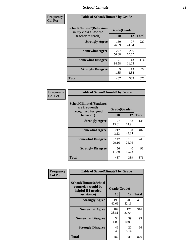### *School Climate* **13**

| Frequency      | <b>Table of SchoolClimate7 by Grade</b>                                       |                           |              |              |  |
|----------------|-------------------------------------------------------------------------------|---------------------------|--------------|--------------|--|
| <b>Col Pct</b> | <b>SchoolClimate7(Behaviors</b><br>in my class allow the<br>teacher to teach) | Grade(Grade)<br><b>10</b> | 12           | <b>Total</b> |  |
|                | <b>Strongly Agree</b>                                                         | 130<br>26.69              | 97<br>24.94  | 227          |  |
|                | <b>Somewhat Agree</b>                                                         | 277<br>56.88              | 236<br>60.67 | 513          |  |
|                | <b>Somewhat Disagree</b>                                                      | 71<br>14.58               | 43<br>11.05  | 114          |  |
|                | <b>Strongly Disagree</b>                                                      | $\mathbf Q$<br>1.85       | 13<br>3.34   | 22           |  |
|                | <b>Total</b>                                                                  | 487                       | 389          | 876          |  |

| Frequency      | <b>Table of SchoolClimate8 by Grade</b>                                              |                    |              |              |  |
|----------------|--------------------------------------------------------------------------------------|--------------------|--------------|--------------|--|
| <b>Col Pct</b> | <b>SchoolClimate8(Students</b><br>are frequently<br>recognized for good<br>behavior) | Grade(Grade)<br>10 | 12           | <b>Total</b> |  |
|                | <b>Strongly Agree</b>                                                                | 77<br>15.81        | 58<br>14.91  | 135          |  |
|                | <b>Somewhat Agree</b>                                                                | 212<br>43.53       | 190<br>48.84 | 402          |  |
|                | <b>Somewhat Disagree</b>                                                             | 142<br>29.16       | 101<br>25.96 | 243          |  |
|                | <b>Strongly Disagree</b>                                                             | 56<br>11.50        | 40<br>10.28  | 96           |  |
|                | <b>Total</b>                                                                         | 487                | 389          | 876          |  |

| Frequency      | <b>Table of SchoolClimate9 by Grade</b>                                           |                    |              |              |  |
|----------------|-----------------------------------------------------------------------------------|--------------------|--------------|--------------|--|
| <b>Col Pct</b> | SchoolClimate9(School<br>counselor would be<br>helpful if I needed<br>assistance) | Grade(Grade)<br>10 | 12           | <b>Total</b> |  |
|                | <b>Strongly Agree</b>                                                             | 198<br>40.66       | 203<br>52.19 | 401          |  |
|                | <b>Somewhat Agree</b>                                                             | 189<br>38.81       | 127<br>32.65 | 316          |  |
|                | <b>Somewhat Disagree</b>                                                          | 54<br>11.09        | 39<br>10.03  | 93           |  |
|                | <b>Strongly Disagree</b>                                                          | 46<br>9.45         | 20<br>5.14   | 66           |  |
|                | Total                                                                             | 487                | 389          | 876          |  |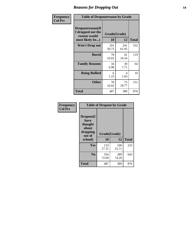### *Reasons for Dropping Out* **14**

| Frequency      | <b>Table of Dropoutreason by Grade</b>                                   |                    |              |              |  |
|----------------|--------------------------------------------------------------------------|--------------------|--------------|--------------|--|
| <b>Col Pct</b> | Dropoutreason(If<br>I dropped out the<br>reason would<br>most likely be) | Grade(Grade)<br>10 | 12           | <b>Total</b> |  |
|                | Won't Drop out                                                           | 291<br>59.75       | 241<br>61.95 | 532          |  |
|                | <b>Bored</b>                                                             | 78<br>16.02        | 41<br>10.54  | 119          |  |
|                | <b>Family Reasons</b>                                                    | 34<br>6.98         | 30<br>7.71   | 64           |  |
|                | <b>Being Bullied</b>                                                     | 6<br>1.23          | 4<br>1.03    | 10           |  |
|                | <b>Other</b>                                                             | 78<br>16.02        | 73<br>18.77  | 151          |  |
|                | Total                                                                    | 487                | 389          | 876          |  |

| Frequency<br><b>Col Pct</b> | <b>Table of Dropout by Grade</b>                                       |                    |              |              |  |
|-----------------------------|------------------------------------------------------------------------|--------------------|--------------|--------------|--|
|                             | Dropout(I<br>have<br>thought<br>about<br>dropping<br>out of<br>school) | Grade(Grade)<br>10 | 12           | <b>Total</b> |  |
|                             |                                                                        |                    |              |              |  |
|                             | Yes                                                                    | 133<br>27.31       | 100<br>25.71 | 233          |  |
|                             | N <sub>0</sub>                                                         | 354<br>72.69       | 289<br>74.29 | 643          |  |
|                             | <b>Total</b>                                                           | 487                | 389          | 876          |  |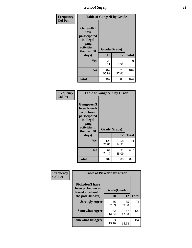*School Safety* **15**

| Frequency      | <b>Table of Gangself by Grade</b>                                                                 |                    |              |              |
|----------------|---------------------------------------------------------------------------------------------------|--------------------|--------------|--------------|
| <b>Col Pct</b> | Gangself(I<br>have<br>participated<br>in illegal<br>gang<br>activities in<br>the past 30<br>days) | Grade(Grade)<br>10 | 12           | <b>Total</b> |
|                | Yes                                                                                               | 20<br>4.11         | 10<br>2.57   | 30           |
|                | N <sub>o</sub>                                                                                    | 467<br>95.89       | 379<br>97.43 | 846          |
|                | Total                                                                                             | 487                | 389          | 876          |

| Frequency<br><b>Col Pct</b> | <b>Table of Gangpeers by Grade</b>                                                                                             |                    |              |              |  |  |  |  |  |
|-----------------------------|--------------------------------------------------------------------------------------------------------------------------------|--------------------|--------------|--------------|--|--|--|--|--|
|                             | <b>Gangpeers</b> (I<br>have friends<br>who have<br>participated<br>in illegal<br>gang<br>activities in<br>the past 30<br>days) | Grade(Grade)<br>10 | 12           | <b>Total</b> |  |  |  |  |  |
|                             | <b>Yes</b>                                                                                                                     | 126<br>25.87       | 58<br>14.91  | 184          |  |  |  |  |  |
|                             | N <sub>0</sub>                                                                                                                 | 361<br>74.13       | 331<br>85.09 | 692          |  |  |  |  |  |
|                             | <b>Total</b>                                                                                                                   | 487                | 389          | 876          |  |  |  |  |  |

| Frequency      |                                                                    | <b>Table of Pickedon by Grade</b> |             |              |  |  |  |  |  |  |
|----------------|--------------------------------------------------------------------|-----------------------------------|-------------|--------------|--|--|--|--|--|--|
| <b>Col Pct</b> | <b>Pickedon(I have</b><br>been picked on or<br>teased at school in | Grade(Grade)                      |             |              |  |  |  |  |  |  |
|                | the past 30 days)                                                  | 10                                | 12          | <b>Total</b> |  |  |  |  |  |  |
|                | <b>Strongly Agree</b>                                              | 36<br>7.39                        | 35<br>9.00  | 71           |  |  |  |  |  |  |
|                | <b>Somewhat Agree</b>                                              | 82<br>16.84                       | 47<br>12.08 | 129          |  |  |  |  |  |  |
|                | <b>Somewhat Disagree</b>                                           | 93<br>19.10                       | 61<br>15.68 | 154          |  |  |  |  |  |  |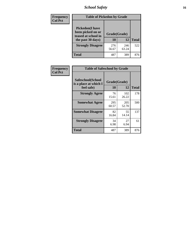# *School Safety* **16**

| <b>Frequency</b> | <b>Table of Pickedon by Grade</b>                                                        |                    |              |              |
|------------------|------------------------------------------------------------------------------------------|--------------------|--------------|--------------|
| <b>Col Pct</b>   | <b>Pickedon</b> (I have<br>been picked on or<br>teased at school in<br>the past 30 days) | Grade(Grade)<br>10 | 12           | <b>Total</b> |
|                  | <b>Strongly Disagree</b>                                                                 | 276<br>56.67       | 246<br>63.24 | 522          |
|                  | Total                                                                                    | 487                | 389          | 876          |

| <b>Frequency</b> | <b>Table of Safeschool by Grade</b>        |              |              |              |  |  |  |  |  |  |
|------------------|--------------------------------------------|--------------|--------------|--------------|--|--|--|--|--|--|
| <b>Col Pct</b>   | Safeschool(School<br>is a place at which I | Grade(Grade) |              |              |  |  |  |  |  |  |
|                  | feel safe)                                 | 10           | 12           | <b>Total</b> |  |  |  |  |  |  |
|                  | <b>Strongly Agree</b>                      | 76<br>15.61  | 102<br>26.22 | 178          |  |  |  |  |  |  |
|                  | <b>Somewhat Agree</b>                      | 295<br>60.57 | 205<br>52.70 | 500          |  |  |  |  |  |  |
|                  | <b>Somewhat Disagree</b>                   | 82<br>16.84  | 55<br>14.14  | 137          |  |  |  |  |  |  |
|                  | <b>Strongly Disagree</b>                   | 34<br>6.98   | 27<br>6.94   | 61           |  |  |  |  |  |  |
|                  | <b>Total</b>                               | 487          | 389          | 876          |  |  |  |  |  |  |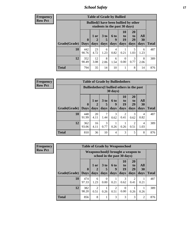*School Safety* **17**

| <b>Frequency</b> |  |
|------------------|--|
| Row Pct          |  |

| <b>Table of Grade by Bullied</b> |              |                                                                               |                              |                   |                        |                        |                          |              |  |  |  |  |
|----------------------------------|--------------|-------------------------------------------------------------------------------|------------------------------|-------------------|------------------------|------------------------|--------------------------|--------------|--|--|--|--|
|                                  |              | <b>Bullied</b> (I have been bullied by other<br>students in the past 30 days) |                              |                   |                        |                        |                          |              |  |  |  |  |
| <b>Grade</b> (Grade)   Days      | $\mathbf{0}$ | $1$ or<br>days                                                                | 3 <sub>to</sub><br>5<br>days | 6 to<br>9<br>days | 10<br>to<br>19<br>days | 20<br>to<br>29<br>days | <b>All</b><br>30<br>days | <b>Total</b> |  |  |  |  |
| 10                               | 442<br>90.76 | 23<br>4.72                                                                    | 6<br>1.23                    | 4<br>0.82         | 0.21                   | 5<br>1.03              | 6<br>1.23                | 487          |  |  |  |  |
| 12                               | 352<br>90.49 | 12<br>3.08                                                                    | 8<br>2.06                    | 6<br>1.54         | 0<br>0.00              | 3<br>0.77              | 8<br>2.06                | 389          |  |  |  |  |
| <b>Total</b>                     | 794          | 35                                                                            | 14                           | 10                |                        | 8                      | 14                       | 876          |  |  |  |  |

| Frequency      |                     |                                                                |              | <b>Table of Grade by Bulliedothers</b> |                   |                        |                               |                   |              |  |
|----------------|---------------------|----------------------------------------------------------------|--------------|----------------------------------------|-------------------|------------------------|-------------------------------|-------------------|--------------|--|
| <b>Row Pct</b> |                     | <b>Bulliedothers</b> (I bullied others in the past<br>30 days) |              |                                        |                   |                        |                               |                   |              |  |
|                | Grade(Grade)   Days | $\mathbf{0}$                                                   | 1 or<br>days | 3 to<br>5<br>days                      | 6 to<br>9<br>days | 10<br>to<br>19<br>days | <b>20</b><br>to<br>29<br>days | All<br>30<br>days | <b>Total</b> |  |
|                | 10                  | 448<br>91.99                                                   | 20<br>4.11   | 1.44                                   | 3<br>0.62         | $\overline{2}$<br>0.41 | 3<br>0.62                     | 4<br>0.82         | 487          |  |
|                | 12                  | 362<br>93.06                                                   | 16<br>4.11   | 3<br>0.77                              | 0.26              | 0.26                   | $\mathfrak{D}$<br>0.51        | 4<br>1.03         | 389          |  |
|                | <b>Total</b>        | 810                                                            | 36           | 10                                     | $\overline{4}$    | 3                      | 5                             | 8                 | 876          |  |

| Frequency      |                     |                                                                   |                                     | <b>Table of Grade by Weaponschool</b> |                                     |                       |                        |                  |              |
|----------------|---------------------|-------------------------------------------------------------------|-------------------------------------|---------------------------------------|-------------------------------------|-----------------------|------------------------|------------------|--------------|
| <b>Row Pct</b> |                     | Weaponschool(I brought a weapon to<br>school in the past 30 days) |                                     |                                       |                                     |                       |                        |                  |              |
|                |                     | $\mathbf{0}$                                                      | $1$ or                              | 3 <sub>to</sub>                       | 6 to<br>9                           | <b>10</b><br>to<br>19 | <b>20</b><br>to<br>29  | <b>All</b><br>30 |              |
|                | Grade(Grade)   Days |                                                                   | days                                | days                                  | days                                | days                  | days                   | days             | <b>Total</b> |
|                | 10                  | 474<br>97.33                                                      | 6<br>1.23                           | 0<br>0.00                             | 0.21                                | $\mathcal{R}$<br>0.62 | $\mathfrak{D}$<br>0.41 | 0.21             | 487          |
|                | 12                  | 382<br>98.20                                                      | $\mathcal{D}_{\mathcal{L}}$<br>0.51 | 0.26                                  | $\mathcal{D}_{\mathcal{L}}$<br>0.51 | $\Omega$<br>0.00      | 0.26                   | 0.26             | 389          |
|                | <b>Total</b>        | 856                                                               | 8                                   |                                       | 3                                   | 3                     | 3                      | $\mathfrak{D}$   | 876          |

H.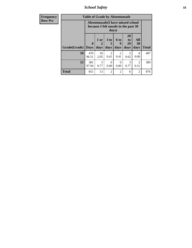*School Safety* **18**

| <b>Frequency</b> | <b>Table of Grade by Absentunsafe</b> |                                                                           |                             |                              |                        |                               |                   |              |  |  |
|------------------|---------------------------------------|---------------------------------------------------------------------------|-----------------------------|------------------------------|------------------------|-------------------------------|-------------------|--------------|--|--|
| <b>Row Pct</b>   |                                       | Absentunsafe(I have missed school<br>because I felt unsafe in the past 30 |                             |                              |                        |                               |                   |              |  |  |
|                  | Grade(Grade)                          | $\mathbf 0$<br><b>Days</b>                                                | 1 or<br>$\mathbf 2$<br>days | 3 <sub>to</sub><br>5<br>days | 6 to<br>9<br>days      | <b>20</b><br>to<br>29<br>days | All<br>30<br>days | <b>Total</b> |  |  |
|                  | 10                                    | 470<br>96.51                                                              | 10<br>2.05                  | $\mathfrak{D}$<br>0.41       | $\mathfrak{D}$<br>0.41 | 3<br>0.62                     | 0<br>0.00         | 487          |  |  |
|                  | 12                                    | 381<br>97.94                                                              | $\mathcal{R}$<br>0.77       | $\Omega$<br>0.00             | 0<br>0.00              | 3<br>0.77                     | 2<br>0.51         | 389          |  |  |
|                  | <b>Total</b>                          | 851                                                                       | 13                          | $\overline{2}$               | $\overline{2}$         | 6                             | 2                 | 876          |  |  |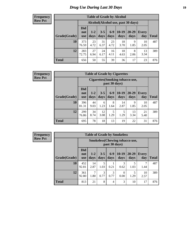# *Drug Use During Last 30 Days* **19**

#### **Frequency Row Pct**

| <b>Table of Grade by Alcohol</b> |                                 |                                     |                 |                 |                 |                   |                     |       |  |  |  |  |
|----------------------------------|---------------------------------|-------------------------------------|-----------------|-----------------|-----------------|-------------------|---------------------|-------|--|--|--|--|
|                                  |                                 | Alcohol (Alcohol use, past 30 days) |                 |                 |                 |                   |                     |       |  |  |  |  |
| Grade(Grade)                     | <b>Did</b><br>not<br><b>use</b> | $1 - 2$<br>days                     | $3 - 5$<br>days | $6 - 9$<br>days | $10-19$<br>days | $20 - 29$<br>days | <b>Every</b><br>day | Total |  |  |  |  |
| 10                               | 373<br>76.59                    | 23<br>4.72                          | 31<br>6.37      | 23<br>4.72      | 18<br>3.70      | 9<br>1.85         | 10<br>2.05          | 487   |  |  |  |  |
| 12                               | 283<br>72.75                    | 27<br>6.94                          | 24<br>6.17      | 16<br>4.11      | 18<br>4.63      | 8<br>2.06         | 13<br>3.34          | 389   |  |  |  |  |
| <b>Total</b>                     | 656                             | 50                                  | 55              | 39              | 36              | 17                | 23                  | 876   |  |  |  |  |

#### **Frequency Row Pct**

| <b>Table of Grade by Cigarettes</b> |                                 |                                                   |                 |               |                 |                   |                     |              |  |  |  |
|-------------------------------------|---------------------------------|---------------------------------------------------|-----------------|---------------|-----------------|-------------------|---------------------|--------------|--|--|--|
|                                     |                                 | Cigarettes (Smoking tobacco use,<br>past 30 days) |                 |               |                 |                   |                     |              |  |  |  |
| Grade(Grade)                        | <b>Did</b><br>not<br><b>use</b> | $1 - 2$<br>days                                   | $3 - 5$<br>days | $6-9$<br>days | $10-19$<br>days | $20 - 29$<br>days | <b>Every</b><br>day | <b>Total</b> |  |  |  |
| 10                                  | 396<br>81.31                    | 44<br>9.03                                        | 6<br>1.23       | 8<br>1.64     | 14<br>2.87      | 9<br>1.85         | 10<br>2.05          | 487          |  |  |  |
| 12                                  | 299<br>76.86                    | 34<br>8.74                                        | 12<br>3.08      | 5<br>1.29     | 5<br>1.29       | 13<br>3.34        | 21<br>5.40          | 389          |  |  |  |
| <b>Total</b>                        | 695                             | 78                                                | 18              | 13            | 19              | 22                | 31                  | 876          |  |  |  |

| <b>Table of Grade by Smokeless</b> |                                 |                                                         |                 |                 |                 |                   |                     |              |  |  |  |
|------------------------------------|---------------------------------|---------------------------------------------------------|-----------------|-----------------|-----------------|-------------------|---------------------|--------------|--|--|--|
|                                    |                                 | <b>Smokeless</b> (Chewing tobacco use,<br>past 30 days) |                 |                 |                 |                   |                     |              |  |  |  |
| Grade(Grade)                       | <b>Did</b><br>not<br><b>use</b> | $1 - 2$<br>days                                         | $3 - 5$<br>days | $6 - 9$<br>days | $10-19$<br>days | $20 - 29$<br>days | <b>Every</b><br>day | <b>Total</b> |  |  |  |
| 10                                 | 452<br>92.81                    | 14<br>2.87                                              | 5<br>1.03       | 0.21            | 3<br>0.62       | 1.03              | 1.44                | 487          |  |  |  |
| 12                                 | 361<br>92.80                    | 7<br>1.80                                               | 3<br>0.77       | 3<br>0.77       | 0<br>0.00       | 5<br>1.29         | 10<br>2.57          | 389          |  |  |  |
| <b>Total</b>                       | 813                             | 21                                                      | 8               | $\overline{4}$  | 3               | 10                | 17                  | 876          |  |  |  |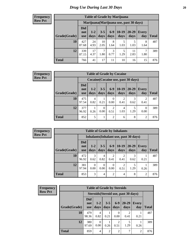| <b>Table of Grade by Marijuana</b> |                                 |                 |                 |               |                                         |                   |              |              |  |
|------------------------------------|---------------------------------|-----------------|-----------------|---------------|-----------------------------------------|-------------------|--------------|--------------|--|
|                                    |                                 |                 |                 |               | Marijuana (Marijuana use, past 30 days) |                   |              |              |  |
| Grade(Grade)                       | <b>Did</b><br>not<br><b>use</b> | $1 - 2$<br>days | $3 - 5$<br>days | $6-9$<br>days | $10 - 19$<br>days                       | $20 - 29$<br>days | Every<br>day | <b>Total</b> |  |
| 10                                 | 427<br>87.68                    | 24<br>4.93      | 10<br>2.05      | 8<br>1.64     | 5<br>1.03                               | 5<br>1.03         | 8<br>1.64    | 487          |  |
| 12                                 | 339<br>87.15                    | 17<br>4.37      | 7<br>1.80       | 3<br>0.77     | 5<br>1.29                               | 11<br>2.83        | 7<br>1.80    | 389          |  |
| <b>Total</b>                       | 766                             | 41              | 17              | 11            | 10                                      | 16                | 15           | 876          |  |

#### **Frequency Row Pct**

| <b>Table of Grade by Cocaine</b> |                                 |                                     |                 |                        |                 |               |                  |       |  |  |
|----------------------------------|---------------------------------|-------------------------------------|-----------------|------------------------|-----------------|---------------|------------------|-------|--|--|
|                                  |                                 | Cocaine (Cocaine use, past 30 days) |                 |                        |                 |               |                  |       |  |  |
| Grade(Grade)                     | <b>Did</b><br>not<br><b>use</b> | $1-2$<br>days                       | $3 - 5$<br>days | $6 - 9$<br>days        | $10-19$<br>days | 20-29<br>days | Every<br>day     | Total |  |  |
| 10                               | 475<br>97.54                    | 4<br>0.82                           | 0.21            | 0<br>0.00              | 2<br>0.41       | 0.62          | 2<br>0.41        | 487   |  |  |
| 12                               | 377<br>96.92                    | 0.26                                | 0<br>0.00       | $\overline{2}$<br>0.51 | 4<br>1.03       | 5<br>1.29     | $\theta$<br>0.00 | 389   |  |  |
| <b>Total</b>                     | 852                             | 5                                   |                 | $\overline{2}$         | 6               | 8             | $\overline{2}$   | 876   |  |  |

| <b>Table of Grade by Inhalants</b> |                                        |                  |                 |                |                        |                   |                     |              |  |  |
|------------------------------------|----------------------------------------|------------------|-----------------|----------------|------------------------|-------------------|---------------------|--------------|--|--|
|                                    | Inhalants (Inhalant use, past 30 days) |                  |                 |                |                        |                   |                     |              |  |  |
| Grade(Grade)                       | <b>Did</b><br>not<br><b>use</b>        | $1 - 2$<br>days  | $3 - 5$<br>days | $6-9$<br>days  | $10-19$<br>days        | $20 - 29$<br>days | <b>Every</b><br>day | <b>Total</b> |  |  |
| 10                                 | 472<br>96.92                           | 3<br>0.62        | 4<br>0.82       | 0.41           | $\mathfrak{D}$<br>0.41 | 0.62              | 0.21                | 487          |  |  |
| 12                                 | 381<br>97.94                           | $\Omega$<br>0.00 | 0<br>0.00       | 0<br>0.00      | $\overline{c}$<br>0.51 | 5<br>1.29         | 0.26                | 389          |  |  |
| Total                              | 853                                    | 3                | 4               | $\overline{2}$ | 4                      | 8                 | $\overline{2}$      | 876          |  |  |

| Frequency      |                     | <b>Table of Grade by Steroids</b> |                  |                 |                |                                      |                     |              |
|----------------|---------------------|-----------------------------------|------------------|-----------------|----------------|--------------------------------------|---------------------|--------------|
| <b>Row Pct</b> |                     |                                   |                  |                 |                | Steroids (Steroid use, past 30 days) |                     |              |
|                | <b>Grade(Grade)</b> | <b>Did</b><br>not<br><b>use</b>   | $1 - 2$<br>days  | $3 - 5$<br>days | $6-9$<br>days  | $20 - 29$<br>days                    | <b>Every</b><br>day | <b>Total</b> |
|                | 10                  | 479<br>98.36                      | 4<br>0.82        | 0.21            | 0.00           | 2<br>0.41                            | 0.21                | 487          |
|                | 12                  | 380<br>97.69                      | $\Omega$<br>0.00 | 0.26            | റ<br>0.51      | 5<br>1.29                            | 0.26                | 389          |
|                | Total               | 859                               | 4                | $\overline{2}$  | $\overline{2}$ | 7                                    | 2                   | 876          |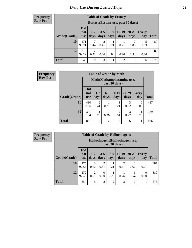| <b>Table of Grade by Ecstasy</b> |                          |                                     |                 |                        |                 |               |              |              |  |  |
|----------------------------------|--------------------------|-------------------------------------|-----------------|------------------------|-----------------|---------------|--------------|--------------|--|--|
|                                  |                          | Ecstasy (Ecstasy use, past 30 days) |                 |                        |                 |               |              |              |  |  |
| Grade(Grade)                     | Did<br>not<br><b>use</b> | $1 - 2$<br>days                     | $3 - 5$<br>days | $6 - 9$<br>days        | $10-19$<br>days | 20-29<br>days | Every<br>day | <b>Total</b> |  |  |
| 10                               | 471<br>96.71             | $\overline{7}$<br>1.44              | 2<br>0.41       | 0.21                   | 0.21            | 0<br>0.00     | 5<br>1.03    | 487          |  |  |
| 12                               | 378<br>97.17             | $\overline{2}$<br>0.51              | 0.26            | $\overline{0}$<br>0.00 | 0.26            | 6<br>1.54     | 0.26         | 389          |  |  |
| <b>Total</b>                     | 849                      | 9                                   | 3               | 1                      | 2               | 6             | 6            | 876          |  |  |

| <b>Frequency</b> |              | <b>Table of Grade by Meth</b>   |                           |                 |                        |                       |                  |              |
|------------------|--------------|---------------------------------|---------------------------|-----------------|------------------------|-----------------------|------------------|--------------|
| <b>Row Pct</b>   |              |                                 | Meth(Methamphetamine use, |                 |                        |                       |                  |              |
|                  | Grade(Grade) | <b>Did</b><br>not<br><b>use</b> | $1 - 2$<br>days           | $6 - 9$<br>days | $10-19$<br>days        | $20 - 29$<br>days     | Every<br>day     | <b>Total</b> |
|                  | 10           | 480<br>98.56                    | $\mathfrak{D}$<br>0.41    | 0.21            | 0.21                   | $\mathcal{R}$<br>0.62 | $\Omega$<br>0.00 | 487          |
|                  | 12           | 381<br>97.94                    | 0.26                      | 0.26            | $\overline{2}$<br>0.51 | 3<br>0.77             | 0.26             | 389          |
|                  | <b>Total</b> | 861                             | 3                         | $\overline{2}$  | 3                      | 6                     | 1                | 876          |

| <b>Table of Grade by Hallucinogens</b> |                                 |                                                   |                        |                |                        |                   |                     |              |  |  |
|----------------------------------------|---------------------------------|---------------------------------------------------|------------------------|----------------|------------------------|-------------------|---------------------|--------------|--|--|
|                                        |                                 | Hallucinogens (Hallucinogen use,<br>past 30 days) |                        |                |                        |                   |                     |              |  |  |
| Grade(Grade)                           | <b>Did</b><br>not<br><b>use</b> | $1 - 2$<br>days                                   | $3 - 5$<br>days        | $6-9$<br>days  | $10-19$<br>days        | $20 - 29$<br>days | <b>Every</b><br>day | <b>Total</b> |  |  |
| 10                                     | 475<br>97.54                    | $\mathcal{F}$<br>0.62                             | $\overline{c}$<br>0.41 | 0.21           | $\mathfrak{D}$<br>0.41 | 0.62              | 0.21                | 487          |  |  |
| 12                                     | 379<br>97.43                    | 2<br>0.51                                         | 0<br>0.00              | 0.26           | 0.26                   | 6<br>1.54         | 0<br>0.00           | 389          |  |  |
| <b>Total</b>                           | 854                             | 5                                                 | $\overline{2}$         | $\overline{2}$ | 3                      | 9                 |                     | 876          |  |  |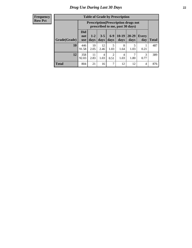| <b>Table of Grade by Prescription</b> |                                 |                                                                                |                 |                        |                 |               |                     |              |  |  |
|---------------------------------------|---------------------------------|--------------------------------------------------------------------------------|-----------------|------------------------|-----------------|---------------|---------------------|--------------|--|--|
|                                       |                                 | <b>Prescription</b> (Prescription drugs not<br>prescribed to me, past 30 days) |                 |                        |                 |               |                     |              |  |  |
| Grade(Grade)                          | <b>Did</b><br>not<br><b>use</b> | $1 - 2$<br>days                                                                | $3 - 5$<br>days | $6-9$<br>days          | $10-19$<br>days | 20-29<br>days | <b>Every</b><br>day | <b>Total</b> |  |  |
| 10                                    | 446<br>91.58                    | 10<br>2.05                                                                     | 12<br>2.46      | 5<br>1.03              | 8<br>1.64       | 5<br>1.03     | 0.21                | 487          |  |  |
| 12                                    | 358<br>92.03                    | 11<br>2.83                                                                     | 4<br>1.03       | $\overline{c}$<br>0.51 | 4<br>1.03       | 1.80          | 3<br>0.77           | 389          |  |  |
| <b>Total</b>                          | 804                             | 21                                                                             | 16              | 7                      | 12              | 12            | 4                   | 876          |  |  |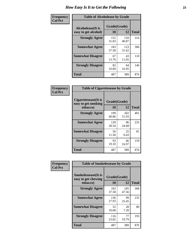| Frequency      | <b>Table of Alcoholease by Grade</b>       |                    |              |              |  |  |  |  |
|----------------|--------------------------------------------|--------------------|--------------|--------------|--|--|--|--|
| <b>Col Pct</b> | Alcoholease (It is<br>easy to get alcohol) | Grade(Grade)<br>10 | 12           | <b>Total</b> |  |  |  |  |
|                | <b>Strongly Agree</b>                      | 155<br>31.83       | 159<br>40.87 | 314          |  |  |  |  |
|                | <b>Somewhat Agree</b>                      | 183<br>37.58       | 123<br>31.62 | 306          |  |  |  |  |
|                | <b>Somewhat Disagree</b>                   | 67<br>13.76        | 43<br>11.05  | 110          |  |  |  |  |
|                | <b>Strongly Disagree</b>                   | 82<br>16.84        | 64<br>16.45  | 146          |  |  |  |  |
|                | <b>Total</b>                               | 487                | 389          | 876          |  |  |  |  |

| Frequency      |                                                         | <b>Table of Cigarettesease by Grade</b> |              |              |  |  |  |
|----------------|---------------------------------------------------------|-----------------------------------------|--------------|--------------|--|--|--|
| <b>Col Pct</b> | Cigarettesease(It is<br>easy to get smoking<br>tobacco) | Grade(Grade)<br>10                      | 12           | <b>Total</b> |  |  |  |
|                | <b>Strongly Agree</b>                                   | 199<br>40.86                            | 202<br>51.93 | 401          |  |  |  |
|                | <b>Somewhat Agree</b>                                   | 139<br>28.54                            | 96<br>24.68  | 235          |  |  |  |
|                | <b>Somewhat Disagree</b>                                | 56<br>11.50                             | 25<br>6.43   | 81           |  |  |  |
|                | <b>Strongly Disagree</b>                                | 93<br>19.10                             | 66<br>16.97  | 159          |  |  |  |
|                | <b>Total</b>                                            | 487                                     | 389          | 876          |  |  |  |

| Frequency      |                                                    | <b>Table of Smokelessease by Grade</b> |              |              |  |  |  |  |  |  |
|----------------|----------------------------------------------------|----------------------------------------|--------------|--------------|--|--|--|--|--|--|
| <b>Col Pct</b> | <b>Smokelessease</b> (It is<br>easy to get chewing | Grade(Grade)                           |              |              |  |  |  |  |  |  |
|                | tobacco)                                           | 10                                     | 12           | <b>Total</b> |  |  |  |  |  |  |
|                | <b>Strongly Agree</b>                              | 183<br>37.58                           | 185<br>47.56 | 368          |  |  |  |  |  |  |
|                | <b>Somewhat Agree</b>                              | 136<br>27.93                           | 99<br>25.45  | 235          |  |  |  |  |  |  |
|                | <b>Somewhat Disagree</b>                           | 52<br>10.68                            | 28<br>7.20   | 80           |  |  |  |  |  |  |
|                | <b>Strongly Disagree</b>                           | 116<br>23.82                           | 77<br>19.79  | 193          |  |  |  |  |  |  |
|                | Total                                              | 487                                    | 389          | 876          |  |  |  |  |  |  |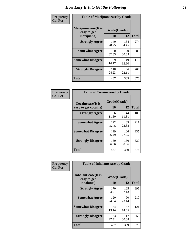| Frequency      | <b>Table of Marijuanaease by Grade</b>           |                    |              |              |
|----------------|--------------------------------------------------|--------------------|--------------|--------------|
| <b>Col Pct</b> | Marijuanaease(It is<br>easy to get<br>marijuana) | Grade(Grade)<br>10 | 12           | <b>Total</b> |
|                | <b>Strongly Agree</b>                            | 140<br>28.75       | 134<br>34.45 | 274          |
|                | <b>Somewhat Agree</b>                            | 160<br>32.85       | 120<br>30.85 | 280          |
|                | <b>Somewhat Disagree</b>                         | 69<br>14.17        | 49<br>12.60  | 118          |
|                | <b>Strongly Disagree</b>                         | 118<br>24.23       | 86<br>22.11  | 204          |
|                | <b>Total</b>                                     | 487                | 389          | 876          |

| <b>Table of Cocaineease by Grade</b>              |                    |              |     |  |  |  |  |  |  |  |  |
|---------------------------------------------------|--------------------|--------------|-----|--|--|--|--|--|--|--|--|
| <b>Cocaineease</b> (It is<br>easy to get cocaine) | Grade(Grade)<br>10 | <b>Total</b> |     |  |  |  |  |  |  |  |  |
| <b>Strongly Agree</b>                             | 56<br>11.50        | 44<br>11.31  | 100 |  |  |  |  |  |  |  |  |
| <b>Somewhat Agree</b>                             | 122<br>25.05       | 89<br>22.88  | 211 |  |  |  |  |  |  |  |  |
| <b>Somewhat Disagree</b>                          | 129<br>26.49       | 106<br>27.25 | 235 |  |  |  |  |  |  |  |  |
| <b>Strongly Disagree</b>                          | 180<br>36.96       | 150<br>38.56 | 330 |  |  |  |  |  |  |  |  |
| <b>Total</b>                                      | 487                | 389          | 876 |  |  |  |  |  |  |  |  |

| Frequency      | <b>Table of Inhalantsease by Grade</b>                   |                           |              |              |  |
|----------------|----------------------------------------------------------|---------------------------|--------------|--------------|--|
| <b>Col Pct</b> | <b>Inhalantsease</b> (It is<br>easy to get<br>inhalants) | Grade(Grade)<br><b>10</b> | 12           | <b>Total</b> |  |
|                | <b>Strongly Agree</b>                                    | 170<br>34.91              | 125<br>32.13 | 295          |  |
|                | <b>Somewhat Agree</b>                                    | 120<br>24.64              | 90<br>23.14  | 210          |  |
|                | <b>Somewhat Disagree</b>                                 | 64<br>13.14               | 57<br>14.65  | 121          |  |
|                | <b>Strongly Disagree</b>                                 | 133<br>27.31              | 117<br>30.08 | 250          |  |
|                | <b>Total</b>                                             | 487                       | 389          | 876          |  |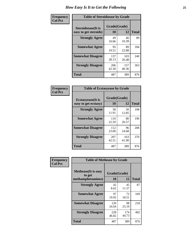| Frequency      | <b>Table of Steroidsease by Grade</b>               |                    |              |     |  |  |  |  |  |  |  |  |
|----------------|-----------------------------------------------------|--------------------|--------------|-----|--|--|--|--|--|--|--|--|
| <b>Col Pct</b> | <b>Steroidsease</b> (It is<br>easy to get steroids) | Grade(Grade)<br>10 | <b>Total</b> |     |  |  |  |  |  |  |  |  |
|                | <b>Strongly Agree</b>                               | 49<br>10.06        | 40<br>10.28  | 89  |  |  |  |  |  |  |  |  |
|                | <b>Somewhat Agree</b>                               | 95<br>19.51        | 89<br>22.88  | 184 |  |  |  |  |  |  |  |  |
|                | <b>Somewhat Disagree</b>                            | 137<br>28.13       | 103<br>26.48 | 240 |  |  |  |  |  |  |  |  |
|                | <b>Strongly Disagree</b>                            | 206<br>42.30       | 157<br>40.36 | 363 |  |  |  |  |  |  |  |  |
|                | Total                                               | 487                | 389          | 876 |  |  |  |  |  |  |  |  |

| Frequency      | <b>Table of Ecstasyease by Grade</b>              |                           |              |              |
|----------------|---------------------------------------------------|---------------------------|--------------|--------------|
| <b>Col Pct</b> | <b>Ecstasyease</b> (It is<br>easy to get ecstasy) | Grade(Grade)<br><b>10</b> | 12           | <b>Total</b> |
|                | <b>Strongly Agree</b>                             | 58<br>11.91               | 50<br>12.85  | 108          |
|                | <b>Somewhat Agree</b>                             | 110<br>22.59              | 80<br>20.57  | 190          |
|                | <b>Somewhat Disagree</b>                          | 112<br>23.00              | 96<br>24.68  | 208          |
|                | <b>Strongly Disagree</b>                          | 207<br>42.51              | 163<br>41.90 | 370          |
|                | <b>Total</b>                                      | 487                       | 389          | 876          |

| Frequency      | <b>Table of Methease by Grade</b>                          |                    |              |     |
|----------------|------------------------------------------------------------|--------------------|--------------|-----|
| <b>Col Pct</b> | <b>Methease</b> (It is easy<br>to get<br>methamphetamines) | Grade(Grade)<br>10 | <b>Total</b> |     |
|                | <b>Strongly Agree</b>                                      | 42<br>8.62         | 45<br>11.57  | 87  |
|                | <b>Somewhat Agree</b>                                      | 97<br>19.92        | 72<br>18.51  | 169 |
|                | <b>Somewhat Disagree</b>                                   | 120<br>24.64       | 98<br>25.19  | 218 |
|                | <b>Strongly Disagree</b>                                   | 228<br>46.82       | 174<br>44.73 | 402 |
|                | Total                                                      | 487                | 389          | 876 |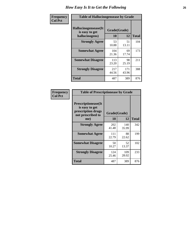| <b>Frequency</b> | <b>Table of Hallucinogensease by Grade</b>               |                    |              |              |  |  |  |  |  |  |  |  |  |
|------------------|----------------------------------------------------------|--------------------|--------------|--------------|--|--|--|--|--|--|--|--|--|
| <b>Col Pct</b>   | Hallucinogensease(It<br>is easy to get<br>hallucinogens) | Grade(Grade)<br>10 | 12           | <b>Total</b> |  |  |  |  |  |  |  |  |  |
|                  | <b>Strongly Agree</b>                                    | 53<br>10.88        | 51<br>13.11  | 104          |  |  |  |  |  |  |  |  |  |
|                  | <b>Somewhat Agree</b>                                    | 104<br>21.36       | 69<br>17.74  | 173          |  |  |  |  |  |  |  |  |  |
|                  | <b>Somewhat Disagree</b>                                 | 113<br>23.20       | 98<br>25.19  | 211          |  |  |  |  |  |  |  |  |  |
|                  | <b>Strongly Disagree</b>                                 | 217<br>44.56       | 171<br>43.96 | 388          |  |  |  |  |  |  |  |  |  |
|                  | <b>Total</b>                                             | 487                | 389          | 876          |  |  |  |  |  |  |  |  |  |

| Frequency<br>Col Pct |
|----------------------|
|                      |

| <b>Table of Prescriptionease by Grade</b>                                                |              |              |              |
|------------------------------------------------------------------------------------------|--------------|--------------|--------------|
| <b>Prescriptionease</b> (It<br>is easy to get<br>prescription drugs<br>not prescribed to | Grade(Grade) |              |              |
| me)                                                                                      | 10           | 12           | <b>Total</b> |
| <b>Strongly Agree</b>                                                                    | 202<br>41.48 | 140<br>35.99 | 342          |
| <b>Somewhat Agree</b>                                                                    | 111<br>22.79 | 88<br>22.62  | 199          |
| <b>Somewhat Disagree</b>                                                                 | 50<br>10.27  | 52<br>13.37  | 102          |
| <b>Strongly Disagree</b>                                                                 | 124<br>25.46 | 109<br>28.02 | 233          |
| <b>Total</b>                                                                             | 487          | 389          | 876          |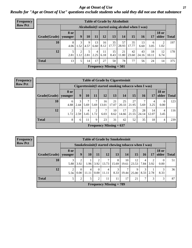*Age at Onset of Use* **27** *Results for "Age at Onset of Use" questions exclude students who said they did not use that substance*

| <b>Frequency</b> |              |                        |           |           |            |            |                           | <b>Table of Grade by Alcoholinit</b>             |             |             |             |                       |              |
|------------------|--------------|------------------------|-----------|-----------|------------|------------|---------------------------|--------------------------------------------------|-------------|-------------|-------------|-----------------------|--------------|
| <b>Row Pct</b>   |              |                        |           |           |            |            |                           | Alcoholinit (I started using alcohol when I was) |             |             |             |                       |              |
|                  | Grade(Grade) | <b>8</b> or<br>vounger | 9         | 10        | 11         | 12         | 13                        | 14                                               | 15          | 16          | 17          | <b>18 or</b><br>older | <b>Total</b> |
|                  | 10           | 8<br>4.06              | 3<br>1.52 | 9<br>4.57 | 13<br>6.60 | 16<br>8.12 | 35<br>17.77               | 57<br>28.93                                      | 35<br>17.77 | 13<br>6.60  | 6<br>3.05   | 1.02                  | 197          |
|                  | 12           | 5<br>2.81              | 2<br>1.12 | 2.81      | 4<br>2.25  | 11<br>6.18 | 15<br>8.43                | 21<br>11.80                                      | 42<br>23.60 | 43<br>24.16 | 18<br>10.11 | 12<br>6.74            | 178          |
|                  | <b>Total</b> | 13                     | 5         | 14        | 17         | 27         | 50                        | 78                                               | 77          | 56          | 24          | 14                    | 375          |
|                  |              |                        |           |           |            |            | Frequency Missing $= 501$ |                                                  |             |             |             |                       |              |

| <b>Table of Grade by Cigarettesinit</b> |                        |                                                      |           |                        |                           |             |             |             |             |             |                       |              |  |
|-----------------------------------------|------------------------|------------------------------------------------------|-----------|------------------------|---------------------------|-------------|-------------|-------------|-------------|-------------|-----------------------|--------------|--|
|                                         |                        | Cigarettesinit(I started smoking tobacco when I was) |           |                        |                           |             |             |             |             |             |                       |              |  |
| Grade(Grade)                            | <b>8</b> or<br>younger | 9                                                    | 10        | 11                     | 12                        | 13          | 14          | 15          | 16          | 17          | <b>18 or</b><br>older | <b>Total</b> |  |
| 10                                      | 6<br>4.88              | 3<br>2.44                                            | ⇁<br>5.69 | 7<br>5.69              | 16<br>13.01               | 21<br>17.07 | 25<br>20.33 | 27<br>21.95 | 5.69        | 4<br>3.25   | $\theta$<br>0.00      | 123          |  |
| 12                                      | ∍<br>1.72              | 2.59                                                 | 3.45      | $\overline{2}$<br>1.72 | 7<br>6.03                 | 10<br>8.62  | 17<br>14.66 | 25<br>21.55 | 28<br>24.14 | 14<br>12.07 | 4<br>3.45             | 116          |  |
| <b>Total</b>                            | 8                      | 6                                                    | 11        | 9                      | 23                        | 31          | 42          | 52          | 35          | 18          | $\overline{4}$        | 239          |  |
|                                         |                        |                                                      |           |                        | Frequency Missing $= 637$ |             |             |             |             |             |                       |              |  |

| <b>Table of Grade by Smokelessinit</b> |                        |                      |                         |                        |                                                      |                      |             |             |                        |           |                       |              |
|----------------------------------------|------------------------|----------------------|-------------------------|------------------------|------------------------------------------------------|----------------------|-------------|-------------|------------------------|-----------|-----------------------|--------------|
|                                        |                        |                      |                         |                        | Smokelessinit (I started chewing tobacco when I was) |                      |             |             |                        |           |                       |              |
| $ $ Grade(Grade) $ $                   | 8 or<br>younger        | 9                    | <b>10</b>               | 11                     | 12                                                   | 13                   | 14          | 15          | <b>16</b>              | 17        | <b>18 or</b><br>older | <b>Total</b> |
| 10                                     | 3<br>5.88              | 3.92                 | 1.96                    | $\mathfrak{D}$<br>3.92 | 7                                                    | 8<br>$13.73$   15.69 | 10<br>19.61 | 12<br>23.53 | $\overline{4}$<br>7.84 | 2<br>3.92 | $\theta$<br>0.00      | 51           |
| 12                                     | $\overline{2}$<br>5.56 | $\Omega$<br>$0.00\,$ | $\overline{4}$<br>11.11 | $\Omega$<br>0.00       | 4<br>11.11                                           | 3<br>8.33            | 7<br>19.44  | 9<br>25.00  | 3<br>8.33              | 2.78      | 3<br>8.33             | 36           |
| Total                                  |                        | 2                    | 5                       | 2                      | 11                                                   | 11                   | 17          | 21          | 7                      | 3         | 3                     | 87           |
|                                        |                        |                      |                         |                        | <b>Frequency Missing = 789</b>                       |                      |             |             |                        |           |                       |              |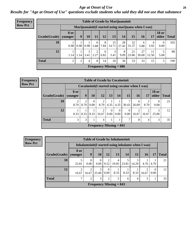#### *Age at Onset of Use* **28**

*Results for "Age at Onset of Use" questions exclude students who said they did not use that substance*

| <b>Frequency</b> | <b>Table of Grade by Marijuanainit</b> |                        |      |           |           |           |                           |                                                      |             |             |             |                                |              |
|------------------|----------------------------------------|------------------------|------|-----------|-----------|-----------|---------------------------|------------------------------------------------------|-------------|-------------|-------------|--------------------------------|--------------|
| <b>Row Pct</b>   |                                        |                        |      |           |           |           |                           | Marijuanainit (I started using marijuana when I was) |             |             |             |                                |              |
|                  | Grade(Grade)                           | <b>8 or</b><br>younger | 9    | 10        | 11        | 12        | 13                        | 14                                                   | 15          | 16          | 17          | <b>18 or</b><br>$\Omega$ older | <b>Total</b> |
|                  | 10                                     | 0.98                   | 0.98 | 0.98      | 6<br>5.88 | 8<br>7.84 | 15<br>14.71               | 28<br>27.45                                          | 32<br>31.37 | 6<br>5.88   | 4<br>3.92   | $\overline{0}$<br>0.00         | 102          |
|                  | 12                                     | 1.14                   | 1.14 | 3<br>3.41 | 2.27      | 6<br>6.82 | 3<br>3.41                 | 8<br>9.09                                            | 21<br>23.86 | 27<br>30.68 | 11<br>12.50 | 5.68                           | 88           |
|                  | <b>Total</b>                           | $\overline{2}$         | 2    | 4         | 8         | 14        | 18                        | 36                                                   | 53          | 33          | 15          | 5                              | 190          |
|                  |                                        |                        |      |           |           |           | Frequency Missing $= 686$ |                                                      |             |             |             |                                |              |

**Frequency Row Pct**

| <b>Table of Grade by Cocaineinit</b>                                                                                                                        |                                                 |                                                                                             |                  |           |      |      |            |            |           |           |    |  |
|-------------------------------------------------------------------------------------------------------------------------------------------------------------|-------------------------------------------------|---------------------------------------------------------------------------------------------|------------------|-----------|------|------|------------|------------|-----------|-----------|----|--|
|                                                                                                                                                             | Cocaineinit(I started using cocaine when I was) |                                                                                             |                  |           |      |      |            |            |           |           |    |  |
| <b>Grade</b> (Grade)                                                                                                                                        | 8 or<br>vounger                                 | <b>18 or</b><br>13<br>15<br>older<br>9<br>10<br>12<br>14<br><b>Total</b><br><b>16</b><br>17 |                  |           |      |      |            |            |           |           |    |  |
| 10                                                                                                                                                          | 2<br>8.70                                       | 8.70                                                                                        | $\Omega$<br>0.00 | ↑<br>8.70 | 4.35 | 4.35 | 7<br>30.43 | 6<br>26.09 | ↑<br>8.70 | 0<br>0.00 | 23 |  |
| 12<br>$\overline{2}$<br>3<br>$\theta$<br>$\theta$<br>っ<br>$\theta$<br>2<br>0.00<br>8.33<br>8.33<br>0.00<br>0.00<br>8.33<br>16.67<br>16.67<br>25.00<br>16.67 |                                                 |                                                                                             |                  |           |      |      |            |            |           |           | 12 |  |
| <b>Total</b>                                                                                                                                                | 3                                               | 3                                                                                           |                  | 4         | 1    |      | 7          | 8          | 4         | 3         | 35 |  |
| Frequency Missing $= 841$                                                                                                                                   |                                                 |                                                                                             |                  |           |      |      |            |            |           |           |    |  |

|              | <b>Table of Grade by Inhalantsinit</b> |                                                                           |                  |                  |            |            |            |            |                  |    |  |  |
|--------------|----------------------------------------|---------------------------------------------------------------------------|------------------|------------------|------------|------------|------------|------------|------------------|----|--|--|
|              |                                        | Inhalantsinit (I started using inhalants when I was)                      |                  |                  |            |            |            |            |                  |    |  |  |
| Grade(Grade) | 8 or<br>younger                        | 9<br>15<br>12<br>13<br><b>10</b><br>14<br><b>16</b><br>17<br><b>Total</b> |                  |                  |            |            |            |            |                  |    |  |  |
| 10           | 5<br>23.81                             | $\Omega$<br>0.00                                                          | $\Omega$<br>0.00 | 2<br>9.52        | 4<br>19.05 | 5<br>23.81 | 3<br>14.29 | 4.76       | 4.76             | 21 |  |  |
| 12           | $\overline{2}$<br>16.67                | $\overline{2}$<br>16.67                                                   | 3<br>25.00       | $\theta$<br>0.00 | 8.33       | 8.33       | 8.33       | 2<br>16.67 | $\Omega$<br>0.00 | 12 |  |  |
| <b>Total</b> | 7                                      | $\overline{2}$                                                            | 3                | 2                | 5          | 6          | 4          | 3          |                  | 33 |  |  |
|              | Frequency Missing $= 843$              |                                                                           |                  |                  |            |            |            |            |                  |    |  |  |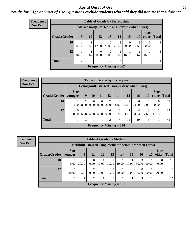#### *Age at Onset of Use* **29**

*Results for "Age at Onset of Use" questions exclude students who said they did not use that substance*

| <b>Frequency</b> | <b>Table of Grade by Steroidsinit</b> |                |                                                    |                    |                             |                         |           |                |                       |              |  |
|------------------|---------------------------------------|----------------|----------------------------------------------------|--------------------|-----------------------------|-------------------------|-----------|----------------|-----------------------|--------------|--|
| <b>Row Pct</b>   |                                       |                | Steroidsinit (I started using steroids when I was) |                    |                             |                         |           |                |                       |              |  |
|                  | Grade(Grade)                          | 9              | <b>10</b>                                          | <b>12</b>          | 13 <sup>1</sup>             | 14                      | <b>15</b> | 17             | <b>18 or</b><br>older | <b>Total</b> |  |
|                  | 10                                    | 12.50          | 12.50                                              | $12.50 \mid 25.00$ | $\mathcal{D}_{\mathcal{L}}$ | $\mathfrak{D}$<br>25.00 | 0<br>0.00 | 12.50          | 0.00                  | 8            |  |
|                  | 12                                    | 16.67          | 16.67                                              | $\theta$<br>0.00   | 0.00                        | 16.67                   | 16.67     | 16.67          | 16.67                 | 6            |  |
|                  | <b>Total</b>                          | $\mathfrak{D}$ | 2                                                  | 1                  | $\overline{2}$              | 3                       |           | $\overline{2}$ | 1                     | 14           |  |
|                  | <b>Frequency Missing = 862</b>        |                |                                                    |                    |                             |                         |           |                |                       |              |  |

**Frequency Row Pct**

| <b>Table of Grade by Ecstasyinit</b> |                                                                                                                                                         |                                                                             |                  |                  |                        |                        |            |            |            |           |    |  |
|--------------------------------------|---------------------------------------------------------------------------------------------------------------------------------------------------------|-----------------------------------------------------------------------------|------------------|------------------|------------------------|------------------------|------------|------------|------------|-----------|----|--|
|                                      |                                                                                                                                                         | Ecstasyinit (I started using ecstasy when I was)                            |                  |                  |                        |                        |            |            |            |           |    |  |
| Grade(Grade)   younger               | 8 or                                                                                                                                                    | <b>18 or</b><br>13<br>15<br>older<br>9<br>10<br><b>14</b><br>11<br>16<br>17 |                  |                  |                        |                        |            |            |            |           |    |  |
| 10                                   | 4.00                                                                                                                                                    | 2<br>8.00                                                                   | $\Omega$<br>0.00 | $\theta$<br>0.00 | $\overline{2}$<br>8.00 | $\overline{c}$<br>8.00 | 9<br>36.00 | 6<br>24.00 | 3<br>12.00 | 0<br>0.00 | 25 |  |
| 12                                   | 2<br>$\overline{2}$<br>3<br>3<br>$\boldsymbol{0}$<br>$\theta$<br>4<br>0.00<br>0.00<br>5.88<br>5.88<br>11.76<br>5.88<br>11.76<br>23.53<br>17.65<br>17.65 |                                                                             |                  |                  |                        |                        |            |            |            |           |    |  |
| <b>Total</b>                         |                                                                                                                                                         | 3                                                                           |                  | 1                | $\overline{2}$         | 4                      | 11         | 10         | 6          | 3         | 42 |  |
| Frequency Missing $= 834$            |                                                                                                                                                         |                                                                             |                  |                  |                        |                        |            |            |            |           |    |  |

|                           | <b>Table of Grade by Methinit</b> |                                                                                             |                         |                  |           |                |                  |                  |           |           |    |  |
|---------------------------|-----------------------------------|---------------------------------------------------------------------------------------------|-------------------------|------------------|-----------|----------------|------------------|------------------|-----------|-----------|----|--|
|                           |                                   | Methinit (I started using methamphetamines when I was)                                      |                         |                  |           |                |                  |                  |           |           |    |  |
| <b>Grade</b> (Grade)      | 8 or<br>younger                   | <b>18 or</b><br>9<br>13<br>older<br>12<br>15<br><b>16</b><br>14<br><b>Total</b><br>11<br>17 |                         |                  |           |                |                  |                  |           |           |    |  |
| 10                        | $\Omega$<br>0.00                  | 2<br>20.00                                                                                  | $\Omega$<br>0.00        | 10.00            | 10.00     | 10.00          | 10.00            | 3<br>30.00       | 10.00     | 0<br>0.00 | 10 |  |
| 12                        | 20.00                             | 0<br>0.00                                                                                   | $\overline{2}$<br>40.00 | $\Omega$<br>0.00 | 0<br>0.00 | 20.00          | $\Omega$<br>0.00 | $\Omega$<br>0.00 | 0<br>0.00 | 20.00     |    |  |
| <b>Total</b>              |                                   | $\overline{2}$                                                                              | $\overline{2}$          |                  |           | $\overline{2}$ |                  | 3                | 1         |           | 15 |  |
| Frequency Missing $= 861$ |                                   |                                                                                             |                         |                  |           |                |                  |                  |           |           |    |  |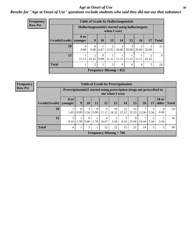#### Age at Onset of Use **30**

### *Results for "Age at Onset of Use" questions exclude students who said they did not use that substance*

| <b>Frequency</b> |              |                                                  | <b>Table of Grade by Hallucinogensinit</b> |                  |                         |            |            |            |                         |              |
|------------------|--------------|--------------------------------------------------|--------------------------------------------|------------------|-------------------------|------------|------------|------------|-------------------------|--------------|
| <b>Row Pct</b>   |              | Hallucinogensinit (I started using hallucinogens |                                            |                  | when I was)             |            |            |            |                         |              |
|                  | Grade(Grade) | 8 or<br>younger                                  | 9                                          | 10               | 13                      | 14         | 15         | <b>16</b>  | 17                      | <b>Total</b> |
|                  | 10           | $\Omega$<br>0.00                                 | $\Omega$<br>0.00                           | 6.67             | $\overline{2}$<br>13.33 | 3<br>20.00 | 3<br>20.00 | 3<br>20.00 | 3<br>20.00              | 15           |
|                  | 12           | 11.11                                            | $\overline{2}$<br>22.22                    | $\Omega$<br>0.00 | 11.11                   | 11.11      | 11.11      | 11.11      | $\mathfrak{D}$<br>22.22 | 9            |
|                  | <b>Total</b> |                                                  | $\overline{2}$                             |                  | 3                       | 4          | 4          | 4          | 5                       | 24           |
|                  |              |                                                  | Frequency Missing $= 852$                  |                  |                         |            |            |            |                         |              |

| <b>Frequency</b> |  |
|------------------|--|
| <b>Row Pct</b>   |  |

| <b>Table of Grade by Prescriptioninit</b> |                 |                                                                                          |                            |                  |            |             |             |             |                        |           |                  |              |
|-------------------------------------------|-----------------|------------------------------------------------------------------------------------------|----------------------------|------------------|------------|-------------|-------------|-------------|------------------------|-----------|------------------|--------------|
|                                           |                 | Prescriptioninit (I started using prescription drugs not prescribed to<br>me when I was) |                            |                  |            |             |             |             |                        |           |                  |              |
| Grade(Grade)                              | 8 or<br>younger | <b>18 or</b><br>15<br>13<br>9<br>10<br>11<br>12<br>14<br>older<br><b>16</b><br>17        |                            |                  |            |             |             |             |                        |           |                  | <b>Total</b> |
| 10                                        | 1.85            | $\Omega$<br>0.00                                                                         | 3<br>5.56                  | $\theta$<br>0.00 | 6<br>11.11 | 10<br>18.52 | 12<br>22.22 | 12<br>22.22 | 7<br>$12.96 \mid 5.56$ | 3         | $\Omega$<br>0.00 | 54           |
| 12                                        | 3<br>8.33       | 2.78                                                                                     | $\overline{0}$<br>$0.00\,$ | 2.78             | 6<br>16.67 | 2<br>5.56   | 3<br>8.33   | 9<br>25.00  | ┑<br>19.44             | 2<br>5.56 | 5.56             | 36           |
| <b>Total</b>                              | 4               | 1                                                                                        | $\mathcal{F}$              |                  | 12         | 12          | 15          | 21          | 14                     | 5         | $\overline{2}$   | 90           |
| Frequency Missing $= 786$                 |                 |                                                                                          |                            |                  |            |             |             |             |                        |           |                  |              |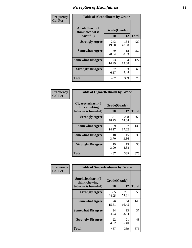| Frequency      |                                               | <b>Table of Alcoholharm by Grade</b> |              |              |  |  |  |  |  |
|----------------|-----------------------------------------------|--------------------------------------|--------------|--------------|--|--|--|--|--|
| <b>Col Pct</b> | Alcoholharm(I<br>think alcohol is<br>harmful) | Grade(Grade)<br>10                   | 12           | <b>Total</b> |  |  |  |  |  |
|                | <b>Strongly Agree</b>                         | 243<br>49.90                         | 184<br>47.30 | 427          |  |  |  |  |  |
|                | <b>Somewhat Agree</b>                         | 139<br>28.54                         | 118<br>30.33 | 257          |  |  |  |  |  |
|                | <b>Somewhat Disagree</b>                      | 73<br>14.99                          | 54<br>13.88  | 127          |  |  |  |  |  |
|                | <b>Strongly Disagree</b>                      | 32<br>6.57                           | 33<br>8.48   | 65           |  |  |  |  |  |
|                | <b>Total</b>                                  | 487                                  | 389          | 876          |  |  |  |  |  |

| <b>Table of Cigarettesharm by Grade</b>                  |                    |              |              |  |  |  |  |  |
|----------------------------------------------------------|--------------------|--------------|--------------|--|--|--|--|--|
| Cigarettesharm(I<br>think smoking<br>tobacco is harmful) | Grade(Grade)<br>10 | 12           | <b>Total</b> |  |  |  |  |  |
| <b>Strongly Agree</b>                                    | 381<br>78.23       | 288<br>74.04 | 669          |  |  |  |  |  |
| <b>Somewhat Agree</b>                                    | 69<br>14.17        | 67<br>17.22  | 136          |  |  |  |  |  |
| <b>Somewhat Disagree</b>                                 | 18<br>3.70         | 15<br>3.86   | 33           |  |  |  |  |  |
| <b>Strongly Disagree</b>                                 | 19<br>3.90         | 19<br>4.88   | 38           |  |  |  |  |  |
| Total                                                    | 487                | 389          | 876          |  |  |  |  |  |

| Frequency      | <b>Table of Smokelessharm by Grade</b>                  |                    |              |              |
|----------------|---------------------------------------------------------|--------------------|--------------|--------------|
| <b>Col Pct</b> | Smokelessharm(I<br>think chewing<br>tobacco is harmful) | Grade(Grade)<br>10 | 12           | <b>Total</b> |
|                | <b>Strongly Agree</b>                                   | 365<br>74.95       | 291<br>74.81 | 656          |
|                | <b>Somewhat Agree</b>                                   | 76<br>15.61        | 64<br>16.45  | 140          |
|                | <b>Somewhat Disagree</b>                                | 24<br>4.93         | 13<br>3.34   | 37           |
|                | <b>Strongly Disagree</b>                                | 22<br>4.52         | 21<br>5.40   | 43           |
|                | <b>Total</b>                                            | 487                | 389          | 876          |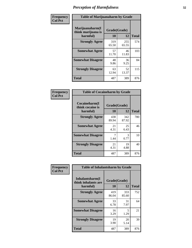| Frequency      | <b>Table of Marijuanaharm by Grade</b>            |                    |              |              |
|----------------|---------------------------------------------------|--------------------|--------------|--------------|
| <b>Col Pct</b> | Marijuanaharm(I<br>think marijuana is<br>harmful) | Grade(Grade)<br>10 | 12           | <b>Total</b> |
|                | <b>Strongly Agree</b>                             | 319<br>65.50       | 255<br>65.55 | 574          |
|                | <b>Somewhat Agree</b>                             | 57<br>11.70        | 46<br>11.83  | 103          |
|                | <b>Somewhat Disagree</b>                          | 48<br>9.86         | 36<br>9.25   | 84           |
|                | <b>Strongly Disagree</b>                          | 63<br>12.94        | 52<br>13.37  | 115          |
|                | <b>Total</b>                                      | 487                | 389          | 876          |

| <b>Table of Cocaineharm by Grade</b>          |                    |              |              |  |  |
|-----------------------------------------------|--------------------|--------------|--------------|--|--|
| Cocaineharm(I<br>think cocaine is<br>harmful) | Grade(Grade)<br>10 | 12           | <b>Total</b> |  |  |
| <b>Strongly Agree</b>                         | 438<br>89.94       | 342<br>87.92 | 780          |  |  |
| <b>Somewhat Agree</b>                         | 21<br>4.31         | 25<br>6.43   | 46           |  |  |
| <b>Somewhat Disagree</b>                      | 7<br>1.44          | 3<br>0.77    | 10           |  |  |
| <b>Strongly Disagree</b>                      | 21<br>4.31         | 19<br>4.88   | 40           |  |  |
| <b>Total</b>                                  | 487                | 389          | 876          |  |  |

| Frequency      | <b>Table of Inhalantsharm by Grade</b>  |              |              |              |  |
|----------------|-----------------------------------------|--------------|--------------|--------------|--|
| <b>Col Pct</b> | Inhalantsharm(I)<br>think inhalants are | Grade(Grade) |              |              |  |
|                | harmful)                                | 10           | 12           | <b>Total</b> |  |
|                | <b>Strongly Agree</b>                   | 419<br>86.04 | 333<br>85.60 | 752          |  |
|                | <b>Somewhat Agree</b>                   | 33<br>6.78   | 31<br>7.97   | 64           |  |
|                | <b>Somewhat Disagree</b>                | 16<br>3.29   | 5<br>1.29    | 21           |  |
|                | <b>Strongly Disagree</b>                | 19<br>3.90   | 20<br>5.14   | 39           |  |
|                | <b>Total</b>                            | 487          | 389          | 876          |  |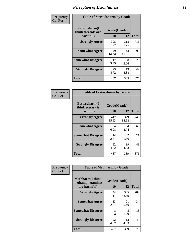| Frequency      | <b>Table of Steroidsharm by Grade</b>            |                    |              |              |
|----------------|--------------------------------------------------|--------------------|--------------|--------------|
| <b>Col Pct</b> | Steroidsharm(I<br>think steroids are<br>harmful) | Grade(Grade)<br>10 | 12           | <b>Total</b> |
|                | <b>Strongly Agree</b>                            | 398<br>81.72       | 318<br>81.75 | 716          |
|                | <b>Somewhat Agree</b>                            | 49<br>10.06        | 44<br>11.31  | 93           |
|                | <b>Somewhat Disagree</b>                         | 17<br>3.49         | 8<br>2.06    | 25           |
|                | <b>Strongly Disagree</b>                         | 23<br>4.72         | 19<br>4.88   | 42           |
|                | <b>Total</b>                                     | 487                | 389          | 876          |

| <b>Table of Ecstasyharm by Grade</b>          |                    |              |              |  |  |
|-----------------------------------------------|--------------------|--------------|--------------|--|--|
| Ecstasyharm(I<br>think ecstasy is<br>harmful) | Grade(Grade)<br>10 | 12           | <b>Total</b> |  |  |
| <b>Strongly Agree</b>                         | 417<br>85.63       | 329<br>84.58 | 746          |  |  |
| <b>Somewhat Agree</b>                         | 34<br>6.98         | 34<br>8.74   | 68           |  |  |
| <b>Somewhat Disagree</b>                      | 14<br>2.87         | 7<br>1.80    | 21           |  |  |
| <b>Strongly Disagree</b>                      | 22<br>4.52         | 19<br>4.88   | 41           |  |  |
| Total                                         | 487                | 389          | 876          |  |  |

| Frequency      | <b>Table of Methharm by Grade</b>                            |                    |              |              |
|----------------|--------------------------------------------------------------|--------------------|--------------|--------------|
| <b>Col Pct</b> | <b>Methharm</b> (I think<br>methamphetamines<br>are harmful) | Grade(Grade)<br>10 | 12           | <b>Total</b> |
|                | <b>Strongly Agree</b>                                        | 444<br>91.17       | 345<br>88.69 | 789          |
|                | <b>Somewhat Agree</b>                                        | 13<br>2.67         | 21<br>5.40   | 34           |
|                | <b>Somewhat Disagree</b>                                     | 8<br>1.64          | 5<br>1.29    | 13           |
|                | <b>Strongly Disagree</b>                                     | 22<br>4.52         | 18<br>4.63   | 40           |
|                | <b>Total</b>                                                 | 487                | 389          | 876          |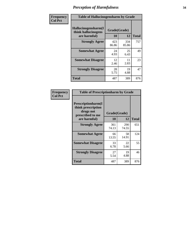| Frequency      | <b>Table of Hallucinogensharm by Grade</b>                 |                    |              |              |
|----------------|------------------------------------------------------------|--------------------|--------------|--------------|
| <b>Col Pct</b> | Hallucinogensharm(I<br>think hallucinogens<br>are harmful) | Grade(Grade)<br>10 | 12           | <b>Total</b> |
|                | <b>Strongly Agree</b>                                      | 423<br>86.86       | 334<br>85.86 | 757          |
|                | <b>Somewhat Agree</b>                                      | 24<br>4.93         | 25<br>6.43   | 49           |
|                | <b>Somewhat Disagree</b>                                   | 12<br>2.46         | 11<br>2.83   | 23           |
|                | <b>Strongly Disagree</b>                                   | 28<br>5.75         | 19<br>4.88   | 47           |
|                | <b>Total</b>                                               | 487                | 389          | 876          |

| <b>Table of Prescriptionharm by Grade</b>                                         |              |              |              |  |  |
|-----------------------------------------------------------------------------------|--------------|--------------|--------------|--|--|
| <b>Prescriptionharm</b> (I<br>think prescription<br>drugs not<br>prescribed to me | Grade(Grade) |              |              |  |  |
| are harmful)                                                                      | 10           | 12           | <b>Total</b> |  |  |
| <b>Strongly Agree</b>                                                             | 361<br>74.13 | 290<br>74.55 | 651          |  |  |
| <b>Somewhat Agree</b>                                                             | 66<br>13.55  | 58<br>14.91  | 124          |  |  |
| <b>Somewhat Disagree</b>                                                          | 33<br>6.78   | 22<br>5.66   | 55           |  |  |
| <b>Strongly Disagree</b>                                                          | 27<br>5.54   | 19<br>4.88   | 46           |  |  |
| <b>Total</b>                                                                      | 487          | 389          | 876          |  |  |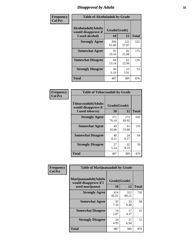# *Disapproval by Adults* **35**

| Frequency      | <b>Table of Alcoholadult by Grade</b>                                 |                    |              |              |
|----------------|-----------------------------------------------------------------------|--------------------|--------------|--------------|
| <b>Col Pct</b> | <b>Alcoholadult</b> (Adults<br>would disapprove if<br>I used alcohol) | Grade(Grade)<br>10 | 12           | <b>Total</b> |
|                | <b>Strongly Agree</b>                                                 | 300<br>61.60       | 222<br>57.07 | 522          |
|                | <b>Somewhat Agree</b>                                                 | 93<br>19.10        | 82<br>21.08  | 175          |
|                | <b>Somewhat Disagree</b>                                              | 64<br>13.14        | 62<br>15.94  | 126          |
|                | <b>Strongly Disagree</b>                                              | 30<br>6.16         | 23<br>5.91   | 53           |
|                | <b>Total</b>                                                          | 487                | 389          | 876          |

| <b>Table of Tobaccoadult by Grade</b>                                |                    |              |              |  |  |
|----------------------------------------------------------------------|--------------------|--------------|--------------|--|--|
| <b>Tobaccoadult(Adults</b><br>would disapprove if<br>I used tobacco) | Grade(Grade)<br>10 | 12           | <b>Total</b> |  |  |
| <b>Strongly Agree</b>                                                | 371<br>76.18       | 272<br>69.92 | 643          |  |  |
| <b>Somewhat Agree</b>                                                | 49<br>10.06        | 61<br>15.68  | 110          |  |  |
| <b>Somewhat Disagree</b>                                             | 40<br>8.21         | 24<br>6.17   | 64           |  |  |
| <b>Strongly Disagree</b>                                             | 27<br>5.54         | 32<br>8.23   | 59           |  |  |
| <b>Total</b>                                                         | 487                | 389          | 876          |  |  |

| Frequency      | <b>Table of Marijuanaadult by Grade</b>                           |                    |              |              |  |
|----------------|-------------------------------------------------------------------|--------------------|--------------|--------------|--|
| <b>Col Pct</b> | Marijuanaadult(Adults<br>would disapprove if I<br>used marijuana) | Grade(Grade)<br>10 | 12           | <b>Total</b> |  |
|                | <b>Strongly Agree</b>                                             | 414<br>85.01       | 312<br>80.21 | 726          |  |
|                | <b>Somewhat Agree</b>                                             | 35<br>7.19         | 33<br>8.48   | 68           |  |
|                | <b>Somewhat Disagree</b>                                          | 14<br>2.87         | 17<br>4.37   | 31           |  |
|                | <b>Strongly Disagree</b>                                          | 24<br>4.93         | 27<br>6.94   | 51           |  |
|                | <b>Total</b>                                                      | 487                | 389          | 876          |  |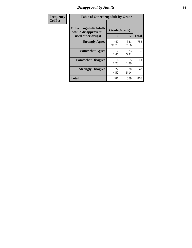# *Disapproval by Adults* **36**

| Frequency      | <b>Table of Otherdrugadult by Grade</b>                                     |                    |              |              |  |
|----------------|-----------------------------------------------------------------------------|--------------------|--------------|--------------|--|
| <b>Col Pct</b> | <b>Otherdrugadult</b> (Adults<br>would disapprove if I<br>used other drugs) | Grade(Grade)<br>10 | 12           | <b>Total</b> |  |
|                | <b>Strongly Agree</b>                                                       | 447<br>91.79       | 341<br>87.66 | 788          |  |
|                | <b>Somewhat Agree</b>                                                       | 12<br>2.46         | 23<br>5.91   | 35           |  |
|                | <b>Somewhat Disagree</b>                                                    | 6<br>1.23          | 5<br>1.29    | 11           |  |
|                | <b>Strongly Disagree</b>                                                    | 22<br>4.52         | 20<br>5.14   | 42           |  |
|                | <b>Total</b>                                                                | 487                | 389          | 876          |  |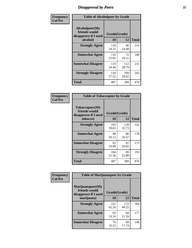# *Disapproval by Peers* **37**

| Frequency      | <b>Table of Alcoholpeer by Grade</b>                    |              |              |              |
|----------------|---------------------------------------------------------|--------------|--------------|--------------|
| <b>Col Pct</b> | Alcoholpeer(My<br>friends would<br>disapprove if I used | Grade(Grade) |              |              |
|                | alcohol)                                                | 10           | 12           | <b>Total</b> |
|                | <b>Strongly Agree</b>                                   | 118<br>24.23 | 96<br>24.68  | 214          |
|                | <b>Somewhat Agree</b>                                   | 116<br>23.82 | 72<br>18.51  | 188          |
|                | <b>Somewhat Disagree</b>                                | 119<br>24.44 | 112<br>28.79 | 231          |
|                | <b>Strongly Disagree</b>                                | 134<br>27.52 | 109<br>28.02 | 243          |
|                | Total                                                   | 487          | 389          | 876          |

| Frequency      | <b>Table of Tobaccopeer by Grade</b>                                |                    |             |              |
|----------------|---------------------------------------------------------------------|--------------------|-------------|--------------|
| <b>Col Pct</b> | Tobaccopeer(My<br>friends would<br>disapprove if I used<br>tobacco) | Grade(Grade)<br>10 | 12          | <b>Total</b> |
|                | <b>Strongly Agree</b>                                               | 193                | 139         | 332          |
|                |                                                                     | 39.63              | 35.73       |              |
|                | <b>Somewhat Agree</b>                                               | 98<br>20.12        | 80<br>20.57 | 178          |
|                | <b>Somewhat Disagree</b>                                            | 92<br>18.89        | 81<br>20.82 | 173          |
|                | <b>Strongly Disagree</b>                                            | 104<br>21.36       | 89<br>22.88 | 193          |
|                | Total                                                               | 487                | 389         | 876          |

| Frequency      | <b>Table of Marijuanapeer by Grade</b>                    |              |              |              |
|----------------|-----------------------------------------------------------|--------------|--------------|--------------|
| <b>Col Pct</b> | Marijuanapeer(My<br>friends would<br>disapprove if I used | Grade(Grade) |              |              |
|                | marijuana)                                                | 10           | 12           | <b>Total</b> |
|                | <b>Strongly Agree</b>                                     | 222<br>45.59 | 172<br>44.22 | 394          |
|                | <b>Somewhat Agree</b>                                     | 93<br>19.10  | 84<br>21.59  | 177          |
|                | <b>Somewhat Disagree</b>                                  | 79<br>16.22  | 69<br>17.74  | 148          |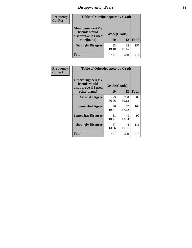# *Disapproval by Peers* **38**

| Frequency<br><b>Col Pct</b> | <b>Table of Marijuanapeer by Grade</b>                                  |                    |             |              |
|-----------------------------|-------------------------------------------------------------------------|--------------------|-------------|--------------|
|                             | Marijuanapeer(My<br>friends would<br>disapprove if I used<br>marijuana) | Grade(Grade)<br>10 | 12          | <b>Total</b> |
|                             | <b>Strongly Disagree</b>                                                | 93<br>19.10        | 64<br>16.45 | 157          |
|                             | Total                                                                   | 487                | 389         | 876          |

| <b>Frequency</b> | <b>Table of Otherdrugpeer by Grade</b>                                    |                           |              |              |
|------------------|---------------------------------------------------------------------------|---------------------------|--------------|--------------|
| <b>Col Pct</b>   | Otherdrugpeer(My<br>friends would<br>disapprove if I used<br>other drugs) | Grade(Grade)<br><b>10</b> | 12           | <b>Total</b> |
|                  | <b>Strongly Agree</b>                                                     | 273<br>56.06              | 230<br>59.13 | 503          |
|                  | <b>Somewhat Agree</b>                                                     | 96<br>19.71               | 67<br>17.22  | 163          |
|                  | <b>Somewhat Disagree</b>                                                  | 51<br>10.47               | 48<br>12.34  | 99           |
|                  | <b>Strongly Disagree</b>                                                  | 67<br>13.76               | 44<br>11.31  | 111          |
|                  | Total                                                                     | 487                       | 389          | 876          |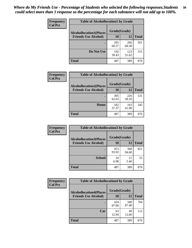| Frequency | <b>Table of Alcohollocation1 by Grade</b><br><b>Col Pct</b><br>Grade(Grade)<br><b>Alcohollocation1(Places</b> |              |              |              |
|-----------|---------------------------------------------------------------------------------------------------------------|--------------|--------------|--------------|
|           |                                                                                                               |              |              |              |
|           | <b>Friends Use Alcohol)</b>                                                                                   | 10           | 12           | <b>Total</b> |
|           |                                                                                                               | 295<br>60.57 | 266<br>68.38 | 561          |
|           | Do Not Use                                                                                                    | 192<br>39.43 | 123<br>31.62 | 315          |
|           | <b>Total</b>                                                                                                  | 487          | 389          | 876          |

| Frequency      | <b>Table of Alcohollocation2 by Grade</b>                     |                    |              |              |
|----------------|---------------------------------------------------------------|--------------------|--------------|--------------|
| <b>Col Pct</b> | <b>Alcohollocation2(Places</b><br><b>Friends Use Alcohol)</b> | Grade(Grade)<br>10 | 12           | <b>Total</b> |
|                |                                                               |                    |              |              |
|                |                                                               | 305<br>62.63       | 226<br>58.10 | 531          |
|                | Home                                                          | 182<br>37.37       | 163<br>41.90 | 345          |
|                | Total                                                         | 487                | 389          | 876          |

| Frequency      | <b>Table of Alcohollocation3 by Grade</b>                     |                    |              |              |
|----------------|---------------------------------------------------------------|--------------------|--------------|--------------|
| <b>Col Pct</b> | <b>Alcohollocation3(Places</b><br><b>Friends Use Alcohol)</b> | Grade(Grade)<br>10 | 12           | <b>Total</b> |
|                |                                                               |                    |              |              |
|                |                                                               | 453<br>93.02       | 368<br>94.60 | 821          |
|                | <b>School</b>                                                 | 34<br>6.98         | 21<br>5.40   | 55           |
|                | Total                                                         | 487                | 389          | 876          |

| <b>Frequency</b> | <b>Table of Alcohollocation4 by Grade</b> |              |              |              |  |
|------------------|-------------------------------------------|--------------|--------------|--------------|--|
| <b>Col Pct</b>   | <b>Alcohollocation4(Places</b>            | Grade(Grade) |              |              |  |
|                  | <b>Friends Use Alcohol)</b>               | 10           | 12           | <b>Total</b> |  |
|                  |                                           | 424<br>87.06 | 340<br>87.40 | 764          |  |
|                  | Car                                       | 63<br>12.94  | 49<br>12.60  | 112          |  |
|                  | <b>Total</b>                              | 487          | 389          | 876          |  |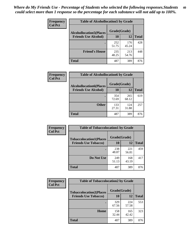| Frequency<br><b>Col Pct</b> | <b>Table of Alcohollocation5 by Grade</b><br>Grade(Grade)<br><b>Alcohollocation5(Places</b> |              |              |              |
|-----------------------------|---------------------------------------------------------------------------------------------|--------------|--------------|--------------|
|                             |                                                                                             |              |              |              |
|                             | <b>Friends Use Alcohol)</b>                                                                 | 10           | 12           | <b>Total</b> |
|                             |                                                                                             | 252<br>51.75 | 176<br>45.24 | 428          |
|                             | <b>Friend's House</b>                                                                       | 235<br>48.25 | 213<br>54.76 | 448          |
|                             | <b>Total</b>                                                                                | 487          | 389          | 876          |

| <b>Frequency</b> | <b>Table of Alcohollocation6 by Grade</b> |              |              |              |  |  |
|------------------|-------------------------------------------|--------------|--------------|--------------|--|--|
| <b>Col Pct</b>   | <b>Alcohollocation6(Places</b>            | Grade(Grade) |              |              |  |  |
|                  | <b>Friends Use Alcohol)</b>               | 10           | 12           | <b>Total</b> |  |  |
|                  |                                           | 354<br>72.69 | 265<br>68.12 | 619          |  |  |
|                  | <b>Other</b>                              | 133<br>27.31 | 124<br>31.88 | 257          |  |  |
|                  | <b>Total</b>                              | 487          | 389          | 876          |  |  |

| Frequency      | <b>Table of Tobaccolocation1 by Grade</b> |              |              |              |
|----------------|-------------------------------------------|--------------|--------------|--------------|
| <b>Col Pct</b> | <b>Tobaccolocation1(Places</b>            | Grade(Grade) |              |              |
|                | <b>Friends Use Tobacco)</b>               | 10           | <b>12</b>    | <b>Total</b> |
|                |                                           | 238<br>48.87 | 221<br>56.81 | 459          |
|                | Do Not Use                                | 249<br>51.13 | 168<br>43.19 | 417          |
|                | <b>Total</b>                              | 487          | 389          | 876          |

| Frequency      | <b>Table of Tobaccolocation2 by Grade</b> |              |              |              |
|----------------|-------------------------------------------|--------------|--------------|--------------|
| <b>Col Pct</b> | <b>Tobaccolocation2(Places</b>            | Grade(Grade) |              |              |
|                | <b>Friends Use Tobacco)</b>               | 10           | 12           | <b>Total</b> |
|                |                                           | 329<br>67.56 | 224<br>57.58 | 553          |
|                | Home                                      | 158<br>32.44 | 165<br>42.42 | 323          |
|                | <b>Total</b>                              | 487          | 389          | 876          |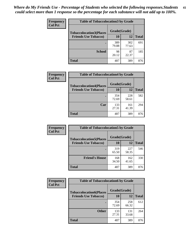| Frequency      | <b>Table of Tobaccolocation 3 by Grade</b> |              |              |              |  |
|----------------|--------------------------------------------|--------------|--------------|--------------|--|
| <b>Col Pct</b> | <b>Tobaccolocation3(Places</b>             | Grade(Grade) |              |              |  |
|                | <b>Friends Use Tobacco)</b>                | 10           | 12           | <b>Total</b> |  |
|                |                                            | 389<br>79.88 | 302<br>77.63 | 691          |  |
|                | <b>School</b>                              | 98<br>20.12  | 87<br>22.37  | 185          |  |
|                | <b>Total</b>                               | 487          | 389          | 876          |  |

| Frequency      | <b>Table of Tobaccolocation4 by Grade</b> |              |              |              |
|----------------|-------------------------------------------|--------------|--------------|--------------|
| <b>Col Pct</b> | <b>Tobaccolocation4(Places</b>            | Grade(Grade) |              |              |
|                | <b>Friends Use Tobacco)</b>               | 10           | 12           | <b>Total</b> |
|                |                                           | 354<br>72.69 | 228<br>58.61 | 582          |
|                | Car                                       | 133<br>27.31 | 161<br>41.39 | 294          |
|                | <b>Total</b>                              | 487          | 389          | 876          |

 $\overline{\phantom{a}}$ 

| <b>Frequency</b> | <b>Table of Tobaccolocation5 by Grade</b> |              |              |              |
|------------------|-------------------------------------------|--------------|--------------|--------------|
| <b>Col Pct</b>   | <b>Tobaccolocation5(Places</b>            | Grade(Grade) |              |              |
|                  | <b>Friends Use Tobacco)</b>               | 10           | 12           | <b>Total</b> |
|                  |                                           | 319<br>65.50 | 227<br>58.35 | 546          |
|                  | <b>Friend's House</b>                     | 168<br>34.50 | 162<br>41.65 | 330          |
|                  | <b>Total</b>                              | 487          | 389          | 876          |

| <b>Frequency</b> | <b>Table of Tobaccolocation6 by Grade</b> |              |              |              |  |  |
|------------------|-------------------------------------------|--------------|--------------|--------------|--|--|
| <b>Col Pct</b>   | <b>Tobaccolocation6(Places</b>            | Grade(Grade) |              |              |  |  |
|                  | <b>Friends Use Tobacco)</b>               | 10           | 12           | <b>Total</b> |  |  |
|                  |                                           | 354<br>72.69 | 258<br>66.32 | 612          |  |  |
|                  | <b>Other</b>                              | 133<br>27.31 | 131<br>33.68 | 264          |  |  |
|                  | <b>Total</b>                              | 487          | 389          | 876          |  |  |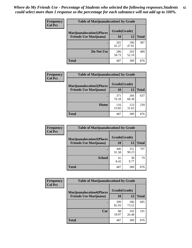| <b>Frequency</b> | <b>Table of Marijuanalocation1 by Grade</b> |              |              |              |
|------------------|---------------------------------------------|--------------|--------------|--------------|
| <b>Col Pct</b>   | <b>Marijuanalocation1(Places</b>            | Grade(Grade) |              |              |
|                  | <b>Friends Use Marijuana</b> )              | 10           | 12           | <b>Total</b> |
|                  |                                             | 201<br>41.27 | 186<br>47.81 | 387          |
|                  | Do Not Use                                  | 286<br>58.73 | 203<br>52.19 | 489          |
|                  | <b>Total</b>                                | 487          | 389          | 876          |

| <b>Frequency</b> | <b>Table of Marijuanalocation2 by Grade</b>                        |                    |              |              |
|------------------|--------------------------------------------------------------------|--------------------|--------------|--------------|
| <b>Col Pct</b>   | <b>Marijuanalocation2(Places</b><br><b>Friends Use Marijuana</b> ) | Grade(Grade)<br>10 | 12           | <b>Total</b> |
|                  |                                                                    | 371<br>76.18       | 266<br>68.38 | 637          |
|                  | Home                                                               | 116<br>23.82       | 123<br>31.62 | 239          |
|                  | <b>Total</b>                                                       | 487                | 389          | 876          |

| Frequency<br><b>Col Pct</b> | <b>Table of Marijuanalocation3 by Grade</b> |              |              |              |
|-----------------------------|---------------------------------------------|--------------|--------------|--------------|
|                             | <b>Marijuanalocation3(Places</b>            | Grade(Grade) |              |              |
|                             | <b>Friends Use Marijuana</b> )              | 10           | 12           | <b>Total</b> |
|                             |                                             | 446<br>91.58 | 351<br>90.23 | 797          |
|                             | <b>School</b>                               | 41<br>8.42   | 38<br>9.77   | 79           |
|                             | <b>Total</b>                                | 487          | 389          | 876          |

| <b>Frequency</b> | <b>Table of Marijuanalocation4 by Grade</b> |              |              |              |
|------------------|---------------------------------------------|--------------|--------------|--------------|
| <b>Col Pct</b>   | <b>Marijuanalocation4(Places</b>            | Grade(Grade) |              |              |
|                  | <b>Friends Use Marijuana</b> )              | <b>10</b>    | 12           | <b>Total</b> |
|                  |                                             | 399<br>81.93 | 286<br>73.52 | 685          |
|                  | Car                                         | 88<br>18.07  | 103<br>26.48 | 191          |
|                  | <b>Total</b>                                | 487          | 389          | 876          |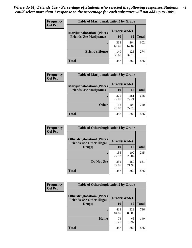| <b>Frequency</b> | <b>Table of Marijuanalocation5 by Grade</b> |              |              |              |
|------------------|---------------------------------------------|--------------|--------------|--------------|
| <b>Col Pct</b>   | <b>Marijuanalocation5</b> (Places           | Grade(Grade) |              |              |
|                  | <b>Friends Use Marijuana</b> )              | 10           | 12           | <b>Total</b> |
|                  |                                             | 338<br>69.40 | 264<br>67.87 | 602          |
|                  | <b>Friend's House</b>                       | 149<br>30.60 | 125<br>32.13 | 274          |
|                  | <b>Total</b>                                | 487          | 389          | 876          |

| <b>Frequency</b> | <b>Table of Marijuanalocation6 by Grade</b>                        |                    |              |              |
|------------------|--------------------------------------------------------------------|--------------------|--------------|--------------|
| <b>Col Pct</b>   | <b>Marijuanalocation6(Places</b><br><b>Friends Use Marijuana</b> ) | Grade(Grade)<br>10 | 12           | <b>Total</b> |
|                  |                                                                    | 375<br>77.00       | 281<br>72.24 | 656          |
|                  | <b>Other</b>                                                       | 112<br>23.00       | 108<br>27.76 | 220          |
|                  | <b>Total</b>                                                       | 487                | 389          | 876          |

| <b>Frequency</b> | <b>Table of Otherdruglocation1 by Grade</b>                          |              |              |              |
|------------------|----------------------------------------------------------------------|--------------|--------------|--------------|
| <b>Col Pct</b>   | <b>Otherdruglocation1(Places</b><br><b>Friends Use Other Illegal</b> | Grade(Grade) |              |              |
|                  | Drugs)                                                               | 10           | 12           | <b>Total</b> |
|                  |                                                                      | 136<br>27.93 | 109<br>28.02 | 245          |
|                  | Do Not Use                                                           | 351<br>72.07 | 280<br>71.98 | 631          |
|                  | <b>Total</b>                                                         | 487          | 389          | 876          |

| <b>Frequency</b> | <b>Table of Otherdruglocation2 by Grade</b>                          |              |              |              |
|------------------|----------------------------------------------------------------------|--------------|--------------|--------------|
| <b>Col Pct</b>   | <b>Otherdruglocation2(Places</b><br><b>Friends Use Other Illegal</b> | Grade(Grade) |              |              |
|                  | Drugs)                                                               | 10           | 12           | <b>Total</b> |
|                  |                                                                      | 413<br>84.80 | 323<br>83.03 | 736          |
|                  | Home                                                                 | 74<br>15.20  | 66<br>16.97  | 140          |
|                  | <b>Total</b>                                                         | 487          | 389          | 876          |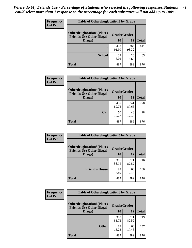| <b>Frequency</b> | <b>Table of Otherdruglocation3 by Grade</b>                                          |              |              |              |
|------------------|--------------------------------------------------------------------------------------|--------------|--------------|--------------|
| <b>Col Pct</b>   | <b>Otherdruglocation3(Places</b><br>Grade(Grade)<br><b>Friends Use Other Illegal</b> |              |              |              |
|                  | Drugs)                                                                               | 10           | 12           | <b>Total</b> |
|                  |                                                                                      | 448<br>91.99 | 363<br>93.32 | 811          |
|                  | <b>School</b>                                                                        | 39<br>8.01   | 26<br>6.68   | 65           |
|                  | <b>Total</b>                                                                         | 487          | 389          | 876          |

| <b>Frequency</b><br><b>Col Pct</b> | <b>Table of Otherdruglocation4 by Grade</b>                          |              |              |              |
|------------------------------------|----------------------------------------------------------------------|--------------|--------------|--------------|
|                                    | <b>Otherdruglocation4(Places</b><br><b>Friends Use Other Illegal</b> | Grade(Grade) |              |              |
|                                    | Drugs)                                                               | 10           | 12           | <b>Total</b> |
|                                    |                                                                      | 437<br>89.73 | 341<br>87.66 | 778          |
|                                    | Car                                                                  | 50<br>10.27  | 48<br>12.34  | 98           |
|                                    | <b>Total</b>                                                         | 487          | 389          | 876          |

| Frequency      | <b>Table of Otherdruglocation5 by Grade</b>                          |              |              |              |
|----------------|----------------------------------------------------------------------|--------------|--------------|--------------|
| <b>Col Pct</b> | <b>Otherdruglocation5(Places</b><br><b>Friends Use Other Illegal</b> | Grade(Grade) |              |              |
|                | Drugs)                                                               | 10           | 12           | <b>Total</b> |
|                |                                                                      | 395<br>81.11 | 321<br>82.52 | 716          |
|                | <b>Friend's House</b>                                                | 92<br>18.89  | 68<br>17.48  | 160          |
|                | <b>Total</b>                                                         | 487          | 389          | 876          |

| <b>Frequency</b> | <b>Table of Otherdruglocation6 by Grade</b>                           |              |              |              |
|------------------|-----------------------------------------------------------------------|--------------|--------------|--------------|
| <b>Col Pct</b>   | <b>Otherdruglocation6(Places)</b><br><b>Friends Use Other Illegal</b> | Grade(Grade) |              |              |
|                  | Drugs)                                                                | 10           | 12           | <b>Total</b> |
|                  |                                                                       | 398<br>81.72 | 321<br>82.52 | 719          |
|                  | <b>Other</b>                                                          | 89<br>18.28  | 68<br>17.48  | 157          |
|                  | <b>Total</b>                                                          | 487          | 389          | 876          |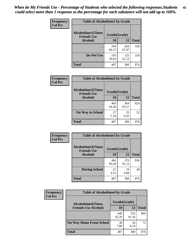| Frequency      | <b>Table of Alcoholtime1 by Grade</b>           |              |              |              |
|----------------|-------------------------------------------------|--------------|--------------|--------------|
| <b>Col Pct</b> | <b>Alcoholtime1(Times</b><br><b>Friends Use</b> | Grade(Grade) |              |              |
|                | Alcohol)                                        | 10           | 12           | <b>Total</b> |
|                |                                                 | 294<br>60.37 | 264<br>67.87 | 558          |
|                | Do Not Use                                      | 193<br>39.63 | 125<br>32.13 | 318          |
|                | <b>Total</b>                                    | 487          | 389          | 876          |

| Frequency      | <b>Table of Alcoholtime2 by Grade</b>           |              |              |              |
|----------------|-------------------------------------------------|--------------|--------------|--------------|
| <b>Col Pct</b> | <b>Alcoholtime2(Times</b><br><b>Friends Use</b> | Grade(Grade) |              |              |
|                | Alcohol)                                        | 10           | 12           | <b>Total</b> |
|                |                                                 | 460<br>94.46 | 364<br>93.57 | 824          |
|                | <b>On Way to School</b>                         | 27<br>5.54   | 25<br>6.43   | 52           |
|                | <b>Total</b>                                    | 487          | 389          | 876          |

| Frequency<br><b>Col Pct</b> | <b>Table of Alcoholtime3 by Grade</b>                           |              |              |              |
|-----------------------------|-----------------------------------------------------------------|--------------|--------------|--------------|
|                             | <b>Alcoholtime3(Times</b><br>Grade(Grade)<br><b>Friends Use</b> |              |              |              |
|                             | <b>Alcohol</b> )                                                | 10           | 12           | <b>Total</b> |
|                             |                                                                 | 466<br>95.69 | 370<br>95.12 | 836          |
|                             | <b>During School</b>                                            | 21<br>4.31   | 19<br>4.88   | 40           |
|                             | Total                                                           | 487          | 389          | 876          |

| <b>Frequency</b><br><b>Col Pct</b> | <b>Table of Alcoholtime4 by Grade</b> |              |              |              |
|------------------------------------|---------------------------------------|--------------|--------------|--------------|
|                                    | <b>Alcoholtime4(Times</b>             | Grade(Grade) |              |              |
|                                    | <b>Friends Use Alcohol)</b>           | 10           | 12           | <b>Total</b> |
|                                    |                                       | 449<br>92.20 | 355<br>91.26 | 804          |
|                                    | <b>On Way Home From School</b>        | 38<br>7.80   | 34<br>8.74   | 72           |
|                                    | <b>Total</b>                          | 487          | 389          | 876          |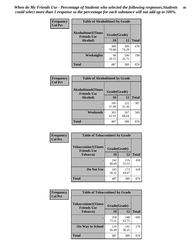*When do My Friends Use - Percentage of Students who selected the following responses.Students could select more than 1 response so the percentage for each substance will not add up to 100%.* **46**

| Frequency      | <b>Table of Alcoholtime5 by Grade</b>           |              |              |              |
|----------------|-------------------------------------------------|--------------|--------------|--------------|
| <b>Col Pct</b> | <b>Alcoholtime5(Times</b><br><b>Friends Use</b> | Grade(Grade) |              |              |
|                | Alcohol)                                        | 10           | 12           | <b>Total</b> |
|                |                                                 | 389<br>79.88 | 289<br>74.29 | 678          |
|                | Weeknights                                      | 98<br>20.12  | 100<br>25.71 | 198          |
|                | <b>Total</b>                                    | 487          | 389          | 876          |

| Frequency      | <b>Table of Alcoholtime6 by Grade</b>           |              |              |              |
|----------------|-------------------------------------------------|--------------|--------------|--------------|
| <b>Col Pct</b> | <b>Alcoholtime6(Times</b><br><b>Friends Use</b> | Grade(Grade) |              |              |
|                | Alcohol)                                        | 10           | 12           | <b>Total</b> |
|                |                                                 | 185<br>37.99 | 122<br>31.36 | 307          |
|                | Weekends                                        | 302<br>62.01 | 267<br>68.64 | 569          |
|                | <b>Total</b>                                    | 487          | 389          | 876          |

| Frequency<br><b>Col Pct</b> | <b>Table of Tobaccotime1 by Grade</b>           |              |              |              |
|-----------------------------|-------------------------------------------------|--------------|--------------|--------------|
|                             | <b>Tobaccotime1(Times</b><br><b>Friends Use</b> | Grade(Grade) |              |              |
|                             | <b>Tobacco</b> )                                | 10           | 12           | <b>Total</b> |
|                             |                                                 | 242<br>49.69 | 216<br>55.53 | 458          |
|                             | Do Not Use                                      | 245<br>50.31 | 173<br>44.47 | 418          |
|                             | <b>Total</b>                                    | 487          | 389          | 876          |

| <b>Frequency</b> | <b>Table of Tobaccotime2 by Grade</b>           |              |              |              |
|------------------|-------------------------------------------------|--------------|--------------|--------------|
| <b>Col Pct</b>   | <b>Tobaccotime2(Times</b><br><b>Friends Use</b> | Grade(Grade) |              |              |
|                  | <b>Tobacco</b> )                                | 10           | 12           | <b>Total</b> |
|                  |                                                 | 358<br>73.51 | 248<br>63.75 | 606          |
|                  | <b>On Way to School</b>                         | 129<br>26.49 | 141<br>36.25 | 270          |
|                  | <b>Total</b>                                    | 487          | 389          | 876          |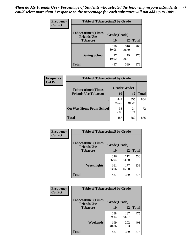*When do My Friends Use - Percentage of Students who selected the following responses.Students could select more than 1 response so the percentage for each substance will not add up to 100%.* **47**

| <b>Frequency</b> | <b>Table of Tobaccotime3 by Grade</b>           |              |              |              |  |
|------------------|-------------------------------------------------|--------------|--------------|--------------|--|
| <b>Col Pct</b>   | <b>Tobaccotime3(Times</b><br><b>Friends Use</b> |              | Grade(Grade) |              |  |
|                  | <b>Tobacco</b> )                                | 10           | 12           | <b>Total</b> |  |
|                  |                                                 | 390<br>80.08 | 310<br>79.69 | 700          |  |
|                  | <b>During School</b>                            | 97<br>19.92  | 79<br>20.31  | 176          |  |
|                  | <b>Total</b>                                    | 487          | 389          | 876          |  |

| Frequency<br><b>Col Pct</b> | <b>Table of Tobaccotime4 by Grade</b> |              |              |              |
|-----------------------------|---------------------------------------|--------------|--------------|--------------|
|                             | <b>Tobaccotime4(Times</b>             | Grade(Grade) |              |              |
|                             | <b>Friends Use Tobacco)</b>           | 10           | 12           | <b>Total</b> |
|                             |                                       | 449<br>92.20 | 355<br>91.26 | 804          |
|                             | <b>On Way Home From School</b>        | 38<br>7.80   | 34<br>8.74   | 72           |
|                             | <b>Total</b>                          | 487          | 389          | 876          |

| Frequency      | <b>Table of Tobaccotime5 by Grade</b>           |              |              |              |
|----------------|-------------------------------------------------|--------------|--------------|--------------|
| <b>Col Pct</b> | <b>Tobaccotime5(Times</b><br><b>Friends Use</b> | Grade(Grade) |              |              |
|                | <b>Tobacco</b> )                                | 10           | 12           | <b>Total</b> |
|                |                                                 | 326<br>66.94 | 212<br>54.50 | 538          |
|                | Weeknights                                      | 161<br>33.06 | 177<br>45.50 | 338          |
|                | <b>Total</b>                                    | 487          | 389          | 876          |

| Frequency      | <b>Table of Tobaccotime6 by Grade</b>           |              |              |              |
|----------------|-------------------------------------------------|--------------|--------------|--------------|
| <b>Col Pct</b> | <b>Tobaccotime6(Times</b><br><b>Friends Use</b> | Grade(Grade) |              |              |
|                | <b>Tobacco</b> )                                | 10           | 12           | <b>Total</b> |
|                |                                                 | 288<br>59.14 | 187<br>48.07 | 475          |
|                | Weekends                                        | 199<br>40.86 | 202<br>51.93 | 401          |
|                | Total                                           | 487          | 389          | 876          |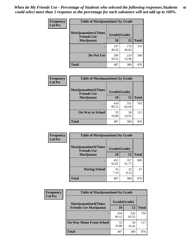| Frequency      | <b>Table of Marijuanatime1 by Grade</b>           |              |              |              |
|----------------|---------------------------------------------------|--------------|--------------|--------------|
| <b>Col Pct</b> | <b>Marijuanatime1(Times</b><br><b>Friends Use</b> | Grade(Grade) |              |              |
|                | Marijuana)                                        | 10           | 12           | <b>Total</b> |
|                |                                                   | 197<br>40.45 | 179<br>46.02 | 376          |
|                | Do Not Use                                        | 290<br>59.55 | 210<br>53.98 | 500          |
|                | <b>Total</b>                                      | 487          | 389          | 876          |

| Frequency      | <b>Table of Marijuanatime2 by Grade</b>    |              |              |              |
|----------------|--------------------------------------------|--------------|--------------|--------------|
| <b>Col Pct</b> | Marijuanatime2(Times<br><b>Friends Use</b> | Grade(Grade) |              |              |
|                | Marijuana)                                 | 10           | 12           | <b>Total</b> |
|                | ٠                                          | 434<br>89.12 | 331<br>85.09 | 765          |
|                | <b>On Way to School</b>                    | 53<br>10.88  | 58<br>14.91  | 111          |
|                | <b>Total</b>                               | 487          | 389          | 876          |

| <b>Frequency</b> | <b>Table of Marijuanatime3 by Grade</b>    |              |              |              |
|------------------|--------------------------------------------|--------------|--------------|--------------|
| <b>Col Pct</b>   | Marijuanatime3(Times<br><b>Friends Use</b> | Grade(Grade) |              |              |
|                  | Marijuana)                                 | 10           | 12           | <b>Total</b> |
|                  |                                            | 452<br>92.81 | 357<br>91.77 | 809          |
|                  | <b>During School</b>                       | 35<br>7.19   | 32<br>8.23   | 67           |
|                  | <b>Total</b>                               | 487          | 389          | 876          |

| <b>Frequency</b><br><b>Col Pct</b> | <b>Table of Marijuanatime4 by Grade</b> |              |              |              |
|------------------------------------|-----------------------------------------|--------------|--------------|--------------|
|                                    | <b>Marijuanatime4(Times</b>             | Grade(Grade) |              |              |
|                                    | <b>Friends Use Marijuana</b> )          | 10           | 12           | <b>Total</b> |
|                                    |                                         | 434<br>89.12 | 325<br>83.55 | 759          |
|                                    | <b>On Way Home From School</b>          | 53<br>10.88  | 64<br>16.45  | 117          |
|                                    | <b>Total</b>                            | 487          | 389          | 876          |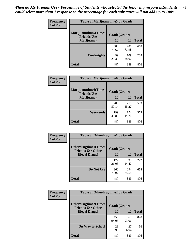| Frequency      | <b>Table of Marijuanatime5 by Grade</b>            |              |              |              |
|----------------|----------------------------------------------------|--------------|--------------|--------------|
| <b>Col Pct</b> | <b>Marijuanatime5</b> (Times<br><b>Friends Use</b> | Grade(Grade) |              |              |
|                | Marijuana)                                         | 10           | 12           | <b>Total</b> |
|                |                                                    | 388<br>79.67 | 280<br>71.98 | 668          |
|                | <b>Weeknights</b>                                  | 99<br>20.33  | 109<br>28.02 | 208          |
|                | <b>Total</b>                                       | 487          | 389          | 876          |

| Frequency      | <b>Table of Marijuanatime6 by Grade</b>    |              |              |              |
|----------------|--------------------------------------------|--------------|--------------|--------------|
| <b>Col Pct</b> | Marijuanatime6(Times<br><b>Friends Use</b> | Grade(Grade) |              |              |
|                | Marijuana)                                 | 10           | 12           | <b>Total</b> |
|                |                                            | 288<br>59.14 | 215<br>55.27 | 503          |
|                | Weekends                                   | 199<br>40.86 | 174<br>44.73 | 373          |
|                | <b>Total</b>                               | 487          | 389          | 876          |

| Frequency<br><b>Col Pct</b> | <b>Table of Otherdrugtime1 by Grade</b>                 |              |              |              |
|-----------------------------|---------------------------------------------------------|--------------|--------------|--------------|
|                             | <b>Otherdrugtime1(Times</b><br><b>Friends Use Other</b> | Grade(Grade) |              |              |
|                             | <b>Illegal Drugs)</b>                                   | 10           | 12           | <b>Total</b> |
|                             |                                                         | 127<br>26.08 | 95<br>24.42  | 222          |
|                             | Do Not Use                                              | 360<br>73.92 | 294<br>75.58 | 654          |
|                             | <b>Total</b>                                            | 487          | 389          | 876          |

| <b>Frequency</b> | <b>Table of Otherdrugtime2 by Grade</b>                 |              |              |              |  |  |
|------------------|---------------------------------------------------------|--------------|--------------|--------------|--|--|
| <b>Col Pct</b>   | <b>Otherdrugtime2(Times</b><br><b>Friends Use Other</b> | Grade(Grade) |              |              |  |  |
|                  | <b>Illegal Drugs</b> )                                  | 10           | 12           | <b>Total</b> |  |  |
|                  |                                                         | 458<br>94.05 | 362<br>93.06 | 820          |  |  |
|                  | <b>On Way to School</b>                                 | 29<br>5.95   | 27<br>6.94   | 56           |  |  |
|                  | <b>Total</b>                                            | 487          | 389          | 876          |  |  |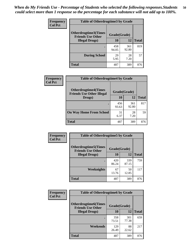| <b>Frequency</b> | <b>Table of Otherdrugtime3 by Grade</b>                 |              |              |              |  |  |
|------------------|---------------------------------------------------------|--------------|--------------|--------------|--|--|
| <b>Col Pct</b>   | <b>Otherdrugtime3(Times</b><br><b>Friends Use Other</b> | Grade(Grade) |              |              |  |  |
|                  | <b>Illegal Drugs</b> )                                  | 10           | 12           | <b>Total</b> |  |  |
|                  |                                                         | 458<br>94.05 | 361<br>92.80 | 819          |  |  |
|                  | <b>During School</b>                                    | 29<br>5.95   | 28<br>7.20   | 57           |  |  |
|                  | Total                                                   | 487          | 389          | 876          |  |  |

| <b>Frequency</b> | <b>Table of Otherdrugtime4 by Grade</b>                         |              |              |              |  |  |  |
|------------------|-----------------------------------------------------------------|--------------|--------------|--------------|--|--|--|
| <b>Col Pct</b>   | <b>Otherdrugtime4(Times</b><br><b>Friends Use Other Illegal</b> | Grade(Grade) |              |              |  |  |  |
|                  | Drugs)                                                          | 10           | 12           | <b>Total</b> |  |  |  |
|                  | $\bullet$                                                       | 456<br>93.63 | 361<br>92.80 | 817          |  |  |  |
|                  | <b>On Way Home From School</b>                                  | 31<br>6.37   | 28<br>7.20   | 59           |  |  |  |
|                  | <b>Total</b>                                                    | 487          | 389          | 876          |  |  |  |

| <b>Frequency</b><br><b>Col Pct</b> | <b>Table of Otherdrugtime5 by Grade</b>                  |              |              |              |  |  |  |
|------------------------------------|----------------------------------------------------------|--------------|--------------|--------------|--|--|--|
|                                    | <b>Otherdrugtime5</b> (Times<br><b>Friends Use Other</b> | Grade(Grade) |              |              |  |  |  |
|                                    | <b>Illegal Drugs</b> )                                   | 10           | 12           | <b>Total</b> |  |  |  |
|                                    |                                                          | 420<br>86.24 | 339<br>87.15 | 759          |  |  |  |
|                                    | Weeknights                                               | 67<br>13.76  | 50<br>12.85  | 117          |  |  |  |
|                                    | Total                                                    | 487          | 389          | 876          |  |  |  |

| Frequency      | <b>Table of Otherdrugtime6 by Grade</b>                 |              |              |              |  |  |  |
|----------------|---------------------------------------------------------|--------------|--------------|--------------|--|--|--|
| <b>Col Pct</b> | <b>Otherdrugtime6(Times</b><br><b>Friends Use Other</b> | Grade(Grade) |              |              |  |  |  |
|                | <b>Illegal Drugs</b> )                                  | 10           | 12           | <b>Total</b> |  |  |  |
|                |                                                         | 358<br>73.51 | 301<br>77.38 | 659          |  |  |  |
|                | Weekends                                                | 129<br>26.49 | 88<br>22.62  | 217          |  |  |  |
|                | <b>Total</b>                                            | 487          | 389          | 876          |  |  |  |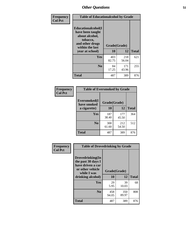| Frequency      | <b>Table of Educationalcohol by Grade</b>                                                                  |              |              |              |  |  |
|----------------|------------------------------------------------------------------------------------------------------------|--------------|--------------|--------------|--|--|
| <b>Col Pct</b> | Educationalcohol(I<br>have been taught<br>about alcohol,<br>tobacco,<br>and other drugs<br>within the last | Grade(Grade) |              |              |  |  |
|                | year at school)                                                                                            | 10           | 12           | <b>Total</b> |  |  |
|                | Yes                                                                                                        | 403<br>82.75 | 218<br>56.04 | 621          |  |  |
|                | N <sub>0</sub>                                                                                             | 84<br>17.25  | 171<br>43.96 | 255          |  |  |
|                | <b>Total</b>                                                                                               | 487          | 389          | 876          |  |  |

| Frequency      | <b>Table of Eversmoked by Grade</b> |              |              |              |  |  |  |
|----------------|-------------------------------------|--------------|--------------|--------------|--|--|--|
| <b>Col Pct</b> | Eversmoked(I<br>have smoked         | Grade(Grade) |              |              |  |  |  |
|                | a cigarette)                        | 10           | 12           | <b>Total</b> |  |  |  |
|                | Yes                                 | 187<br>38.40 | 177<br>45.50 | 364          |  |  |  |
|                | N <sub>0</sub>                      | 300<br>61.60 | 212<br>54.50 | 512          |  |  |  |
|                | <b>Total</b>                        | 487          | 389          | 876          |  |  |  |

| Frequency<br><b>Col Pct</b> | <b>Table of Drovedrinking by Grade</b>                                                                              |                    |              |              |  |  |  |
|-----------------------------|---------------------------------------------------------------------------------------------------------------------|--------------------|--------------|--------------|--|--|--|
|                             | Drovedrinking(In<br>the past 30 days I<br>have driven a car<br>or other vehicle<br>while I was<br>drinking alcohol) | Grade(Grade)<br>10 | 12           | <b>Total</b> |  |  |  |
|                             | <b>Yes</b>                                                                                                          | 29<br>5.95         | 39<br>10.03  | 68           |  |  |  |
|                             | N <sub>0</sub>                                                                                                      | 458<br>94.05       | 350<br>89.97 | 808          |  |  |  |
|                             | <b>Total</b>                                                                                                        | 487                | 389          | 876          |  |  |  |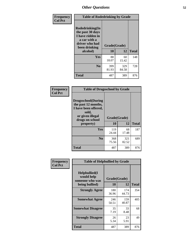| Frequency<br><b>Col Pct</b> | <b>Table of Rodedrinking by Grade</b>                                                                      |              |              |              |  |  |  |
|-----------------------------|------------------------------------------------------------------------------------------------------------|--------------|--------------|--------------|--|--|--|
|                             | Rodedrinking(In<br>the past 30 days<br>I have ridden in<br>a car with a<br>driver who had<br>been drinking | Grade(Grade) |              |              |  |  |  |
|                             | alcohol)                                                                                                   | 10           | 12           | <b>Total</b> |  |  |  |
|                             | <b>Yes</b>                                                                                                 | 88<br>18.07  | 60<br>15.42  | 148          |  |  |  |
|                             | N <sub>0</sub>                                                                                             | 399<br>81.93 | 329<br>84.58 | 728          |  |  |  |
|                             | <b>Total</b>                                                                                               | 487          | 389          | 876          |  |  |  |

#### **Frequency Col Pct**

| <b>Table of Drugsschool by Grade</b>                                                                                                   |                    |              |              |  |  |  |  |
|----------------------------------------------------------------------------------------------------------------------------------------|--------------------|--------------|--------------|--|--|--|--|
| <b>Drugsschool</b> (During<br>the past 12 months,<br>I have been offered,<br>sold,<br>or given illegal<br>drugs on school<br>property) | Grade(Grade)<br>10 | 12           | <b>Total</b> |  |  |  |  |
|                                                                                                                                        |                    |              |              |  |  |  |  |
|                                                                                                                                        |                    |              |              |  |  |  |  |
| Yes                                                                                                                                    | 119<br>24.44       | 68<br>17.48  | 187          |  |  |  |  |
| N <sub>0</sub>                                                                                                                         | 368<br>75.56       | 321<br>82.52 | 689          |  |  |  |  |

| Frequency      | <b>Table of Helpbullied by Grade</b>                 |              |              |              |  |  |  |
|----------------|------------------------------------------------------|--------------|--------------|--------------|--|--|--|
| <b>Col Pct</b> | $Helpb$ ullied $(I$<br>would help<br>someone who was | Grade(Grade) |              |              |  |  |  |
|                | being bullied)                                       | <b>10</b>    | 12           | <b>Total</b> |  |  |  |
|                | <b>Strongly Agree</b>                                | 180<br>36.96 | 174<br>44.73 | 354          |  |  |  |
|                | <b>Somewhat Agree</b>                                | 246<br>50.51 | 159<br>40.87 | 405          |  |  |  |
|                | <b>Somewhat Disagree</b>                             | 35<br>7.19   | 33<br>8.48   | 68           |  |  |  |
|                | <b>Strongly Disagree</b>                             | 26<br>5.34   | 23<br>5.91   | 49           |  |  |  |
|                | <b>Total</b>                                         | 487          | 389          | 876          |  |  |  |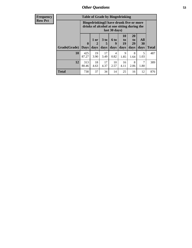| <b>Frequency</b> | <b>Table of Grade by Bingedrinking</b> |                                                                                                         |                        |                      |            |                |                       |                  |              |
|------------------|----------------------------------------|---------------------------------------------------------------------------------------------------------|------------------------|----------------------|------------|----------------|-----------------------|------------------|--------------|
| <b>Row Pct</b>   |                                        | Bingedrinking(I have drunk five or more<br>drinks of alcohol at one sitting during the<br>last 30 days) |                        |                      |            |                |                       |                  |              |
|                  |                                        | $\bf{0}$                                                                                                | 1 or<br>$\overline{2}$ | 3 <sub>to</sub><br>5 | 6 to<br>9  | 10<br>to<br>19 | <b>20</b><br>to<br>29 | All<br><b>30</b> |              |
|                  | Grade(Grade)                           | <b>Days</b>                                                                                             | days                   | days                 | days       | days           | days                  | days             | <b>Total</b> |
|                  | 10                                     | 425<br>87.27                                                                                            | 19<br>3.90             | 17<br>3.49           | 4<br>0.82  | 9<br>1.85      | 8<br>1.64             | 1.03             | 487          |
|                  | 12                                     | 313<br>80.46                                                                                            | 18<br>4.63             | 17<br>4.37           | 10<br>2.57 | 16<br>4.11     | 8<br>2.06             | 1.80             | 389          |

**Total** 738 37 34 14 25 16 12 876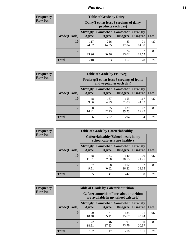## *Nutrition* **54**

| <b>Frequency</b><br>Row Pct |
|-----------------------------|
|                             |

| <b>Table of Grade by Dairy</b> |                          |                                                                 |                             |                                    |              |  |  |
|--------------------------------|--------------------------|-----------------------------------------------------------------|-----------------------------|------------------------------------|--------------|--|--|
|                                |                          | Dairy (I eat at least 3 servings of dairy<br>products each day) |                             |                                    |              |  |  |
| Grade(Grade)                   | <b>Strongly</b><br>Agree | <b>Somewhat</b><br>Agree                                        | <b>Somewhat</b><br>Disagree | <b>Strongly</b><br><b>Disagree</b> | <b>Total</b> |  |  |
| 10                             | 117<br>24.02             | 216<br>44.35                                                    | 83<br>17.04                 | 71<br>14.58                        | 487          |  |  |
| 12                             | 101<br>25.96             | 157<br>40.36                                                    | 74<br>19.02                 | 57<br>14.65                        | 389          |  |  |
| <b>Total</b>                   | 218                      | 373                                                             | 157                         | 128                                | 876          |  |  |

| <b>Frequency</b> |  |
|------------------|--|
| <b>Row Pct</b>   |  |

| <b>Table of Grade by Fruitveg</b> |                                                                          |              |                                   |                                    |              |  |
|-----------------------------------|--------------------------------------------------------------------------|--------------|-----------------------------------|------------------------------------|--------------|--|
|                                   | Fruitveg(I eat at least 5 servings of fruits<br>and vegetables each day) |              |                                   |                                    |              |  |
| Grade(Grade)                      | <b>Strongly</b><br>Agree                                                 | Agree        | Somewhat   Somewhat  <br>Disagree | <b>Strongly</b><br><b>Disagree</b> | <b>Total</b> |  |
| 10                                | 48<br>9.86                                                               | 167<br>34.29 | 155<br>31.83                      | 117<br>24.02                       | 487          |  |
| 12                                | 58<br>14.91                                                              | 125<br>32.13 | 139<br>35.73                      | 67<br>17.22                        | 389          |  |
| Total                             | 106                                                                      | 292          | 294                               | 184                                | 876          |  |

| Frequency      | <b>Table of Grade by Cafeteriahealthy</b> |                                                                       |              |                                        |                                    |              |  |  |
|----------------|-------------------------------------------|-----------------------------------------------------------------------|--------------|----------------------------------------|------------------------------------|--------------|--|--|
| <b>Row Pct</b> |                                           | Cafeteriahealthy (School meals in my<br>school cafeteria are healthy) |              |                                        |                                    |              |  |  |
|                | Grade(Grade)                              | <b>Strongly</b><br>Agree                                              | Agree        | Somewhat   Somewhat<br><b>Disagree</b> | <b>Strongly</b><br><b>Disagree</b> | <b>Total</b> |  |  |
|                | 10                                        | 58<br>11.91                                                           | 183<br>37.58 | 140<br>28.75                           | 106<br>21.77                       | 487          |  |  |
|                | 12                                        | 37<br>9.51                                                            | 158<br>40.62 | 102<br>26.22                           | 92<br>23.65                        | 389          |  |  |
|                | <b>Total</b>                              | 95                                                                    | 341          | 242                                    | 198                                | 876          |  |  |

| <b>Frequency</b> |
|------------------|
| <b>Row Pct</b>   |

| <b>Table of Grade by Cafeterianutrition</b> |                                                                                           |                          |                                    |                                    |              |  |
|---------------------------------------------|-------------------------------------------------------------------------------------------|--------------------------|------------------------------------|------------------------------------|--------------|--|
|                                             | <b>Cafeterianutrition</b> (Facts about nutrition<br>are available in my school cafeteria) |                          |                                    |                                    |              |  |
| Grade(Grade)                                | <b>Strongly</b><br>Agree                                                                  | <b>Somewhat</b><br>Agree | <b>Somewhat</b><br><b>Disagree</b> | <b>Strongly</b><br><b>Disagree</b> | <b>Total</b> |  |
| 10                                          | 90<br>18.48                                                                               | 171<br>35.11             | 125<br>25.67                       | 101<br>20.74                       | 487          |  |
| 12                                          | 72<br>18.51                                                                               | 146<br>37.53             | 91<br>23.39                        | 80<br>20.57                        | 389          |  |
| <b>Total</b>                                | 162                                                                                       | 317                      | 216                                | 181                                | 876          |  |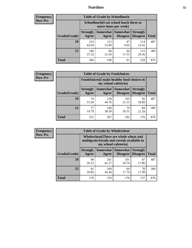## *Nutrition* **55**

| <b>Frequency</b> |
|------------------|
| <b>Row Pct</b>   |

| <b>Table of Grade by Schoollunch</b> |                                                                 |                     |                             |                                    |              |  |  |  |
|--------------------------------------|-----------------------------------------------------------------|---------------------|-----------------------------|------------------------------------|--------------|--|--|--|
|                                      | Schoollunch(I eat school lunch three or<br>more times per week) |                     |                             |                                    |              |  |  |  |
| Grade(Grade)                         | <b>Strongly</b><br>Agree                                        | Somewhat  <br>Agree | <b>Somewhat</b><br>Disagree | <b>Strongly</b><br><b>Disagree</b> | <b>Total</b> |  |  |  |
| 10                                   | 214<br>43.94                                                    | 112<br>23.00        | 47<br>9.65                  | 114<br>23.41                       | 487          |  |  |  |
| 12                                   | 146<br>37.53                                                    | 84<br>21.59         | 44<br>11.31                 | 115<br>29.56                       | 389          |  |  |  |
| <b>Total</b>                         | 360                                                             | 196                 | 91                          | 229                                | 876          |  |  |  |

| <b>Frequency</b> |  |
|------------------|--|
| <b>Row Pct</b>   |  |

| <b>Table of Grade by Foodchoices</b> |                                                                     |                     |                                    |                                    |              |  |  |
|--------------------------------------|---------------------------------------------------------------------|---------------------|------------------------------------|------------------------------------|--------------|--|--|
|                                      | Foodchoices (I make healthy food choices in<br>my school cafeteria) |                     |                                    |                                    |              |  |  |
| Grade(Grade)                         | <b>Strongly</b><br>Agree                                            | Somewhat  <br>Agree | <b>Somewhat</b><br><b>Disagree</b> | <b>Strongly</b><br><b>Disagree</b> | <b>Total</b> |  |  |
| 10                                   | 74<br>15.20                                                         | 218<br>44.76        | 103<br>21.15                       | 92<br>18.89                        | 487          |  |  |
| 12                                   | 77<br>19.79                                                         | 149<br>38.30        | 79<br>20.31                        | 84<br>21.59                        | 389          |  |  |
| <b>Total</b>                         | 151                                                                 | 367                 | 182                                | 176                                | 876          |  |  |

| Frequency<br><b>Row Pct</b> |  |
|-----------------------------|--|
|                             |  |

| <b>Table of Grade by Wholewheat</b> |                          |                                                                                                             |                                   |                                    |              |  |
|-------------------------------------|--------------------------|-------------------------------------------------------------------------------------------------------------|-----------------------------------|------------------------------------|--------------|--|
|                                     |                          | Wholewheat (There are whole wheat and<br>multigrain breads and cereals available in<br>my school cafeteria) |                                   |                                    |              |  |
| Grade(Grade)                        | <b>Strongly</b><br>Agree | Agree                                                                                                       | Somewhat   Somewhat  <br>Disagree | <b>Strongly</b><br><b>Disagree</b> | <b>Total</b> |  |
| 10                                  | 98<br>20.12              | 201<br>41.27                                                                                                | 101<br>20.74                      | 87<br>17.86                        | 487          |  |
| 12                                  | 81<br>20.82              | 169<br>43.44                                                                                                | 69<br>17.74                       | 70<br>17.99                        | 389          |  |
| <b>Total</b>                        | 179                      | 370                                                                                                         | 170                               | 157                                | 876          |  |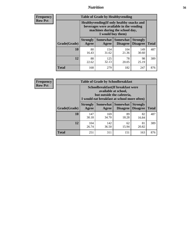## *Nutrition* **56**

**Frequency Row Pct**

| <b>Table of Grade by Healthyvending</b> |                                                                                                                                               |                          |                                    |                                    |              |  |  |
|-----------------------------------------|-----------------------------------------------------------------------------------------------------------------------------------------------|--------------------------|------------------------------------|------------------------------------|--------------|--|--|
|                                         | Healthyvending (If only healthy snacks and<br>beverages were available in the vending<br>machines during the school day,<br>I would buy them) |                          |                                    |                                    |              |  |  |
| Grade(Grade)                            | <b>Strongly</b><br>Agree                                                                                                                      | <b>Somewhat</b><br>Agree | <b>Somewhat</b><br><b>Disagree</b> | <b>Strongly</b><br><b>Disagree</b> | <b>Total</b> |  |  |
| 10                                      | 80<br>16.43                                                                                                                                   | 154<br>31.62             | 104<br>21.36                       | 149<br>30.60                       | 487          |  |  |
| 12                                      | 88<br>22.62                                                                                                                                   | 125<br>32.13             | 78<br>20.05                        | 98<br>25.19                        | 389          |  |  |
| <b>Total</b>                            | 168                                                                                                                                           | 279                      | 182                                | 247                                | 876          |  |  |

**Frequency Row Pct**

| <b>Table of Grade by Schoolbreakfast</b> |                                                                                                                                         |              |                                      |                                    |              |  |  |
|------------------------------------------|-----------------------------------------------------------------------------------------------------------------------------------------|--------------|--------------------------------------|------------------------------------|--------------|--|--|
|                                          | Schoolbreakfast (If breakfast were<br>available at school,<br>but outside the cafeteria,<br>I would eat breakfast at school more often) |              |                                      |                                    |              |  |  |
| Grade(Grade)                             | <b>Strongly</b><br>Agree                                                                                                                | Agree        | Somewhat Somewhat<br><b>Disagree</b> | <b>Strongly</b><br><b>Disagree</b> | <b>Total</b> |  |  |
| 10                                       | 147<br>30.18                                                                                                                            | 169<br>34.70 | 89<br>18.28                          | 82<br>16.84                        | 487          |  |  |
| 12                                       | 104<br>26.74                                                                                                                            | 142<br>36.50 | 62<br>15.94                          | 81<br>20.82                        | 389          |  |  |
| <b>Total</b>                             | 251                                                                                                                                     | 311          | 151                                  | 163                                | 876          |  |  |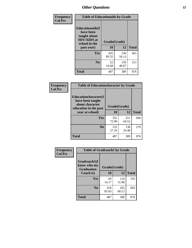| Frequency<br><b>Col Pct</b> | <b>Table of Educationaids by Grade</b>                                                                    |                    |              |              |
|-----------------------------|-----------------------------------------------------------------------------------------------------------|--------------------|--------------|--------------|
|                             | <b>Educationaids</b> (I<br>have been<br>taught about<br><b>HIV/AIDS</b> at<br>school in the<br>past year) | Grade(Grade)<br>10 | 12           | <b>Total</b> |
|                             | Yes                                                                                                       | 435<br>89.32       | 230<br>59.13 | 665          |
|                             | N <sub>0</sub>                                                                                            | 52<br>10.68        | 159<br>40.87 | 211          |
|                             | <b>Total</b>                                                                                              | 487                | 389          | 876          |

| <b>Frequency</b> | <b>Table of Educationcharacter by Grade</b>                                                             |              |              |              |  |
|------------------|---------------------------------------------------------------------------------------------------------|--------------|--------------|--------------|--|
| <b>Col Pct</b>   | Educationcharacter(I<br>have been taught<br>about character<br>education in the past<br>year at school) | Grade(Grade) |              |              |  |
|                  |                                                                                                         | 10           | 12           | <b>Total</b> |  |
|                  | <b>Yes</b>                                                                                              | 355<br>72.90 | 251<br>64.52 | 606          |  |
|                  | N <sub>0</sub>                                                                                          | 132<br>27.10 | 138<br>35.48 | 270          |  |
|                  | <b>Total</b>                                                                                            | 487          | 389          | 876          |  |

| Frequency      | <b>Table of Gradcoach1 by Grade</b>              |              |              |              |  |
|----------------|--------------------------------------------------|--------------|--------------|--------------|--|
| <b>Col Pct</b> | Gradcoach1(I<br>know who my<br><b>Graduation</b> | Grade(Grade) |              |              |  |
|                | Coach is)                                        | 10           | 12           | <b>Total</b> |  |
|                | Yes                                              | 69<br>14.17  | 124<br>31.88 | 193          |  |
|                | N <sub>0</sub>                                   | 418<br>85.83 | 265<br>68.12 | 683          |  |
|                | <b>Total</b>                                     | 487          | 389          | 876          |  |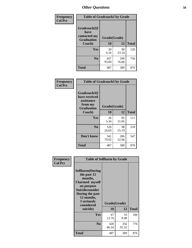| Frequency      | <b>Table of Gradcoach2 by Grade</b> |              |              |              |  |
|----------------|-------------------------------------|--------------|--------------|--------------|--|
| <b>Col Pct</b> |                                     |              |              |              |  |
|                | Gradcoach2(I<br>have                |              |              |              |  |
|                | contacted my<br><b>Graduation</b>   |              | Grade(Grade) |              |  |
|                | Coach)                              | 10           | 12           | <b>Total</b> |  |
|                | Yes                                 | 30<br>6.16   | 90<br>23.14  | 120          |  |
|                | N <sub>0</sub>                      | 457<br>93.84 | 299<br>76.86 | 756          |  |
|                | <b>Total</b>                        | 487          | 389          | 876          |  |

| Frequency<br><b>Col Pct</b> | <b>Table of Gradcoach3 by Grade</b>                                         |              |              |              |  |
|-----------------------------|-----------------------------------------------------------------------------|--------------|--------------|--------------|--|
|                             | Gradcoach3(I<br>have received<br>assistance<br>from my<br><b>Graduation</b> | Grade(Grade) |              |              |  |
|                             | Coach)                                                                      | 10           | 12           | <b>Total</b> |  |
|                             | Yes                                                                         | 26           | 85           | 111          |  |
|                             |                                                                             | 5.34         | 21.85        |              |  |
|                             | N <sub>0</sub>                                                              | 120          | 98           | 218          |  |
|                             |                                                                             | 24.64        | 25.19        |              |  |
|                             | Don't know                                                                  | 341<br>70.02 | 206<br>52.96 | 547          |  |
|                             | <b>Total</b>                                                                | 487          | 389          | 876          |  |

| Frequency      | <b>Table of Selfharm by Grade</b>                                                                                                                                                      |                    |              |              |
|----------------|----------------------------------------------------------------------------------------------------------------------------------------------------------------------------------------|--------------------|--------------|--------------|
| <b>Col Pct</b> | <b>Selfharm</b> (During<br>the past 12<br>months,<br>I harmed myself<br>on purpose<br><b>Suicideconsider</b><br>During the past<br>12 months,<br>I seriously<br>considered<br>suicide) | Grade(Grade)<br>10 | 12           | <b>Total</b> |
|                | Yes                                                                                                                                                                                    | 67<br>13.76        | 33<br>8.48   | 100          |
|                | N <sub>0</sub>                                                                                                                                                                         | 420<br>86.24       | 356<br>91.52 | 776          |
|                | <b>Total</b>                                                                                                                                                                           | 487                | 389          | 876          |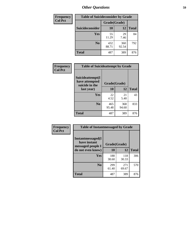| <b>Frequency</b> | <b>Table of Suicideconsider by Grade</b> |              |              |              |
|------------------|------------------------------------------|--------------|--------------|--------------|
| <b>Col Pct</b>   |                                          | Grade(Grade) |              |              |
|                  | Suicideconsider                          | <b>10</b>    | 12           | <b>Total</b> |
|                  | Yes                                      | 55<br>11.29  | 29<br>7.46   | 84           |
|                  | N <sub>0</sub>                           | 432<br>88.71 | 360<br>92.54 | 792          |
|                  | Total                                    | 487          | 389          | 876          |

| Frequency      | <b>Table of Suicideattempt by Grade</b>              |              |              |              |
|----------------|------------------------------------------------------|--------------|--------------|--------------|
| <b>Col Pct</b> | Suicideattempt(I<br>have attempted<br>suicide in the | Grade(Grade) |              |              |
|                | last year)                                           | 10           | 12           | <b>Total</b> |
|                | Yes                                                  | 22<br>4.52   | 21<br>5.40   | 43           |
|                | $\bf No$                                             | 465<br>95.48 | 368<br>94.60 | 833          |
|                | <b>Total</b>                                         | 487          | 389          | 876          |

| Frequency      | <b>Table of Instantmessaged by Grade</b>               |              |              |              |
|----------------|--------------------------------------------------------|--------------|--------------|--------------|
| <b>Col Pct</b> | Instantmessaged(I<br>have instant<br>messaged people I | Grade(Grade) |              |              |
|                | do not even know)                                      | 10           | 12           | <b>Total</b> |
|                | Yes                                                    | 188<br>38.60 | 118<br>30.33 | 306          |
|                | N <sub>0</sub>                                         | 299<br>61.40 | 271<br>69.67 | 570          |
|                | <b>Total</b>                                           | 487          | 389          | 876          |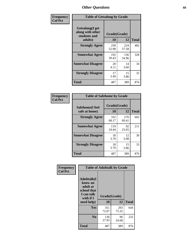| Frequency      | <b>Table of Getsalong by Grade</b>                          |              |              |              |  |  |  |
|----------------|-------------------------------------------------------------|--------------|--------------|--------------|--|--|--|
| <b>Col Pct</b> | <b>Getsalong</b> (I get<br>along with other<br>students and | Grade(Grade) |              |              |  |  |  |
|                | adults)                                                     | 10           | 12           | <b>Total</b> |  |  |  |
|                | <b>Strongly Agree</b>                                       | 258<br>52.98 | 224<br>57.58 | 482          |  |  |  |
|                | <b>Somewhat Agree</b>                                       | 192<br>39.43 | 136<br>34.96 | 328          |  |  |  |
|                | <b>Somewhat Disagree</b>                                    | 20<br>4.11   | 14<br>3.60   | 34           |  |  |  |
|                | <b>Strongly Disagree</b>                                    | 17<br>3.49   | 15<br>3.86   | 32           |  |  |  |
|                | <b>Total</b>                                                | 487          | 389          | 876          |  |  |  |

| Frequency<br><b>Col Pct</b> | <b>Table of Safehome by Grade</b> |                    |              |              |
|-----------------------------|-----------------------------------|--------------------|--------------|--------------|
|                             | Safehome(I feel                   | Grade(Grade)<br>10 | 12           | <b>Total</b> |
|                             | safe at home)                     |                    |              |              |
|                             | <b>Strongly Agree</b>             | 332<br>68.17       | 270<br>69.41 | 602          |
|                             | <b>Somewhat Agree</b>             | 119<br>24.44       | 92<br>23.65  | 211          |
|                             | <b>Somewhat Disagree</b>          | 18<br>3.70         | 12<br>3.08   | 30           |
|                             | <b>Strongly Disagree</b>          | 18<br>3.70         | 15<br>3.86   | 33           |
|                             | <b>Total</b>                      | 487                | 389          | 876          |

| Frequency      |                                                                                     | <b>Table of Adulttalk by Grade</b> |              |              |
|----------------|-------------------------------------------------------------------------------------|------------------------------------|--------------|--------------|
| <b>Col Pct</b> | <b>Adulttalk(I</b><br>know an<br>adult at<br>school that<br>I can talk<br>with if I | Grade(Grade)                       |              |              |
|                | need help)                                                                          | 10                                 | 12           | <b>Total</b> |
|                | <b>Yes</b>                                                                          | 351<br>72.07                       | 293<br>75.32 | 644          |
|                | N <sub>0</sub>                                                                      | 136<br>27.93                       | 96<br>24.68  | 232          |
|                | <b>Total</b>                                                                        | 487                                | 389          | 876          |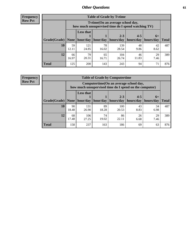**Frequency Row Pct**

| <b>Table of Grade by Tytime</b> |             |                                                                                         |             |              |             |            |              |  |  |  |
|---------------------------------|-------------|-----------------------------------------------------------------------------------------|-------------|--------------|-------------|------------|--------------|--|--|--|
|                                 |             | Tytime (On an average school day,<br>how much unsupervised time do I spend watching TV) |             |              |             |            |              |  |  |  |
|                                 |             | <b>Less that</b>                                                                        |             | $2 - 3$      | $4 - 5$     | $6+$       |              |  |  |  |
| Grade(Grade)                    | None        | hour/day                                                                                | hour/day    | hours/day    | hours/day   | hours/day  | <b>Total</b> |  |  |  |
| 10                              | 59<br>12.11 | 121<br>24.85                                                                            | 78<br>16.02 | 139<br>28.54 | 48<br>9.86  | 42<br>8.62 | 487          |  |  |  |
| 12                              | 66<br>16.97 | 79<br>20.31                                                                             | 65<br>16.71 | 104<br>26.74 | 46<br>11.83 | 29<br>7.46 | 389          |  |  |  |
| <b>Total</b>                    | 125         | 200                                                                                     | 143         | 243          | 94          | 71         | 876          |  |  |  |

**Frequency Row Pct**

| <b>Table of Grade by Computertime</b> |             |                                                                                                   |             |                      |                      |                   |              |  |  |  |
|---------------------------------------|-------------|---------------------------------------------------------------------------------------------------|-------------|----------------------|----------------------|-------------------|--------------|--|--|--|
|                                       |             | Computertime (On an average school day,<br>how much unsupervised time do I spend on the computer) |             |                      |                      |                   |              |  |  |  |
| Grade(Grade)                          | None $ $    | <b>Less that</b><br>hour/day                                                                      | hour/day    | $2 - 3$<br>hours/day | $4 - 5$<br>hours/day | $6+$<br>hours/day | <b>Total</b> |  |  |  |
| 10                                    | 90<br>18.48 | 131<br>26.90                                                                                      | 89<br>18.28 | 100<br>20.53         | 43<br>8.83           | 34<br>6.98        | 487          |  |  |  |
| 12                                    | 68<br>17.48 | 74<br>86<br>106<br>26<br>29<br>22.11<br>27.25<br>19.02<br>7.46<br>6.68                            |             |                      |                      |                   |              |  |  |  |
| <b>Total</b>                          | 158         | 237                                                                                               | 163         | 186                  | 69                   | 63                | 876          |  |  |  |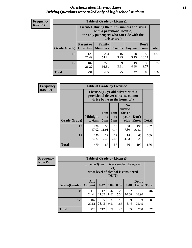#### *Questions about Driving Laws* **62** *Driving Questions were asked only of high school students.*

| <b>Frequency</b> |
|------------------|
| <b>Row Pct</b>   |

| <b>Table of Grade by License1</b> |                                     |                                                                                                                                           |                |            |               |              |  |  |  |  |  |
|-----------------------------------|-------------------------------------|-------------------------------------------------------------------------------------------------------------------------------------------|----------------|------------|---------------|--------------|--|--|--|--|--|
|                                   |                                     | License1(During the first 6 months of driving<br>with a provisional license,<br>the only passengers who can ride with the<br>driver are:) |                |            |               |              |  |  |  |  |  |
| Grade(Grade)                      | <b>Parent or</b><br><b>Guardian</b> | <b>Family</b><br><b>Members</b>                                                                                                           | <b>Friends</b> | Anyone     | Don't<br>Know | <b>Total</b> |  |  |  |  |  |
| 10                                | 129<br>26.49                        | 264<br>54.21                                                                                                                              | 16<br>3.29     | 28<br>5.75 | 50<br>10.27   | 487          |  |  |  |  |  |
| 12                                | 102<br>26.22                        | 38<br>19<br>221<br>9<br>4.88<br>2.31<br>9.77<br>56.81                                                                                     |                |            |               |              |  |  |  |  |  |
| Total                             | 231                                 | 485                                                                                                                                       | 25             | 47         | 88            | 876          |  |  |  |  |  |

| Frequency      |                                                                                                          | <b>Table of Grade by License2</b> |                  |                         |                                                      |               |              |  |
|----------------|----------------------------------------------------------------------------------------------------------|-----------------------------------|------------------|-------------------------|------------------------------------------------------|---------------|--------------|--|
| <b>Row Pct</b> | License2(17 yr old drivers with a<br>provisional driver's license cannot<br>drive between the hours of:) |                                   |                  |                         |                                                      |               |              |  |
|                | Grade(Grade)                                                                                             | <b>Midnight</b><br>to 6am         | 1am<br>to<br>5am | 1am<br>to<br><b>6am</b> | N <sub>0</sub><br>curfew<br>for $17$<br>year<br>olds | Don't<br>Know | <b>Total</b> |  |
|                | 10                                                                                                       | 229<br>47.02                      | 58<br>11.91      | 28<br>5.75              | 38<br>7.80                                           | 134<br>27.52  | 487          |  |
|                | 12                                                                                                       | 250<br>64.27                      | 29<br>7.46       | 29<br>7.46              | 18<br>4.63                                           | 63<br>16.20   | 389          |  |
|                | <b>Total</b>                                                                                             | 479                               | 87               | 57                      | 56                                                   | 197           | 876          |  |

| Frequency      |              | <b>Table of Grade by License3</b>     |              |                 |            |                                     |               |              |  |  |
|----------------|--------------|---------------------------------------|--------------|-----------------|------------|-------------------------------------|---------------|--------------|--|--|
| <b>Row Pct</b> |              | License3(For drivers under the age of |              | 21,<br>$DUI$ ?) |            | what level of alcohol is considered |               |              |  |  |
|                | Grade(Grade) | Any<br>Amount                         | 0.02         | 0.04            | 0.06       | 0.08                                | Don't<br>know | <b>Total</b> |  |  |
|                | 10           | 119<br>24.44                          | 117<br>24.02 | 42<br>8.62      | 26<br>5.34 | 52<br>10.68                         | 131<br>26.90  | 487          |  |  |
|                | 12           | 107<br>27.51                          | 95<br>24.42  | 37<br>9.51      | 18<br>4.63 | 33<br>8.48                          | 99<br>25.45   | 389          |  |  |
|                | <b>Total</b> | 226                                   | 212          | 79              | 44         | 85                                  | 230           | 876          |  |  |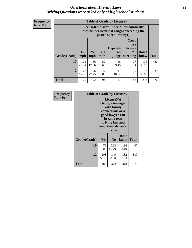#### *Questions about Driving Laws* **63** *Driving Questions were asked only of high school students.*

**Frequency Row Pct**

|                     |              |                                                                                                                                                                                                                                                                                |             | <b>Table of Grade by License4</b> |            |              |     |  |  |  |
|---------------------|--------------|--------------------------------------------------------------------------------------------------------------------------------------------------------------------------------------------------------------------------------------------------------------------------------|-------------|-----------------------------------|------------|--------------|-----|--|--|--|
|                     |              | License4(A driver under 21 automatically<br>loses his/her license if caught exceeding the<br>posted speet limit by:)<br>Can't<br>lose<br><b>Depends</b><br>license<br>$15+$<br>$25+$<br>$35+$<br>Don't<br>for<br>on<br>mph<br><b>Total</b><br>speeding<br>mph<br>judge<br>know |             |                                   |            |              |     |  |  |  |
| <b>Grade(Grade)</b> | mph          |                                                                                                                                                                                                                                                                                |             |                                   |            |              |     |  |  |  |
| 10                  | 101<br>20.74 | 86<br>17.66                                                                                                                                                                                                                                                                    | 52<br>10.68 | 46<br>9.45                        | 27<br>5.54 | 175<br>35.93 | 487 |  |  |  |
| 12                  | 68<br>17.48  | 41<br>106<br>42<br>15<br>117<br>27.25<br>10.80<br>3.86<br>30.08<br>10.54                                                                                                                                                                                                       |             |                                   |            |              |     |  |  |  |
| <b>Total</b>        | 169          | 192                                                                                                                                                                                                                                                                            | 94          | 87                                | 42         | 292          | 876 |  |  |  |

| Frequency      | <b>Table of Grade by License5</b> |              |                                                                                                                                     |                     |              |
|----------------|-----------------------------------|--------------|-------------------------------------------------------------------------------------------------------------------------------------|---------------------|--------------|
| <b>Row Pct</b> |                                   |              | License5(A<br>Georgia teenager<br>with family<br>connections or a<br>good lawyer can<br>break a teen<br>driving law and<br>license) | keep their driver's |              |
|                | Grade(Grade)                      | <b>Yes</b>   | N <sub>0</sub>                                                                                                                      | Don't<br>know       | <b>Total</b> |
|                | 10                                | 78<br>16.02  | 223<br>45.79                                                                                                                        | 186<br>38.19        | 487          |
|                | 12                                | 108<br>27.76 | 149<br>38.30                                                                                                                        | 132<br>33.93        | 389          |
|                | Total                             | 186          | 372                                                                                                                                 | 318                 | 876          |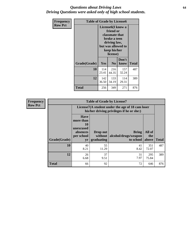### *Questions about Driving Laws* **64** *Driving Questions were asked only of high school students.*

| <b>Frequency</b> | <b>Table of Grade by License6</b> |                                                                                                                                                 |                |               |              |
|------------------|-----------------------------------|-------------------------------------------------------------------------------------------------------------------------------------------------|----------------|---------------|--------------|
| <b>Row Pct</b>   |                                   | License <sub>6</sub> (I know a<br>friend or<br>classmate that<br>broke a teen<br>driving law,<br>but was allowed to<br>keep his/her<br>license) |                |               |              |
|                  | Grade(Grade)                      | <b>Yes</b>                                                                                                                                      | N <sub>0</sub> | Don't<br>know | <b>Total</b> |
|                  | 10                                | 114<br>23.41                                                                                                                                    | 216<br>44.35   | 157<br>32.24  | 487          |
|                  | 12                                | 142<br>36.50                                                                                                                                    | 389            |               |              |
|                  | <b>Total</b>                      | 256                                                                                                                                             | 349            | 271           | 876          |

| Frequency      | <b>Table of Grade by License7</b> |                                                                             |                                     |                                                                                               |                        |              |
|----------------|-----------------------------------|-----------------------------------------------------------------------------|-------------------------------------|-----------------------------------------------------------------------------------------------|------------------------|--------------|
| <b>Row Pct</b> |                                   |                                                                             |                                     | License7(A student under the age of 18 cam loser<br>his/her driving privileges if he or she:) |                        |              |
|                | Grade(Grade)                      | <b>Have</b><br>more than<br>10<br>unexcused<br>absences<br>per school<br>yr | Drop out<br>without  <br>graduating | <b>Bring</b><br>alcohol/drugs/weapon<br>to school                                             | All of<br>the<br>above | <b>Total</b> |
|                | 10                                | 40<br>8.21                                                                  | 55<br>11.29                         | 41<br>8.42                                                                                    | 351<br>72.07           | 487          |
|                | 12                                | 26<br>6.68                                                                  | 37<br>9.51                          | 31<br>7.97                                                                                    | 295<br>75.84           | 389          |
|                | <b>Total</b>                      | 66                                                                          | 92                                  | 72                                                                                            | 646                    | 876          |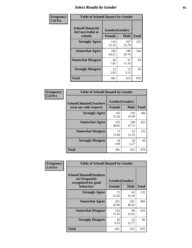# *Select Results by Gender* **65**

| Frequency      | <b>Table of SchoolClimate2 by Gender</b>          |                                 |              |              |  |
|----------------|---------------------------------------------------|---------------------------------|--------------|--------------|--|
| <b>Col Pct</b> | SchoolClimate2(I<br>feel successful at<br>school) | Gender(Gender)<br><b>Female</b> | <b>Male</b>  | <b>Total</b> |  |
|                | <b>Strongly Agree</b>                             | 116<br>25.16                    | 107<br>25.78 | 223          |  |
|                | <b>Somewhat Agree</b>                             | 296<br>64.21                    | 248<br>59.76 | 544          |  |
|                | <b>Somewhat Disagree</b>                          | 36<br>7.81                      | 47<br>11.33  | 83           |  |
|                | <b>Strongly Disagree</b>                          | 13<br>2.82                      | 13<br>3.13   | 26           |  |
|                | <b>Total</b>                                      | 461                             | 415          | 876          |  |

| Frequency      | <b>Table of SchoolClimate6 by Gender</b>                 |                                 |              |              |  |
|----------------|----------------------------------------------------------|---------------------------------|--------------|--------------|--|
| <b>Col Pct</b> | <b>SchoolClimate6(Teachers</b><br>treat me with respect) | Gender(Gender)<br><b>Female</b> | <b>Male</b>  | <b>Total</b> |  |
|                | <b>Strongly Agree</b>                                    | 145<br>31.45                    | 139<br>33.49 | 284          |  |
|                | <b>Somewhat Agree</b>                                    | 225<br>48.81                    | 198<br>47.71 | 423          |  |
|                | <b>Somewhat Disagree</b>                                 | 73<br>15.84                     | 52<br>12.53  | 125          |  |
|                | <b>Strongly Disagree</b>                                 | 18<br>3.90                      | 26<br>6.27   | 44           |  |
|                | Total                                                    | 461                             | 415          | 876          |  |

| Frequency      | <b>Table of SchoolClimate8 by Gender</b>                                             |                                 |              |              |
|----------------|--------------------------------------------------------------------------------------|---------------------------------|--------------|--------------|
| <b>Col Pct</b> | <b>SchoolClimate8(Students</b><br>are frequently<br>recognized for good<br>behavior) | Gender(Gender)<br><b>Female</b> | <b>Male</b>  | <b>Total</b> |
|                | <b>Strongly Agree</b>                                                                | 72<br>15.62                     | 63<br>15.18  | 135          |
|                | <b>Somewhat Agree</b>                                                                | 201<br>43.60                    | 201<br>48.43 | 402          |
|                | <b>Somewhat Disagree</b>                                                             | 145<br>31.45                    | 98<br>23.61  | 243          |
|                | <b>Strongly Disagree</b>                                                             | 43<br>9.33                      | 53<br>12.77  | 96           |
|                | Total                                                                                | 461                             | 415          | 876          |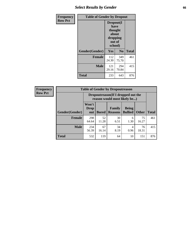# *Select Results by Gender* **66**

| <b>Frequency</b> | <b>Table of Gender by Dropout</b> |                                                                               |              |              |
|------------------|-----------------------------------|-------------------------------------------------------------------------------|--------------|--------------|
| <b>Row Pct</b>   |                                   | Dropout(I<br>have<br>thought<br><b>about</b><br>dropping<br>out of<br>school) |              |              |
|                  | Gender(Gender)                    | <b>Yes</b>                                                                    | No           | <b>Total</b> |
|                  | <b>Female</b>                     | 112<br>24.30                                                                  | 349<br>75.70 | 461          |
|                  | <b>Male</b>                       | 121<br>29.16                                                                  | 294<br>70.84 | 415          |
|                  | <b>Total</b>                      | 233                                                                           | 643          | 876          |

| <b>Frequency</b> |  |
|------------------|--|
| <b>Row Pct</b>   |  |

| <b>Table of Gender by Dropoutreason</b> |                             |                                                                    |                          |                                |              |              |  |
|-----------------------------------------|-----------------------------|--------------------------------------------------------------------|--------------------------|--------------------------------|--------------|--------------|--|
|                                         |                             | Dropoutreason(If I dropped out the<br>reason would most likely be) |                          |                                |              |              |  |
| <b>Gender</b> (Gender)                  | Won't<br><b>Drop</b><br>out | <b>Bored</b>                                                       | Family<br><b>Reasons</b> | <b>Being</b><br><b>Bullied</b> | <b>Other</b> | <b>Total</b> |  |
| <b>Female</b>                           | 298<br>64.64                | 52<br>11.28                                                        | 30<br>6.51               | 6<br>1.30                      | 75<br>16.27  | 461          |  |
| <b>Male</b>                             | 234<br>56.39                | 67<br>16.14                                                        | 34<br>8.19               | 4<br>0.96                      | 76<br>18.31  | 415          |  |
| <b>Total</b>                            | 532                         | 119                                                                | 64                       | 10                             | 151          | 876          |  |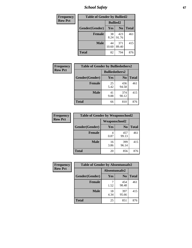*School Safety* **67**

| Frequency      | <b>Table of Gender by Bullied2</b> |                 |                |              |  |
|----------------|------------------------------------|-----------------|----------------|--------------|--|
| <b>Row Pct</b> |                                    | <b>Bullied2</b> |                |              |  |
|                | Gender(Gender)                     | Yes             | N <sub>0</sub> | <b>Total</b> |  |
|                | <b>Female</b>                      | 38<br>8.24      | 423<br>91.76   | 461          |  |
|                | <b>Male</b>                        | 44<br>10.60     | 371<br>89.40   | 415          |  |
|                | <b>Total</b>                       | 82              | 794            | 876          |  |

| Frequency      | <b>Table of Gender by Bulliedothers2</b> |                       |                |              |  |
|----------------|------------------------------------------|-----------------------|----------------|--------------|--|
| <b>Row Pct</b> |                                          | <b>Bulliedothers2</b> |                |              |  |
|                | Gender(Gender)                           | <b>Yes</b>            | N <sub>0</sub> | <b>Total</b> |  |
|                | <b>Female</b>                            | 25<br>5.42            | 436<br>94.58   | 461          |  |
|                | <b>Male</b>                              | 41<br>9.88            | 374<br>90.12   | 415          |  |
|                | <b>Total</b>                             | 66                    | 810            | 876          |  |

| Frequency      | <b>Table of Gender by Weaponschool2</b> |                      |                |              |  |
|----------------|-----------------------------------------|----------------------|----------------|--------------|--|
| <b>Row Pct</b> |                                         | <b>Weaponschool2</b> |                |              |  |
|                | Gender(Gender)                          | Yes                  | N <sub>0</sub> | <b>Total</b> |  |
|                | <b>Female</b>                           | 4<br>0.87            | 457<br>99.13   | 461          |  |
|                | <b>Male</b>                             | 16<br>3.86           | 399<br>96.14   | 415          |  |
|                | <b>Total</b>                            | 20                   | 856            | 876          |  |

| Frequency      | <b>Table of Gender by Absentunsafe2</b> |               |                |              |  |
|----------------|-----------------------------------------|---------------|----------------|--------------|--|
| <b>Row Pct</b> |                                         | Absentunsafe2 |                |              |  |
|                | Gender(Gender)                          | Yes           | N <sub>0</sub> | <b>Total</b> |  |
|                | <b>Female</b>                           | 1.52          | 454<br>98.48   | 461          |  |
|                | <b>Male</b>                             | 18<br>4.34    | 397<br>95.66   | 415          |  |
|                | <b>Total</b>                            | 25            | 851            | 876          |  |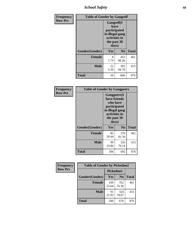*School Safety* **68**

| Frequency      | <b>Table of Gender by Gangself</b> |                                                                                                        |                |              |
|----------------|------------------------------------|--------------------------------------------------------------------------------------------------------|----------------|--------------|
| <b>Row Pct</b> |                                    | <b>Gangself</b> (I<br>have<br>participated<br>in illegal gang<br>activities in<br>the past 30<br>days) |                |              |
|                | Gender(Gender)                     | Yes                                                                                                    | N <sub>0</sub> | <b>Total</b> |
|                | <b>Female</b>                      | 8<br>1.74                                                                                              | 453<br>98.26   | 461          |
|                | <b>Male</b>                        | 22<br>5.30                                                                                             | 393<br>94.70   | 415          |
|                | <b>Total</b>                       | 30                                                                                                     | 846            | 876          |

| Frequency      | <b>Table of Gender by Gangpeers</b> |                                                                                                                             |                |              |
|----------------|-------------------------------------|-----------------------------------------------------------------------------------------------------------------------------|----------------|--------------|
| <b>Row Pct</b> |                                     | <b>Gangpeers</b> (I<br>have friends<br>who have<br>participated<br>in illegal gang<br>activities in<br>the past 30<br>days) |                |              |
|                | Gender(Gender)                      | <b>Yes</b>                                                                                                                  | N <sub>0</sub> | <b>Total</b> |
|                | <b>Female</b>                       | 85<br>18.44                                                                                                                 | 376<br>81.56   | 461          |
|                | <b>Male</b>                         | 99<br>23.86                                                                                                                 | 316<br>76.14   | 415          |
|                | Total                               | 184                                                                                                                         | 692            | 876          |

| Frequency      | <b>Table of Gender by Pickedon2</b> |              |                |              |
|----------------|-------------------------------------|--------------|----------------|--------------|
| <b>Row Pct</b> |                                     | Pickedon2    |                |              |
|                | Gender(Gender)                      | Yes          | N <sub>0</sub> | <b>Total</b> |
|                | <b>Female</b>                       | 109<br>23.64 | 352<br>76.36   | 461          |
|                | <b>Male</b>                         | 91<br>21.93  | 324<br>78.07   | 415          |
|                | <b>Total</b>                        | 200          | 676            | 876          |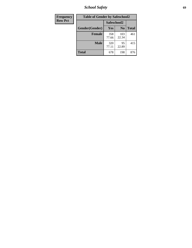*School Safety* **69**

| Frequency      | <b>Table of Gender by Safeschool2</b> |              |                |              |
|----------------|---------------------------------------|--------------|----------------|--------------|
| <b>Row Pct</b> |                                       | Safeschool2  |                |              |
|                | Gender(Gender)                        | Yes          | N <sub>0</sub> | <b>Total</b> |
|                | <b>Female</b>                         | 358<br>77.66 | 103<br>22.34   | 461          |
|                | Male                                  | 320<br>77.11 | 95<br>22.89    | 415          |
|                | <b>Total</b>                          | 678          | 198            | 876          |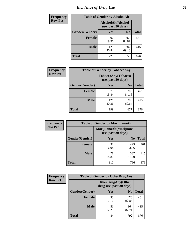# *Incidence of Drug Use* **70**

| <b>Frequency</b> |                                          | <b>Table of Gender by AlcoholAlt</b> |                |              |
|------------------|------------------------------------------|--------------------------------------|----------------|--------------|
| <b>Row Pct</b>   | AlcoholAlt(Alcohol<br>use, past 30 days) |                                      |                |              |
|                  | Gender(Gender)                           | <b>Yes</b>                           | N <sub>0</sub> | <b>Total</b> |
|                  | <b>Female</b>                            | 92<br>19.96                          | 369<br>80.04   | 461          |
|                  | <b>Male</b>                              | 128<br>30.84                         | 287<br>69.16   | 415          |
|                  | <b>Total</b>                             | 220                                  | 656            | 876          |

| Frequency      | <b>Table of Gender by TobaccoAny</b> |                                          |                |              |
|----------------|--------------------------------------|------------------------------------------|----------------|--------------|
| <b>Row Pct</b> |                                      | TobaccoAny(Tobacco<br>use, past 30 days) |                |              |
|                | Gender(Gender)                       | Yes                                      | N <sub>0</sub> | <b>Total</b> |
|                | <b>Female</b>                        | 73<br>15.84                              | 388<br>84.16   | 461          |
|                | <b>Male</b>                          | 126<br>30.36                             | 289<br>69.64   | 415          |
|                | Total                                | 199                                      | 677            | 876          |

| <b>Frequency</b> | <b>Table of Gender by MarijuanaAlt</b> |                                              |                |              |
|------------------|----------------------------------------|----------------------------------------------|----------------|--------------|
| <b>Row Pct</b>   |                                        | MarijuanaAlt(Marijuana<br>use, past 30 days) |                |              |
|                  | Gender(Gender)                         | Yes                                          | N <sub>0</sub> | <b>Total</b> |
|                  | <b>Female</b>                          | 32<br>6.94                                   | 429<br>93.06   | 461          |
|                  | <b>Male</b>                            | 78<br>18.80                                  | 337<br>81.20   | 415          |
|                  | <b>Total</b>                           | 110                                          | 766            | 876          |

| <b>Frequency</b> | <b>Table of Gender by OtherDrugAny</b> |                         |                            |              |
|------------------|----------------------------------------|-------------------------|----------------------------|--------------|
| <b>Row Pct</b>   |                                        | drug use, past 30 days) | <b>OtherDrugAny</b> (Other |              |
|                  | Gender(Gender)                         | <b>Yes</b>              | N <sub>0</sub>             | <b>Total</b> |
|                  | <b>Female</b>                          | 33<br>7.16              | 428<br>92.84               | 461          |
|                  | <b>Male</b>                            | 51<br>12.29             | 364<br>87.71               | 415          |
|                  | <b>Total</b>                           | 84                      | 792                        | 876          |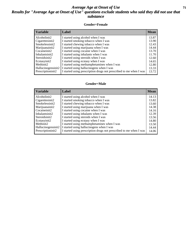### *Average Age at Onset of Use* **71** *Results for "Average Age at Onset of Use" questions exclude students who said they did not use that substance*

#### **Gender=Female**

| <b>Variable</b>    | Label                                                              | <b>Mean</b> |
|--------------------|--------------------------------------------------------------------|-------------|
| Alcoholinit2       | I started using alcohol when I was                                 | 13.87       |
| Cigarettesinit2    | I started smoking tobacco when I was                               | 13.90       |
| Smokelessinit2     | I started chewing tobacco when I was                               | 12.43       |
| Marijuanainit2     | I started using marijuana when I was                               | 14.44       |
| Cocaineinit2       | I started using cocaine when I was                                 | 13.70       |
| Inhalantsinit2     | I started using inhalants when I was                               | 11.70       |
| Steroidsinit2      | I started using steroids when I was                                | 12.60       |
| Ecstasyinit2       | I started using ecstasy when I was                                 | 14.65       |
| Methinit2          | I started using methamphetamines when I was                        | 12.80       |
| Hallucinogensinit2 | I started using hallucinogens when I was                           | 13.33       |
| Prescriptioninit2  | I started using prescription drugs not prescribed to me when I was | 13.72       |

#### **Gender=Male**

| <b>Variable</b>    | Label                                                              | <b>Mean</b> |
|--------------------|--------------------------------------------------------------------|-------------|
| Alcoholinit2       | I started using alcohol when I was                                 | 14.13       |
| Cigarettesinit2    | I started smoking tobacco when I was                               | 13.82       |
| Smokelessinit2     | I started chewing tobacco when I was                               | 13.60       |
| Marijuanainit2     | I started using marijuana when I was                               | 14.38       |
| Cocaineinit2       | I started using cocaine when I was                                 | 14.16       |
| Inhalantsinit2     | I started using inhalants when I was                               | 12.39       |
| Steroidsinit2      | I started using steroids when I was                                | 13.56       |
| Ecstasyinit2       | I started using ecstasy when I was                                 | 14.80       |
| Methinit2          | I started using methamphetamines when I was                        | 13.50       |
| Hallucinogensinit2 | I started using hallucinogens when I was                           | 14.44       |
| Prescriptioninit2  | I started using prescription drugs not prescribed to me when I was | 14.06       |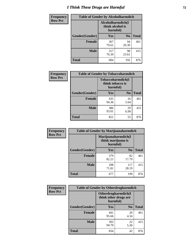# *I Think These Drugs are Harmful* **72**

| <b>Frequency</b> | <b>Table of Gender by Alcoholharmdich</b> |                                                   |                |              |
|------------------|-------------------------------------------|---------------------------------------------------|----------------|--------------|
| <b>Row Pct</b>   |                                           | Alcoholharmdich(I<br>think alcohol is<br>harmful) |                |              |
|                  | Gender(Gender)                            | Yes                                               | N <sub>0</sub> | <b>Total</b> |
|                  | Female                                    | 367<br>79.61                                      | 94<br>20.39    | 461          |
|                  | <b>Male</b>                               | 317<br>76.39                                      | 98<br>23.61    | 415          |
|                  | <b>Total</b>                              | 684                                               | 192            | 876          |

| Frequency      | <b>Table of Gender by Tobaccoharmdich</b> |                              |                   |              |
|----------------|-------------------------------------------|------------------------------|-------------------|--------------|
| <b>Row Pct</b> |                                           | think tobacco is<br>harmful) | Tobaccoharmdich(I |              |
|                | Gender(Gender)                            | <b>Yes</b>                   | N <sub>0</sub>    | <b>Total</b> |
|                | <b>Female</b>                             | 435<br>94.36                 | 26<br>5.64        | 461          |
|                | <b>Male</b>                               | 386<br>93.01                 | 29<br>6.99        | 415          |
|                | <b>Total</b>                              | 821                          | 55                | 876          |

| Frequency      | <b>Table of Gender by Marijuanaharmdich</b> |                                                       |                |              |  |
|----------------|---------------------------------------------|-------------------------------------------------------|----------------|--------------|--|
| <b>Row Pct</b> |                                             | Marijuanaharmdich(I<br>think marijuana is<br>harmful) |                |              |  |
|                | Gender(Gender)                              | <b>Yes</b>                                            | N <sub>0</sub> | <b>Total</b> |  |
|                | <b>Female</b>                               | 379<br>82.21                                          | 82<br>17.79    | 461          |  |
|                | <b>Male</b>                                 | 298<br>71.81                                          | 117<br>28.19   | 415          |  |
|                | <b>Total</b>                                | 677                                                   | 199            | 876          |  |

| Frequency      | <b>Table of Gender by Otherdrugharmdich</b> |                                                          |                |              |
|----------------|---------------------------------------------|----------------------------------------------------------|----------------|--------------|
| <b>Row Pct</b> |                                             | Otherdrugharmdich(I<br>think other drugs are<br>harmful) |                |              |
|                | Gender(Gender)                              | <b>Yes</b>                                               | N <sub>0</sub> | <b>Total</b> |
|                | <b>Female</b>                               | 441<br>95.66                                             | 20<br>4.34     | 461          |
|                | <b>Male</b>                                 | 393<br>94.70                                             | 22<br>5.30     | 415          |
|                | <b>Total</b>                                | 834                                                      | 42             | 876          |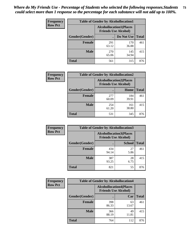| <b>Frequency</b> | <b>Table of Gender by Alcohollocation1</b> |                                                               |              |              |
|------------------|--------------------------------------------|---------------------------------------------------------------|--------------|--------------|
| <b>Row Pct</b>   |                                            | <b>Alcohollocation1(Places</b><br><b>Friends Use Alcohol)</b> |              |              |
|                  | Gender(Gender)                             |                                                               | Do Not Use   | <b>Total</b> |
|                  | <b>Female</b>                              | 291<br>63.12                                                  | 170<br>36.88 | 461          |
|                  | <b>Male</b>                                | 270<br>65.06                                                  | 145<br>34.94 | 415          |
|                  | <b>Total</b>                               | 561                                                           | 315          | 876          |

| <b>Frequency</b> | <b>Table of Gender by Alcohollocation2</b> |              |                                                               |              |
|------------------|--------------------------------------------|--------------|---------------------------------------------------------------|--------------|
| <b>Row Pct</b>   |                                            |              | <b>Alcohollocation2(Places</b><br><b>Friends Use Alcohol)</b> |              |
|                  | Gender(Gender)                             |              | Home                                                          | <b>Total</b> |
|                  | <b>Female</b>                              | 277<br>60.09 | 184<br>39.91                                                  | 461          |
|                  | <b>Male</b>                                | 254<br>61.20 | 161<br>38.80                                                  | 415          |
|                  | <b>Total</b>                               | 531          | 345                                                           | 876          |

| Frequency      | <b>Table of Gender by Alcohollocation3</b> |                                                               |               |              |
|----------------|--------------------------------------------|---------------------------------------------------------------|---------------|--------------|
| <b>Row Pct</b> |                                            | <b>Alcohollocation3(Places</b><br><b>Friends Use Alcohol)</b> |               |              |
|                | Gender(Gender)                             |                                                               | <b>School</b> | <b>Total</b> |
|                | <b>Female</b>                              | 434<br>94.14                                                  | 27<br>5.86    | 461          |
|                | <b>Male</b>                                | 387<br>93.25                                                  | 28<br>6.75    | 415          |
|                | <b>Total</b>                               | 821                                                           | 55            | 876          |

| <b>Frequency</b> | <b>Table of Gender by Alcohollocation4</b> |                             |                                |              |
|------------------|--------------------------------------------|-----------------------------|--------------------------------|--------------|
| <b>Row Pct</b>   |                                            | <b>Friends Use Alcohol)</b> | <b>Alcohollocation4(Places</b> |              |
|                  | Gender(Gender)                             |                             | Car                            | <b>Total</b> |
|                  | Female                                     | 398<br>86.33                | 63<br>13.67                    | 461          |
|                  | <b>Male</b>                                | 366<br>88.19                | 49<br>11.81                    | 415          |
|                  | <b>Total</b>                               | 764                         | 112                            | 876          |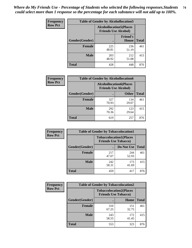| <b>Frequency</b> |                | <b>Table of Gender by Alcohollocation5</b> |                                                               |              |
|------------------|----------------|--------------------------------------------|---------------------------------------------------------------|--------------|
| <b>Row Pct</b>   |                |                                            | <b>Alcohollocation5(Places</b><br><b>Friends Use Alcohol)</b> |              |
|                  | Gender(Gender) | $\bullet$                                  | <b>Friend's</b><br><b>House</b>                               | <b>Total</b> |
|                  | <b>Female</b>  | 225<br>48.81                               | 236<br>51.19                                                  | 461          |
|                  | <b>Male</b>    | 203<br>48.92                               | 212<br>51.08                                                  | 415          |
|                  | <b>Total</b>   | 428                                        | 448                                                           | 876          |

| Frequency      |                        | <b>Table of Gender by Alcohollocation6</b>                    |              |              |
|----------------|------------------------|---------------------------------------------------------------|--------------|--------------|
| <b>Row Pct</b> |                        | <b>Alcohollocation6(Places</b><br><b>Friends Use Alcohol)</b> |              |              |
|                | <b>Gender</b> (Gender) |                                                               | <b>Other</b> | <b>Total</b> |
|                | <b>Female</b>          | 327<br>70.93                                                  | 134<br>29.07 | 461          |
|                | <b>Male</b>            | 292<br>70.36                                                  | 123<br>29.64 | 415          |
|                | <b>Total</b>           | 619                                                           | 257          | 876          |

| Frequency      | <b>Table of Gender by Tobaccolocation1</b> |                                                               |              |              |  |
|----------------|--------------------------------------------|---------------------------------------------------------------|--------------|--------------|--|
| <b>Row Pct</b> |                                            | <b>Tobaccolocation1(Places</b><br><b>Friends Use Tobacco)</b> |              |              |  |
|                | Gender(Gender)                             |                                                               | Do Not Use   | <b>Total</b> |  |
|                | Female                                     | 217<br>47.07                                                  | 244<br>52.93 | 461          |  |
|                | <b>Male</b>                                | 242<br>58.31                                                  | 173<br>41.69 | 415          |  |
|                | <b>Total</b>                               | 459                                                           | 417          | 876          |  |

| <b>Frequency</b> | <b>Table of Gender by Tobaccolocation2</b> |                                                               |              |              |
|------------------|--------------------------------------------|---------------------------------------------------------------|--------------|--------------|
| <b>Row Pct</b>   |                                            | <b>Tobaccolocation2(Places</b><br><b>Friends Use Tobacco)</b> |              |              |
|                  | Gender(Gender)                             |                                                               | Home         | <b>Total</b> |
|                  | <b>Female</b>                              | 310<br>67.25                                                  | 151<br>32.75 | 461          |
|                  | <b>Male</b>                                | 243<br>58.55                                                  | 172<br>41.45 | 415          |
|                  | <b>Total</b>                               | 553                                                           | 323          | 876          |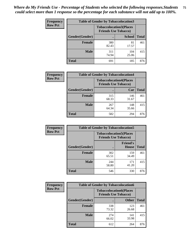| <b>Frequency</b> | <b>Table of Gender by Tobaccolocation3</b> |                                                               |               |              |
|------------------|--------------------------------------------|---------------------------------------------------------------|---------------|--------------|
| <b>Row Pct</b>   |                                            | <b>Tobaccolocation3(Places</b><br><b>Friends Use Tobacco)</b> |               |              |
|                  | Gender(Gender)                             |                                                               | <b>School</b> | <b>Total</b> |
|                  | <b>Female</b>                              | 380<br>82.43                                                  | 81<br>17.57   | 461          |
|                  | <b>Male</b>                                | 311<br>74.94                                                  | 104<br>25.06  | 415          |
|                  | Total                                      | 691                                                           | 185           | 876          |

| <b>Frequency</b> | <b>Table of Gender by Tobaccolocation4</b> |                             |                                |              |
|------------------|--------------------------------------------|-----------------------------|--------------------------------|--------------|
| <b>Row Pct</b>   |                                            | <b>Friends Use Tobacco)</b> | <b>Tobaccolocation4(Places</b> |              |
|                  | Gender(Gender)                             |                             | Car                            | <b>Total</b> |
|                  | <b>Female</b>                              | 315<br>68.33                | 146<br>31.67                   | 461          |
|                  | <b>Male</b>                                | 267<br>64.34                | 148<br>35.66                   | 415          |
|                  | <b>Total</b>                               | 582                         | 294                            | 876          |

| <b>Frequency</b> | <b>Table of Gender by Tobaccolocation5</b> |                             |                                 |              |
|------------------|--------------------------------------------|-----------------------------|---------------------------------|--------------|
| <b>Row Pct</b>   |                                            | <b>Friends Use Tobacco)</b> | <b>Tobaccolocation5(Places</b>  |              |
|                  | Gender(Gender)                             |                             | <b>Friend's</b><br><b>House</b> | <b>Total</b> |
|                  | <b>Female</b>                              | 302<br>65.51                | 159<br>34.49                    | 461          |
|                  | <b>Male</b>                                | 244<br>58.80                | 171<br>41.20                    | 415          |
|                  | <b>Total</b>                               | 546                         | 330                             | 876          |

| <b>Frequency</b> | <b>Table of Gender by Tobaccolocation6</b> |                                                               |              |              |
|------------------|--------------------------------------------|---------------------------------------------------------------|--------------|--------------|
| <b>Row Pct</b>   |                                            | <b>Tobaccolocation6(Places</b><br><b>Friends Use Tobacco)</b> |              |              |
|                  | Gender(Gender)                             |                                                               | <b>Other</b> | <b>Total</b> |
|                  | Female                                     | 338<br>73.32                                                  | 123<br>26.68 | 461          |
|                  | <b>Male</b>                                | 274<br>66.02                                                  | 141<br>33.98 | 415          |
|                  | <b>Total</b>                               | 612                                                           | 264          | 876          |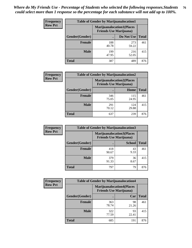| <b>Frequency</b> | <b>Table of Gender by Marijuanalocation1</b> |                                                                    |              |              |
|------------------|----------------------------------------------|--------------------------------------------------------------------|--------------|--------------|
| <b>Row Pct</b>   |                                              | <b>Marijuanalocation1(Places</b><br><b>Friends Use Marijuana</b> ) |              |              |
|                  | Gender(Gender)                               |                                                                    | Do Not Use   | <b>Total</b> |
|                  | <b>Female</b>                                | 188<br>40.78                                                       | 273<br>59.22 | 461          |
|                  | <b>Male</b>                                  | 199<br>47.95                                                       | 216<br>52.05 | 415          |
|                  | <b>Total</b>                                 | 387                                                                | 489          | 876          |

| <b>Frequency</b> | <b>Table of Gender by Marijuanalocation2</b> |                                                                    |              |              |
|------------------|----------------------------------------------|--------------------------------------------------------------------|--------------|--------------|
| <b>Row Pct</b>   |                                              | <b>Marijuanalocation2(Places</b><br><b>Friends Use Marijuana</b> ) |              |              |
|                  | Gender(Gender)                               |                                                                    | Home         | <b>Total</b> |
|                  | <b>Female</b>                                | 346<br>75.05                                                       | 115<br>24.95 | 461          |
|                  | <b>Male</b>                                  | 291<br>70.12                                                       | 124<br>29.88 | 415          |
|                  | <b>Total</b>                                 | 637                                                                | 239          | 876          |

| Frequency      | <b>Table of Gender by Marijuanalocation3</b> |                                |                                   |              |
|----------------|----------------------------------------------|--------------------------------|-----------------------------------|--------------|
| <b>Row Pct</b> |                                              | <b>Friends Use Marijuana</b> ) | <b>Marijuanalocation3</b> (Places |              |
|                | Gender(Gender)                               |                                | <b>School</b>                     | <b>Total</b> |
|                | Female                                       | 418<br>90.67                   | 43<br>9.33                        | 461          |
|                | <b>Male</b>                                  | 379<br>91.33                   | 36<br>8.67                        | 415          |
|                | <b>Total</b>                                 | 797                            | 79                                | 876          |

| Frequency      | <b>Table of Gender by Marijuanalocation4</b> |                                |                                  |              |
|----------------|----------------------------------------------|--------------------------------|----------------------------------|--------------|
| <b>Row Pct</b> |                                              | <b>Friends Use Marijuana</b> ) | <b>Marijuanalocation4(Places</b> |              |
|                | <b>Gender</b> (Gender)                       |                                | Car                              | <b>Total</b> |
|                | Female                                       | 363<br>78.74                   | 98<br>21.26                      | 461          |
|                | <b>Male</b>                                  | 322<br>77.59                   | 93<br>22.41                      | 415          |
|                | <b>Total</b>                                 | 685                            | 191                              | 876          |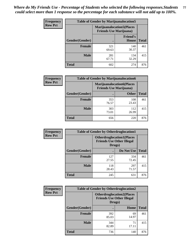| <b>Frequency</b> | <b>Table of Gender by Marijuanalocation5</b> |                                                                     |                                 |              |
|------------------|----------------------------------------------|---------------------------------------------------------------------|---------------------------------|--------------|
| <b>Row Pct</b>   |                                              | <b>Marijuanalocation5</b> (Places<br><b>Friends Use Marijuana</b> ) |                                 |              |
|                  | Gender(Gender)                               |                                                                     | <b>Friend's</b><br><b>House</b> | <b>Total</b> |
|                  | <b>Female</b>                                | 321<br>69.63                                                        | 140<br>30.37                    | 461          |
|                  | <b>Male</b>                                  | 281<br>67.71                                                        | 134<br>32.29                    | 415          |
|                  | <b>Total</b>                                 | 602                                                                 | 274                             | 876          |

| <b>Frequency</b> | <b>Table of Gender by Marijuanalocation6</b> |              |                                                                     |              |
|------------------|----------------------------------------------|--------------|---------------------------------------------------------------------|--------------|
| <b>Row Pct</b>   |                                              |              | <b>Marijuanalocation6(Places)</b><br><b>Friends Use Marijuana</b> ) |              |
|                  | <b>Gender</b> (Gender)                       |              | <b>Other</b>                                                        | <b>Total</b> |
|                  | <b>Female</b>                                | 353<br>76.57 | 108<br>23.43                                                        | 461          |
|                  | <b>Male</b>                                  | 303<br>73.01 | 112<br>26.99                                                        | 415          |
|                  | <b>Total</b>                                 | 656          | 220                                                                 | 876          |

| <b>Frequency</b> | <b>Table of Gender by Otherdruglocation1</b> |                                                                                |              |              |
|------------------|----------------------------------------------|--------------------------------------------------------------------------------|--------------|--------------|
| <b>Row Pct</b>   |                                              | <b>Otherdruglocation1(Places</b><br><b>Friends Use Other Illegal</b><br>Drugs) |              |              |
|                  | Gender(Gender)                               |                                                                                | Do Not Use   | <b>Total</b> |
|                  | Female                                       | 127<br>27.55                                                                   | 334<br>72.45 | 461          |
|                  | <b>Male</b>                                  | 118<br>28.43                                                                   | 297<br>71.57 | 415          |
|                  | <b>Total</b>                                 | 245                                                                            | 631          | 876          |

| <b>Frequency</b> | <b>Table of Gender by Otherdruglocation2</b> |                                            |                                  |              |
|------------------|----------------------------------------------|--------------------------------------------|----------------------------------|--------------|
| <b>Row Pct</b>   |                                              | <b>Friends Use Other Illegal</b><br>Drugs) | <b>Otherdruglocation2(Places</b> |              |
|                  | Gender(Gender)                               |                                            | Home                             | <b>Total</b> |
|                  | Female                                       | 392<br>85.03                               | 69<br>14.97                      | 461          |
|                  | <b>Male</b>                                  | 344<br>82.89                               | 71<br>17.11                      | 415          |
|                  | <b>Total</b>                                 | 736                                        | 140                              | 876          |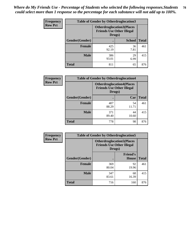| <b>Frequency</b> | <b>Table of Gender by Otherdruglocation3</b> |                                                                                |               |              |
|------------------|----------------------------------------------|--------------------------------------------------------------------------------|---------------|--------------|
| <b>Row Pct</b>   |                                              | <b>Otherdruglocation3(Places</b><br><b>Friends Use Other Illegal</b><br>Drugs) |               |              |
|                  | Gender(Gender)                               |                                                                                | <b>School</b> | <b>Total</b> |
|                  | <b>Female</b>                                | 425<br>92.19                                                                   | 36<br>7.81    | 461          |
|                  | <b>Male</b>                                  | 386<br>93.01                                                                   | 29<br>6.99    | 415          |
|                  | <b>Total</b>                                 | 811                                                                            | 65            | 876          |

| <b>Frequency</b> | <b>Table of Gender by Otherdruglocation4</b> |                                                                                |             |              |
|------------------|----------------------------------------------|--------------------------------------------------------------------------------|-------------|--------------|
| <b>Row Pct</b>   |                                              | <b>Otherdruglocation4(Places</b><br><b>Friends Use Other Illegal</b><br>Drugs) |             |              |
|                  | Gender(Gender)                               |                                                                                | Car         | <b>Total</b> |
|                  | <b>Female</b>                                | 407<br>88.29                                                                   | 54<br>11.71 | 461          |
|                  | <b>Male</b>                                  | 371<br>89.40                                                                   | 44<br>10.60 | 415          |
|                  | <b>Total</b>                                 | 778                                                                            | 98          | 876          |

| Frequency      | <b>Table of Gender by Otherdruglocation5</b> |                                                                                |                                 |              |
|----------------|----------------------------------------------|--------------------------------------------------------------------------------|---------------------------------|--------------|
| <b>Row Pct</b> |                                              | <b>Otherdruglocation5(Places</b><br><b>Friends Use Other Illegal</b><br>Drugs) |                                 |              |
|                | Gender(Gender)                               |                                                                                | <b>Friend's</b><br><b>House</b> | <b>Total</b> |
|                | <b>Female</b>                                | 369<br>80.04                                                                   | 92<br>19.96                     | 461          |
|                | <b>Male</b>                                  | 347<br>83.61                                                                   | 68<br>16.39                     | 415          |
|                | <b>Total</b>                                 | 716                                                                            | 160                             | 876          |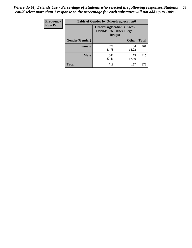| Frequency      | <b>Table of Gender by Otherdruglocation6</b> |                                            |                                  |              |
|----------------|----------------------------------------------|--------------------------------------------|----------------------------------|--------------|
| <b>Row Pct</b> |                                              | <b>Friends Use Other Illegal</b><br>Drugs) | <b>Otherdruglocation6(Places</b> |              |
|                | Gender(Gender)                               |                                            | <b>Other</b>                     | <b>Total</b> |
|                | <b>Female</b>                                | 377<br>81.78                               | 84<br>18.22                      | 461          |
|                | <b>Male</b>                                  | 342<br>82.41                               | 73<br>17.59                      | 415          |
|                | <b>Total</b>                                 | 719                                        | 157                              | 876          |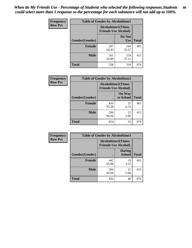| Frequency      | <b>Table of Gender by Alcoholtime1</b> |                                                   |                      |              |
|----------------|----------------------------------------|---------------------------------------------------|----------------------|--------------|
| <b>Row Pct</b> |                                        | Alcoholtime1(Times<br><b>Friends Use Alcohol)</b> |                      |              |
|                | Gender(Gender)                         | $\bullet$                                         | Do Not<br><b>Use</b> | <b>Total</b> |
|                | <b>Female</b>                          | 297<br>64.43                                      | 164<br>35.57         | 461          |
|                | <b>Male</b>                            | 261<br>62.89                                      | 154<br>37.11         | 415          |
|                | <b>Total</b>                           | 558                                               | 318                  | 876          |

| Frequency      | <b>Table of Gender by Alcoholtime2</b> |                                                          |                            |              |
|----------------|----------------------------------------|----------------------------------------------------------|----------------------------|--------------|
| <b>Row Pct</b> |                                        | <b>Alcoholtime2(Times</b><br><b>Friends Use Alcohol)</b> |                            |              |
|                | Gender(Gender)                         |                                                          | <b>On Way</b><br>to School | <b>Total</b> |
|                | <b>Female</b>                          | 430<br>93.28                                             | 31<br>6.72                 | 461          |
|                | <b>Male</b>                            | 394<br>94.94                                             | 21<br>5.06                 | 415          |
|                | <b>Total</b>                           | 824                                                      | 52                         | 876          |

| Frequency      | <b>Table of Gender by Alcoholtime3</b> |                                                          |                                |              |
|----------------|----------------------------------------|----------------------------------------------------------|--------------------------------|--------------|
| <b>Row Pct</b> |                                        | <b>Alcoholtime3(Times</b><br><b>Friends Use Alcohol)</b> |                                |              |
|                | Gender(Gender)                         |                                                          | <b>During</b><br><b>School</b> | <b>Total</b> |
|                | <b>Female</b>                          | 442<br>95.88                                             | 19<br>4.12                     | 461          |
|                | <b>Male</b>                            | 394<br>94.94                                             | 21<br>5.06                     | 415          |
|                | <b>Total</b>                           | 836                                                      | 40                             | 876          |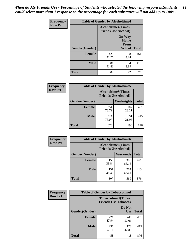*When do My Friends Use - Percentage of Students who selected the following responses.Students could select more than 1 response so the percentage for each substance will not add up to 100%.* **81**

| <b>Frequency</b> | <b>Table of Gender by Alcoholtime4</b> |                                                          |                                                |              |
|------------------|----------------------------------------|----------------------------------------------------------|------------------------------------------------|--------------|
| <b>Row Pct</b>   |                                        | <b>Alcoholtime4(Times</b><br><b>Friends Use Alcohol)</b> |                                                |              |
|                  | Gender(Gender)                         |                                                          | <b>On Way</b><br>Home<br>From<br><b>School</b> | <b>Total</b> |
|                  | <b>Female</b>                          | 423<br>91.76                                             | 38<br>8.24                                     | 461          |
|                  | <b>Male</b>                            | 381<br>91.81                                             | 34<br>8.19                                     | 415          |
|                  | <b>Total</b>                           | 804                                                      | 72                                             | 876          |

| <b>Frequency</b> | <b>Table of Gender by Alcoholtime5</b> |                                                           |                   |              |
|------------------|----------------------------------------|-----------------------------------------------------------|-------------------|--------------|
| <b>Row Pct</b>   |                                        | <b>Alcoholtime5</b> (Times<br><b>Friends Use Alcohol)</b> |                   |              |
|                  | Gender(Gender)                         |                                                           | <b>Weeknights</b> | <b>Total</b> |
|                  | <b>Female</b>                          | 354<br>76.79                                              | 107<br>23.21      | 461          |
|                  | <b>Male</b>                            | 324<br>78.07                                              | 91<br>21.93       | 415          |
|                  | <b>Total</b>                           | 678                                                       | 198               | 876          |

| Frequency      | <b>Table of Gender by Alcoholtime6</b> |              |                                                           |              |
|----------------|----------------------------------------|--------------|-----------------------------------------------------------|--------------|
| <b>Row Pct</b> |                                        |              | <b>Alcoholtime6</b> (Times<br><b>Friends Use Alcohol)</b> |              |
|                | Gender(Gender)                         |              | Weekends                                                  | <b>Total</b> |
|                | Female                                 | 156<br>33.84 | 305<br>66.16                                              | 461          |
|                | <b>Male</b>                            | 151<br>36.39 | 264<br>63.61                                              | 415          |
|                | <b>Total</b>                           | 307          | 569                                                       | 876          |

| Frequency      | <b>Table of Gender by Tobaccotime1</b> |                             |                           |              |
|----------------|----------------------------------------|-----------------------------|---------------------------|--------------|
| <b>Row Pct</b> |                                        | <b>Friends Use Tobacco)</b> | <b>Tobaccotime1(Times</b> |              |
|                | Gender(Gender)                         |                             | Do Not<br><b>Use</b>      | <b>Total</b> |
|                | <b>Female</b>                          | 221<br>47.94                | 240<br>52.06              | 461          |
|                | <b>Male</b>                            | 237<br>57.11                | 178<br>42.89              | 415          |
|                | <b>Total</b>                           | 458                         | 418                       | 876          |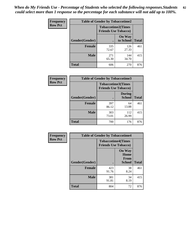*When do My Friends Use - Percentage of Students who selected the following responses.Students could select more than 1 response so the percentage for each substance will not add up to 100%.* **82**

| Frequency      | <b>Table of Gender by Tobaccotime2</b> |                                                          |                            |              |
|----------------|----------------------------------------|----------------------------------------------------------|----------------------------|--------------|
| <b>Row Pct</b> |                                        | <b>Tobaccotime2(Times</b><br><b>Friends Use Tobacco)</b> |                            |              |
|                | Gender(Gender)                         | $\bullet$                                                | <b>On Way</b><br>to School | <b>Total</b> |
|                | Female                                 | 335<br>72.67                                             | 126<br>27.33               | 461          |
|                | <b>Male</b>                            | 271<br>65.30                                             | 144<br>34.70               | 415          |
|                | Total                                  | 606                                                      | 270                        | 876          |

| Frequency      | <b>Table of Gender by Tobaccotime3</b> |                                                          |                                |              |
|----------------|----------------------------------------|----------------------------------------------------------|--------------------------------|--------------|
| <b>Row Pct</b> |                                        | <b>Tobaccotime3(Times</b><br><b>Friends Use Tobacco)</b> |                                |              |
|                | Gender(Gender)                         |                                                          | <b>During</b><br><b>School</b> | <b>Total</b> |
|                | Female                                 | 397<br>86.12                                             | 64<br>13.88                    | 461          |
|                | <b>Male</b>                            | 303<br>73.01                                             | 112<br>26.99                   | 415          |
|                | <b>Total</b>                           | 700                                                      | 176                            | 876          |

| <b>Frequency</b> | <b>Table of Gender by Tobaccotime4</b> |                                                          |                                                       |              |
|------------------|----------------------------------------|----------------------------------------------------------|-------------------------------------------------------|--------------|
| <b>Row Pct</b>   |                                        | <b>Tobaccotime4(Times</b><br><b>Friends Use Tobacco)</b> |                                                       |              |
|                  | Gender(Gender)                         |                                                          | <b>On Way</b><br>Home<br><b>From</b><br><b>School</b> | <b>Total</b> |
|                  | <b>Female</b>                          | 423<br>91.76                                             | 38<br>8.24                                            | 461          |
|                  | <b>Male</b>                            | 381<br>91.81                                             | 34<br>8.19                                            | 415          |
|                  | <b>Total</b>                           | 804                                                      | 72                                                    | 876          |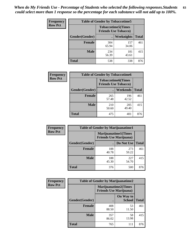| <b>Frequency</b> | <b>Table of Gender by Tobaccotime5</b> |                                                          |              |              |
|------------------|----------------------------------------|----------------------------------------------------------|--------------|--------------|
| <b>Row Pct</b>   |                                        | <b>Tobaccotime5(Times</b><br><b>Friends Use Tobacco)</b> |              |              |
|                  | Gender(Gender)                         |                                                          | Weeknights   | <b>Total</b> |
|                  | Female                                 | 304<br>65.94                                             | 157<br>34.06 | 461          |
|                  | <b>Male</b>                            | 234<br>56.39                                             | 181<br>43.61 | 415          |
|                  | <b>Total</b>                           | 538                                                      | 338          | 876          |

| Frequency      | <b>Table of Gender by Tobaccotime6</b> |                                                          |              |              |
|----------------|----------------------------------------|----------------------------------------------------------|--------------|--------------|
| <b>Row Pct</b> |                                        | <b>Tobaccotime6(Times</b><br><b>Friends Use Tobacco)</b> |              |              |
|                | Gender(Gender)                         |                                                          | Weekends     | <b>Total</b> |
|                | Female                                 | 265<br>57.48                                             | 196<br>42.52 | 461          |
|                | <b>Male</b>                            | 210<br>50.60                                             | 205<br>49.40 | 415          |
|                | <b>Total</b>                           | 475                                                      | 401          | 876          |

| <b>Frequency</b> |                | <b>Table of Gender by Marijuanatime1</b> |                             |              |  |
|------------------|----------------|------------------------------------------|-----------------------------|--------------|--|
| <b>Row Pct</b>   |                | <b>Friends Use Marijuana</b> )           | <b>Marijuanatime1(Times</b> |              |  |
|                  | Gender(Gender) |                                          | Do Not Use                  | <b>Total</b> |  |
|                  | <b>Female</b>  | 188<br>40.78                             | 273<br>59.22                | 461          |  |
|                  | <b>Male</b>    | 188<br>45.30                             | 227<br>54.70                | 415          |  |
|                  | <b>Total</b>   | 376                                      | 500                         | 876          |  |

| <b>Frequency</b> | <b>Table of Gender by Marijuanatime2</b> |                                                               |                            |              |
|------------------|------------------------------------------|---------------------------------------------------------------|----------------------------|--------------|
| <b>Row Pct</b>   |                                          | <b>Marijuanatime2(Times</b><br><b>Friends Use Marijuana</b> ) |                            |              |
|                  | Gender(Gender)                           |                                                               | On Way to<br><b>School</b> | <b>Total</b> |
|                  | Female                                   | 408<br>88.50                                                  | 53<br>11.50                | 461          |
|                  | <b>Male</b>                              | 357<br>86.02                                                  | 58<br>13.98                | 415          |
|                  | <b>Total</b>                             | 765                                                           | 111                        | 876          |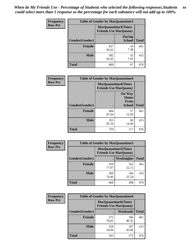| Frequency      | <b>Table of Gender by Marijuanatime3</b> |                                                        |                                |              |
|----------------|------------------------------------------|--------------------------------------------------------|--------------------------------|--------------|
| <b>Row Pct</b> |                                          | Marijuanatime3(Times<br><b>Friends Use Marijuana</b> ) |                                |              |
|                | Gender(Gender)                           |                                                        | <b>During</b><br><b>School</b> | <b>Total</b> |
|                | <b>Female</b>                            | 427<br>92.62                                           | 34<br>7.38                     | 461          |
|                | <b>Male</b>                              | 382<br>92.05                                           | 33<br>7.95                     | 415          |
|                | <b>Total</b>                             | 809                                                    | 67                             | 876          |

| <b>Frequency</b> | <b>Table of Gender by Marijuanatime4</b> |              |                                                               |              |
|------------------|------------------------------------------|--------------|---------------------------------------------------------------|--------------|
| <b>Row Pct</b>   |                                          |              | <b>Marijuanatime4(Times</b><br><b>Friends Use Marijuana</b> ) |              |
|                  |                                          |              | <b>On Way</b><br>Home<br>From                                 |              |
|                  | Gender(Gender)                           |              | School                                                        | <b>Total</b> |
|                  | <b>Female</b>                            | 404<br>87.64 | 57<br>12.36                                                   | 461          |
|                  | <b>Male</b>                              | 355<br>85.54 | 60<br>14.46                                                   | 415          |
|                  | <b>Total</b>                             | 759          | 117                                                           | 876          |

| Frequency      | <b>Table of Gender by Marijuanatime5</b> |                                                                |              |              |  |
|----------------|------------------------------------------|----------------------------------------------------------------|--------------|--------------|--|
| <b>Row Pct</b> |                                          | <b>Marijuanatime5</b> (Times<br><b>Friends Use Marijuana</b> ) |              |              |  |
|                | Gender(Gender)                           | ٠                                                              | Weeknights   | <b>Total</b> |  |
|                | <b>Female</b>                            | 359<br>77.87                                                   | 102<br>22.13 | 461          |  |
|                | <b>Male</b>                              | 309<br>74.46                                                   | 106<br>25.54 | 415          |  |
|                | <b>Total</b>                             | 668                                                            | 208          | 876          |  |

| Frequency      | <b>Table of Gender by Marijuanatime6</b> |                                                               |              |              |
|----------------|------------------------------------------|---------------------------------------------------------------|--------------|--------------|
| <b>Row Pct</b> |                                          | <b>Marijuanatime6(Times</b><br><b>Friends Use Marijuana</b> ) |              |              |
|                | Gender(Gender)                           |                                                               | Weekends     | <b>Total</b> |
|                | <b>Female</b>                            | 275<br>59.65                                                  | 186<br>40.35 | 461          |
|                | <b>Male</b>                              | 228<br>54.94                                                  | 187<br>45.06 | 415          |
|                | <b>Total</b>                             | 503                                                           | 373          | 876          |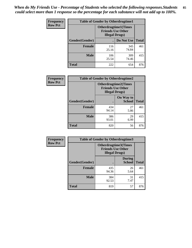*When do My Friends Use - Percentage of Students who selected the following responses.Students could select more than 1 response so the percentage for each substance will not add up to 100%.* **85**

| <b>Frequency</b> | <b>Table of Gender by Otherdrugtime1</b> |                                                    |                             |     |  |
|------------------|------------------------------------------|----------------------------------------------------|-----------------------------|-----|--|
| <b>Row Pct</b>   |                                          | <b>Friends Use Other</b><br><b>Illegal Drugs</b> ) | <b>Otherdrugtime1(Times</b> |     |  |
|                  | Gender(Gender)                           |                                                    | Do Not Use   Total          |     |  |
|                  | <b>Female</b>                            | 116<br>25.16                                       | 345<br>74.84                | 461 |  |
|                  | <b>Male</b>                              | 106<br>25.54                                       | 309<br>74.46                | 415 |  |
|                  | <b>Total</b>                             | 222                                                | 654                         | 876 |  |

| Frequency      | <b>Table of Gender by Otherdrugtime2</b> |                                                                                   |                            |              |
|----------------|------------------------------------------|-----------------------------------------------------------------------------------|----------------------------|--------------|
| <b>Row Pct</b> |                                          | <b>Otherdrugtime2(Times</b><br><b>Friends Use Other</b><br><b>Illegal Drugs</b> ) |                            |              |
|                | Gender(Gender)                           |                                                                                   | On Way to<br><b>School</b> | <b>Total</b> |
|                | <b>Female</b>                            | 434<br>94.14                                                                      | 27<br>5.86                 | 461          |
|                | <b>Male</b>                              | 386<br>93.01                                                                      | 29<br>6.99                 | 415          |
|                | <b>Total</b>                             | 820                                                                               | 56                         | 876          |

| Frequency      |                | <b>Table of Gender by Otherdrugtime3</b>                                          |                                |              |
|----------------|----------------|-----------------------------------------------------------------------------------|--------------------------------|--------------|
| <b>Row Pct</b> |                | <b>Otherdrugtime3(Times</b><br><b>Friends Use Other</b><br><b>Illegal Drugs</b> ) |                                |              |
|                | Gender(Gender) |                                                                                   | <b>During</b><br><b>School</b> | <b>Total</b> |
|                | <b>Female</b>  | 435<br>94.36                                                                      | 26<br>5.64                     | 461          |
|                | <b>Male</b>    | 384<br>92.53                                                                      | 31<br>7.47                     | 415          |
|                | <b>Total</b>   | 819                                                                               | 57                             | 876          |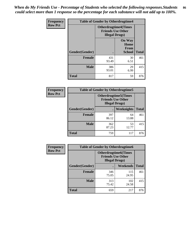*When do My Friends Use - Percentage of Students who selected the following responses.Students could select more than 1 response so the percentage for each substance will not add up to 100%.* **86**

| <b>Frequency</b> | <b>Table of Gender by Otherdrugtime4</b> |                                                    |                                                       |              |
|------------------|------------------------------------------|----------------------------------------------------|-------------------------------------------------------|--------------|
| <b>Row Pct</b>   |                                          | <b>Friends Use Other</b><br><b>Illegal Drugs</b> ) | <b>Otherdrugtime4(Times</b>                           |              |
|                  | Gender(Gender)                           |                                                    | <b>On Way</b><br>Home<br><b>From</b><br><b>School</b> | <b>Total</b> |
|                  | <b>Female</b>                            | 431<br>93.49                                       | 30<br>6.51                                            | 461          |
|                  | <b>Male</b>                              | 386<br>93.01                                       | 29<br>6.99                                            | 415          |
|                  | <b>Total</b>                             | 817                                                | 59                                                    | 876          |

| <b>Frequency</b> | <b>Table of Gender by Otherdrugtime5</b> |                                                                                    |             |              |
|------------------|------------------------------------------|------------------------------------------------------------------------------------|-------------|--------------|
| <b>Row Pct</b>   |                                          | <b>Otherdrugtime5</b> (Times<br><b>Friends Use Other</b><br><b>Illegal Drugs</b> ) |             |              |
|                  | Gender(Gender)                           |                                                                                    | Weeknights  | <b>Total</b> |
|                  | <b>Female</b>                            | 397<br>86.12                                                                       | 64<br>13.88 | 461          |
|                  | <b>Male</b>                              | 362<br>87.23                                                                       | 53<br>12.77 | 415          |
|                  | <b>Total</b>                             | 759                                                                                | 117         | 876          |

| <b>Frequency</b> | <b>Table of Gender by Otherdrugtime6</b> |                                                                                   |              |              |
|------------------|------------------------------------------|-----------------------------------------------------------------------------------|--------------|--------------|
| <b>Row Pct</b>   |                                          | <b>Otherdrugtime6(Times</b><br><b>Friends Use Other</b><br><b>Illegal Drugs</b> ) |              |              |
|                  | Gender(Gender)                           |                                                                                   | Weekends     | <b>Total</b> |
|                  | <b>Female</b>                            | 346<br>75.05                                                                      | 115<br>24.95 | 461          |
|                  | <b>Male</b>                              | 313<br>75.42                                                                      | 102<br>24.58 | 415          |
|                  | <b>Total</b>                             | 659                                                                               | 217          | 876          |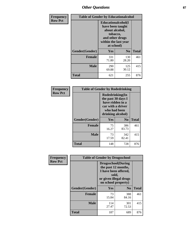# *Other Questions* **87**

| <b>Frequency</b> | <b>Table of Gender by Educationalcohol</b> |                                                                                                                                       |                |              |
|------------------|--------------------------------------------|---------------------------------------------------------------------------------------------------------------------------------------|----------------|--------------|
| <b>Row Pct</b>   |                                            | <b>Educationalcohol</b> (I<br>have been taught<br>about alcohol,<br>tobacco,<br>and other drugs<br>within the last year<br>at school) |                |              |
|                  | Gender(Gender)                             | Yes                                                                                                                                   | N <sub>0</sub> | <b>Total</b> |
|                  | <b>Female</b>                              | 331<br>71.80                                                                                                                          | 130<br>28.20   | 461          |
|                  | <b>Male</b>                                | 290<br>69.88                                                                                                                          | 125<br>30.12   | 415          |
|                  | <b>Total</b>                               | 621                                                                                                                                   | 255            | 876          |

| Frequency      | <b>Table of Gender by Rodedrinking</b> |                                                                                                                     |                |              |  |
|----------------|----------------------------------------|---------------------------------------------------------------------------------------------------------------------|----------------|--------------|--|
| <b>Row Pct</b> |                                        | Rodedrinking(In<br>the past 30 days I<br>have ridden in a<br>car with a driver<br>who had been<br>drinking alcohol) |                |              |  |
|                | Gender(Gender)                         | Yes                                                                                                                 | N <sub>0</sub> | <b>Total</b> |  |
|                | Female                                 | 75<br>16.27                                                                                                         | 386<br>83.73   | 461          |  |
|                | <b>Male</b>                            | 73<br>17.59                                                                                                         | 342<br>82.41   | 415          |  |
|                | <b>Total</b>                           | 148                                                                                                                 | 728            | 876          |  |

| Frequency      | <b>Table of Gender by Drugsschool</b> |                                                                                                                                     |                |              |  |
|----------------|---------------------------------------|-------------------------------------------------------------------------------------------------------------------------------------|----------------|--------------|--|
| <b>Row Pct</b> |                                       | <b>Drugsschool</b> (During<br>the past 12 months,<br>I have been offered,<br>sold,<br>or given illegal drugs<br>on school property) |                |              |  |
|                | Gender(Gender)                        | Yes                                                                                                                                 | N <sub>0</sub> | <b>Total</b> |  |
|                | <b>Female</b>                         | 73<br>15.84                                                                                                                         | 388<br>84.16   | 461          |  |
|                | <b>Male</b>                           | 114<br>27.47                                                                                                                        | 301<br>72.53   | 415          |  |
|                | <b>Total</b>                          | 187                                                                                                                                 | 689            | 876          |  |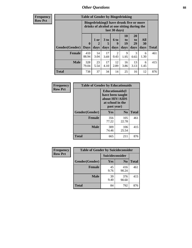### *Other Questions* **88**

**Frequency Row Pct**

| <b>Table of Gender by Bingedrinking</b> |                            |                                                                                                         |                   |                          |                               |                               |                   |              |
|-----------------------------------------|----------------------------|---------------------------------------------------------------------------------------------------------|-------------------|--------------------------|-------------------------------|-------------------------------|-------------------|--------------|
|                                         |                            | Bingedrinking(I have drunk five or more<br>drinks of alcohol at one sitting during the<br>last 30 days) |                   |                          |                               |                               |                   |              |
| <b>Gender</b> (Gender)                  | $\mathbf 0$<br><b>Days</b> | 1 or<br>days                                                                                            | 3 to<br>5<br>days | <b>6 to</b><br>9<br>days | <b>10</b><br>to<br>19<br>days | <b>20</b><br>to<br>29<br>days | All<br>30<br>days | <b>Total</b> |
|                                         |                            |                                                                                                         |                   |                          |                               |                               |                   |              |
| <b>Female</b>                           | 410<br>88.94               | 14<br>3.04                                                                                              | 17<br>3.69        | $\overline{c}$<br>0.43   | 9<br>1.95                     | 3<br>0.65                     | 6<br>1.30         | 461          |
| <b>Male</b>                             | 328<br>79.04               | 23<br>5.54                                                                                              | 17<br>4.10        | 12<br>2.89               | 16<br>3.86                    | 13<br>3.13                    | 6<br>1.45         | 415          |

| Frequency      | <b>Table of Gender by Educationaids</b> |                                                                                                 |                |              |  |
|----------------|-----------------------------------------|-------------------------------------------------------------------------------------------------|----------------|--------------|--|
| <b>Row Pct</b> |                                         | <b>Educationaids</b> (I<br>have been taught<br>about HIV/AIDS<br>at school in the<br>past year) |                |              |  |
|                | Gender(Gender)                          | Yes                                                                                             | N <sub>0</sub> | <b>Total</b> |  |
|                | <b>Female</b>                           | 356<br>77.22                                                                                    | 105<br>22.78   | 461          |  |
|                | <b>Male</b>                             | 309<br>74.46                                                                                    | 106<br>25.54   | 415          |  |
|                | <b>Total</b>                            | 665                                                                                             | 211            | 876          |  |

| Frequency      | <b>Table of Gender by Suicideconsider</b> |                        |                |       |  |
|----------------|-------------------------------------------|------------------------|----------------|-------|--|
| <b>Row Pct</b> |                                           | <b>Suicideconsider</b> |                |       |  |
|                | Gender(Gender)                            | Yes                    | N <sub>0</sub> | Total |  |
|                | <b>Female</b>                             | 45<br>9.76             | 416<br>90.24   | 461   |  |
|                | <b>Male</b>                               | 39<br>9.40             | 376<br>90.60   | 415   |  |
|                | <b>Total</b>                              | 84                     | 792            | 876   |  |